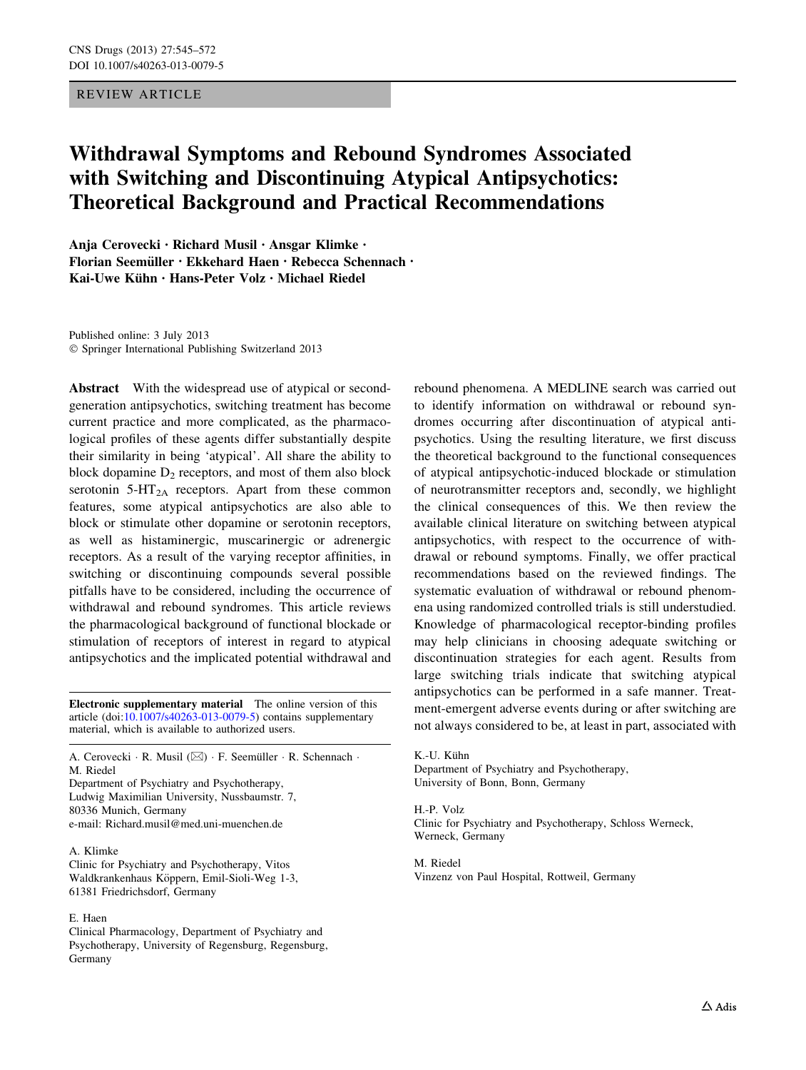## REVIEW ARTICLE

# Withdrawal Symptoms and Rebound Syndromes Associated with Switching and Discontinuing Atypical Antipsychotics: Theoretical Background and Practical Recommendations

Anja Cerovecki • Richard Musil • Ansgar Klimke • Florian Seemüller • Ekkehard Haen • Rebecca Schennach • Kai-Uwe Kühn  $\cdot$  Hans-Peter Volz  $\cdot$  Michael Riedel

Published online: 3 July 2013 - Springer International Publishing Switzerland 2013

Abstract With the widespread use of atypical or secondgeneration antipsychotics, switching treatment has become current practice and more complicated, as the pharmacological profiles of these agents differ substantially despite their similarity in being 'atypical'. All share the ability to block dopamine  $D_2$  receptors, and most of them also block serotonin  $5-\text{HT}_{2A}$  receptors. Apart from these common features, some atypical antipsychotics are also able to block or stimulate other dopamine or serotonin receptors, as well as histaminergic, muscarinergic or adrenergic receptors. As a result of the varying receptor affinities, in switching or discontinuing compounds several possible pitfalls have to be considered, including the occurrence of withdrawal and rebound syndromes. This article reviews the pharmacological background of functional blockade or stimulation of receptors of interest in regard to atypical antipsychotics and the implicated potential withdrawal and

Electronic supplementary material The online version of this article (doi:[10.1007/s40263-013-0079-5\)](http://dx.doi.org/10.1007/s40263-013-0079-5) contains supplementary material, which is available to authorized users.

A. Cerovecki  $\cdot$  R. Musil ( $\boxtimes$ )  $\cdot$  F. Seemüller  $\cdot$  R. Schennach  $\cdot$ M. Riedel Department of Psychiatry and Psychotherapy, Ludwig Maximilian University, Nussbaumstr. 7, 80336 Munich, Germany

e-mail: Richard.musil@med.uni-muenchen.de

A. Klimke Clinic for Psychiatry and Psychotherapy, Vitos Waldkrankenhaus Köppern, Emil-Sioli-Weg 1-3, 61381 Friedrichsdorf, Germany

#### E. Haen

Clinical Pharmacology, Department of Psychiatry and Psychotherapy, University of Regensburg, Regensburg, Germany

rebound phenomena. A MEDLINE search was carried out to identify information on withdrawal or rebound syndromes occurring after discontinuation of atypical antipsychotics. Using the resulting literature, we first discuss the theoretical background to the functional consequences of atypical antipsychotic-induced blockade or stimulation of neurotransmitter receptors and, secondly, we highlight the clinical consequences of this. We then review the available clinical literature on switching between atypical antipsychotics, with respect to the occurrence of withdrawal or rebound symptoms. Finally, we offer practical recommendations based on the reviewed findings. The systematic evaluation of withdrawal or rebound phenomena using randomized controlled trials is still understudied. Knowledge of pharmacological receptor-binding profiles may help clinicians in choosing adequate switching or discontinuation strategies for each agent. Results from large switching trials indicate that switching atypical antipsychotics can be performed in a safe manner. Treatment-emergent adverse events during or after switching are not always considered to be, at least in part, associated with

K.-U. Kühn Department of Psychiatry and Psychotherapy, University of Bonn, Bonn, Germany

H.-P. Volz Clinic for Psychiatry and Psychotherapy, Schloss Werneck, Werneck, Germany

M. Riedel Vinzenz von Paul Hospital, Rottweil, Germany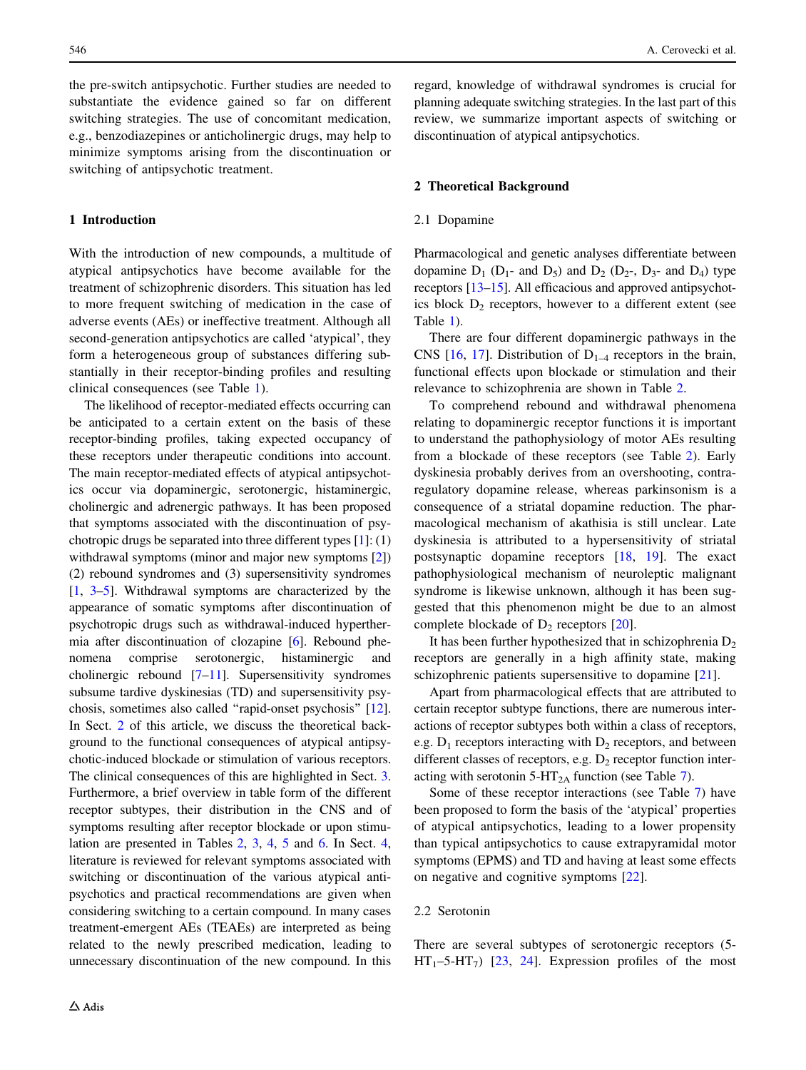the pre-switch antipsychotic. Further studies are needed to substantiate the evidence gained so far on different switching strategies. The use of concomitant medication, e.g., benzodiazepines or anticholinergic drugs, may help to minimize symptoms arising from the discontinuation or switching of antipsychotic treatment.

## 1 Introduction

With the introduction of new compounds, a multitude of atypical antipsychotics have become available for the treatment of schizophrenic disorders. This situation has led to more frequent switching of medication in the case of adverse events (AEs) or ineffective treatment. Although all second-generation antipsychotics are called 'atypical', they form a heterogeneous group of substances differing substantially in their receptor-binding profiles and resulting clinical consequences (see Table [1\)](#page-2-0).

The likelihood of receptor-mediated effects occurring can be anticipated to a certain extent on the basis of these receptor-binding profiles, taking expected occupancy of these receptors under therapeutic conditions into account. The main receptor-mediated effects of atypical antipsychotics occur via dopaminergic, serotonergic, histaminergic, cholinergic and adrenergic pathways. It has been proposed that symptoms associated with the discontinuation of psychotropic drugs be separated into three different types [[1\]](#page-18-0): (1) withdrawal symptoms (minor and major new symptoms [[2\]](#page-18-0)) (2) rebound syndromes and (3) supersensitivity syndromes [\[1](#page-18-0), [3–5](#page-18-0)]. Withdrawal symptoms are characterized by the appearance of somatic symptoms after discontinuation of psychotropic drugs such as withdrawal-induced hyperthermia after discontinuation of clozapine [\[6](#page-18-0)]. Rebound phenomena comprise serotonergic, histaminergic and cholinergic rebound [\[7–11](#page-18-0)]. Supersensitivity syndromes subsume tardive dyskinesias (TD) and supersensitivity psychosis, sometimes also called ''rapid-onset psychosis'' [[12](#page-18-0)]. In Sect. 2 of this article, we discuss the theoretical background to the functional consequences of atypical antipsychotic-induced blockade or stimulation of various receptors. The clinical consequences of this are highlighted in Sect. [3.](#page-5-0) Furthermore, a brief overview in table form of the different receptor subtypes, their distribution in the CNS and of symptoms resulting after receptor blockade or upon stimulation are presented in Tables [2](#page-3-0), [3](#page-4-0), [4](#page-6-0), [5](#page-7-0) and [6](#page-8-0). In Sect. [4,](#page-10-0) literature is reviewed for relevant symptoms associated with switching or discontinuation of the various atypical antipsychotics and practical recommendations are given when considering switching to a certain compound. In many cases treatment-emergent AEs (TEAEs) are interpreted as being related to the newly prescribed medication, leading to unnecessary discontinuation of the new compound. In this regard, knowledge of withdrawal syndromes is crucial for planning adequate switching strategies. In the last part of this review, we summarize important aspects of switching or discontinuation of atypical antipsychotics.

## 2 Theoretical Background

#### 2.1 Dopamine

Pharmacological and genetic analyses differentiate between dopamine  $D_1$  ( $D_1$ - and  $D_5$ ) and  $D_2$  ( $D_2$ -,  $D_3$ - and  $D_4$ ) type receptors [[13–15](#page-18-0)]. All efficacious and approved antipsychotics block  $D_2$  receptors, however to a different extent (see Table [1\)](#page-2-0).

There are four different dopaminergic pathways in the CNS [\[16](#page-18-0), [17](#page-18-0)]. Distribution of  $D_{1-4}$  receptors in the brain, functional effects upon blockade or stimulation and their relevance to schizophrenia are shown in Table [2](#page-3-0).

To comprehend rebound and withdrawal phenomena relating to dopaminergic receptor functions it is important to understand the pathophysiology of motor AEs resulting from a blockade of these receptors (see Table [2\)](#page-3-0). Early dyskinesia probably derives from an overshooting, contraregulatory dopamine release, whereas parkinsonism is a consequence of a striatal dopamine reduction. The pharmacological mechanism of akathisia is still unclear. Late dyskinesia is attributed to a hypersensitivity of striatal postsynaptic dopamine receptors [\[18](#page-18-0), [19](#page-18-0)]. The exact pathophysiological mechanism of neuroleptic malignant syndrome is likewise unknown, although it has been suggested that this phenomenon might be due to an almost complete blockade of  $D_2$  receptors  $[20]$  $[20]$ .

It has been further hypothesized that in schizophrenia  $D_2$ receptors are generally in a high affinity state, making schizophrenic patients supersensitive to dopamine [[21\]](#page-18-0).

Apart from pharmacological effects that are attributed to certain receptor subtype functions, there are numerous interactions of receptor subtypes both within a class of receptors, e.g.  $D_1$  receptors interacting with  $D_2$  receptors, and between different classes of receptors, e.g.  $D_2$  receptor function inter-acting with serotonin 5-HT<sub>2A</sub> function (see Table [7\)](#page-9-0).

Some of these receptor interactions (see Table [7](#page-9-0)) have been proposed to form the basis of the 'atypical' properties of atypical antipsychotics, leading to a lower propensity than typical antipsychotics to cause extrapyramidal motor symptoms (EPMS) and TD and having at least some effects on negative and cognitive symptoms [[22\]](#page-18-0).

## 2.2 Serotonin

There are several subtypes of serotonergic receptors (5-  $HT_1$ –5-HT<sub>7</sub>) [\[23](#page-18-0), [24](#page-18-0)]. Expression profiles of the most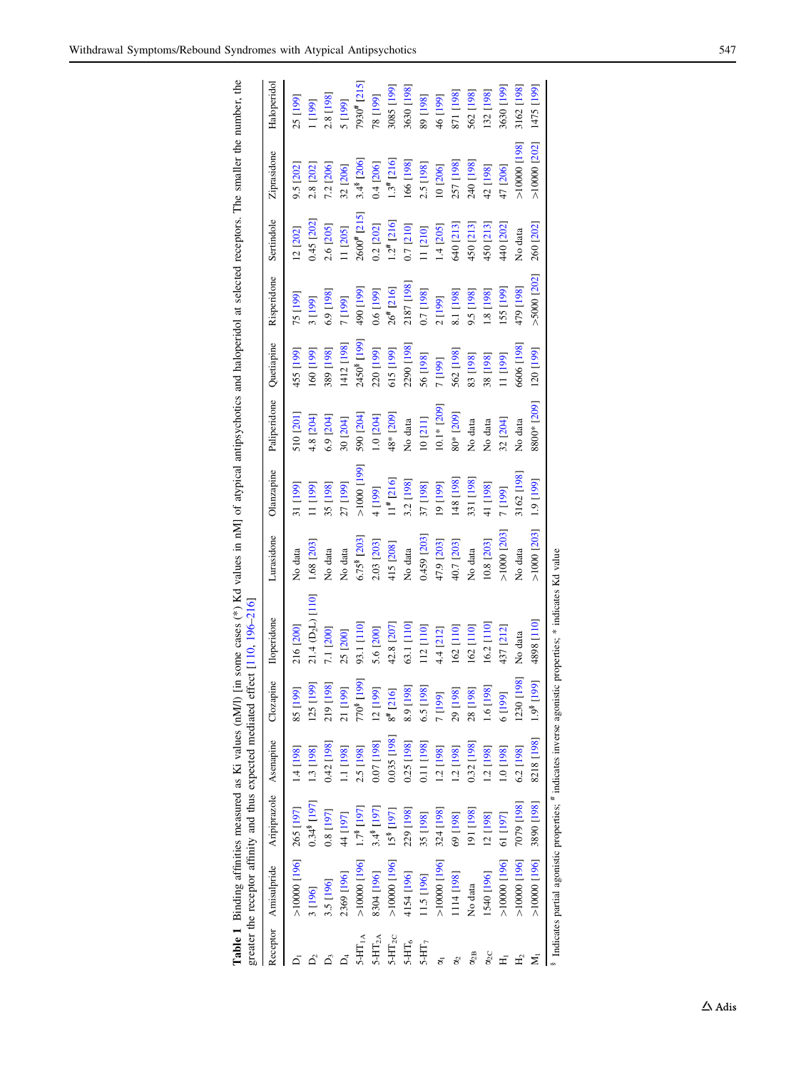<span id="page-2-0"></span>Table 1 Binding affinities measured as Ki values (nM/l) [in some cases (\*) Kd values in nM] of atypical antipsychotics and haloperidol at selected receptors. The smaller the number, the

|               |                          |                        |              |                                  | greater the receptor affinity and thus expected mediated effect [110, 196-216]                                                 |               |                |                         |                         |                |                   |                          |             |
|---------------|--------------------------|------------------------|--------------|----------------------------------|--------------------------------------------------------------------------------------------------------------------------------|---------------|----------------|-------------------------|-------------------------|----------------|-------------------|--------------------------|-------------|
|               | Receptor Amisulpride     | Aripiprazole Asenapine |              | Clozapine                        | <b>Iloperidone</b>                                                                                                             | Lurasidone    | Olanzapine     | Paliperidone Quetiapine |                         | Risperidone    | Sertindole        | Ziprasidone              | Haloperidol |
|               | $>10000$ [196] 265 [197] |                        | 1.4 [198]    | <b>SS</b> [199]                  | 216 [200]                                                                                                                      | No data       | 31 [199]       | 510 [201]               | 455 [199]               | [61] SZ        | 12 [202]          | 9.5 [202]                | 25 [199]    |
|               | 3 [196]                  | 0.348 [197]            | 1.3 [198]    | 125 [199]                        | 21.4 (D <sub>2</sub> L) [110]                                                                                                  | 1.68 [203]    | 11 [199]       | 4.8 [204]               | [66] [199]              | 3 [199]        | 0.45 [202]        | 2.8 [202]                | 1 [199]     |
|               | 3.5 [196]                | 0.8 [197]              | 0.42 [198]   | 219 [198]                        | 7.1 [200]                                                                                                                      | No data       | 35 [198]       | $6.9$ [ $204$ ]         | <b>189</b> [198]        | 6.9 [198]      | 2.6 [205]         | 7.2 [206]                | 2.8 [198]   |
|               | 2369 [196]               | 44 [197]               | [10] [1]     | 21 [199]                         | 25 [200]                                                                                                                       | No data       | 27 [199]       | 30 [204]                | 1412 [198]              | 7 [199]        | [1 205]           | 32 [206]                 | 5 [199]     |
|               | $>10000$ [196]           | 1.7 <sup>8</sup> [197  | 2.5 [198]    | 770 <sup>8</sup> [199]           | 93.1 [110]                                                                                                                     | 6.75 [203]    | [661]0001<     | 590 [204]               | 2450 <sup>8</sup> [199] | [661] 06       | $2600^{\#}$ [215] | 3.4 <sup>8</sup> [206]   | 7930# [215] |
| $5-HT_{2A}$   | 8304 [196]               | 3.4 <sup>8</sup> [197] | 0.07 [198]   | 12 [199]                         | 5.6 [200]                                                                                                                      | 2.03 [203]    | 4 [199]        | 1.0 [204]               | 220 [199]               | $0.6$ [199]    | 0.2 [202]         | $0.4$ [206]              | [661] 8/    |
| $5-HT_{2C}$   | $>10000$ [196]           | 15 <sup>8</sup> [197]  | 0.035 [198]  | $8^{\#}$ [216]                   | 42.8 [207]                                                                                                                     | 415 [208]     | $11^{#}$ [216] | 48* [209]               | 615 [199]               | $26^{*}$ [216] | $1.2^{\#}$ [216]  | $1.3$ <sup>#</sup> [216] | [661] \$808 |
| $5-HT_6$      | 4154 [196]               | 229 [198]              | 0.25 [198]   | 8.9 [198]                        | 63.1 [110]                                                                                                                     | No data       | 3.2 [198]      | No data                 | 2290 [198]              | 2187 [198]     | 0.7 [210]         | 166 [198]                | 3630 [198]  |
| $5-HT_7$      | 11.5 [196]               | 35 [198]               | 0.11 [198]   | 6.5 [198]                        | 112 [110]                                                                                                                      | 0.459 [203]   | 37 [198]       | 10[211]                 | 56 [198]                | 0.7 [198]      | [11210]           | 2.5 [198]                | 89 [198]    |
|               | $>10000$ [196]           | 324 [198]              | [198] 1.2    | 7 [199]                          | 4.4 [212]                                                                                                                      | 47.9 [203]    | [661] 61       | $10.1*$ [209]           | 7 [199]                 | 2 [199]        | 1.4 [205]         | 10 [206]                 | 46 [199]    |
|               | [114 [198]               | [861] 69               | [198] 7.1    | 29 [198]                         | 162 [110]                                                                                                                      | 40.7 [203]    | 148 [198]      | 80* [209]               | 562 [198]               | 8.1 [198]      | 640 [213]         | 257 [198]                | 871 [198]   |
| $\alpha_{2B}$ | No data                  | 191 [198]              | $0.32$ [198] | 28 [198]                         | 162 [110]                                                                                                                      | No data       | 331 [198]      | No data                 | 83 [198]                | 9.5 [198]      | 450 [213]         | 240 [198]                | 562 [198]   |
| $\alpha_{2C}$ | 1540 [196]               | 12 [198]               | [198]        | 1.6 [198]                        | 16.2 [110]                                                                                                                     | 10.8 [203]    | 41 [198]       | No data                 | <b>198</b> [198]        | [861] 81       | 450 [213]         | 42 [198]                 | 132 [198]   |
|               | $>10000$ [196]           | 61 [197]               | [861] 0.1    | [61] 6                           | 437 [212]                                                                                                                      | $>1000$ [203] | <b>1</b> [199] | 32 [204]                | [199]                   | 155 [199]      | 440 [202]         | 47 [206]                 | 3630 [199]  |
|               | $>10000$ [196]           | [861] 6404             | 6.2 [198]    | 1230 [198]                       | No data                                                                                                                        | No data       | 3162 [198]     | No data                 | 6606 [198]              | 479 [198]      | No data           | S61 00001<               | 3162 [198]  |
|               | $>10000$ [196]           | 3890 [198]             | 8218 [198]   | [61] <sub>8</sub> 6 <sup>1</sup> | 4898 [110]                                                                                                                     | $>1000$ [203] | [661] 6:1      | 8800* [209]             | 120 [199]               | $>5000$ [202]  | 260 [202]         | $>10000$ [202]           | [661] 5L#1  |
|               |                          |                        |              |                                  | <sup>8</sup> Indicates partial agonistic properties; <sup>#</sup> indicates inverse agonistic properties; * indicates Kd value |               |                |                         |                         |                |                   |                          |             |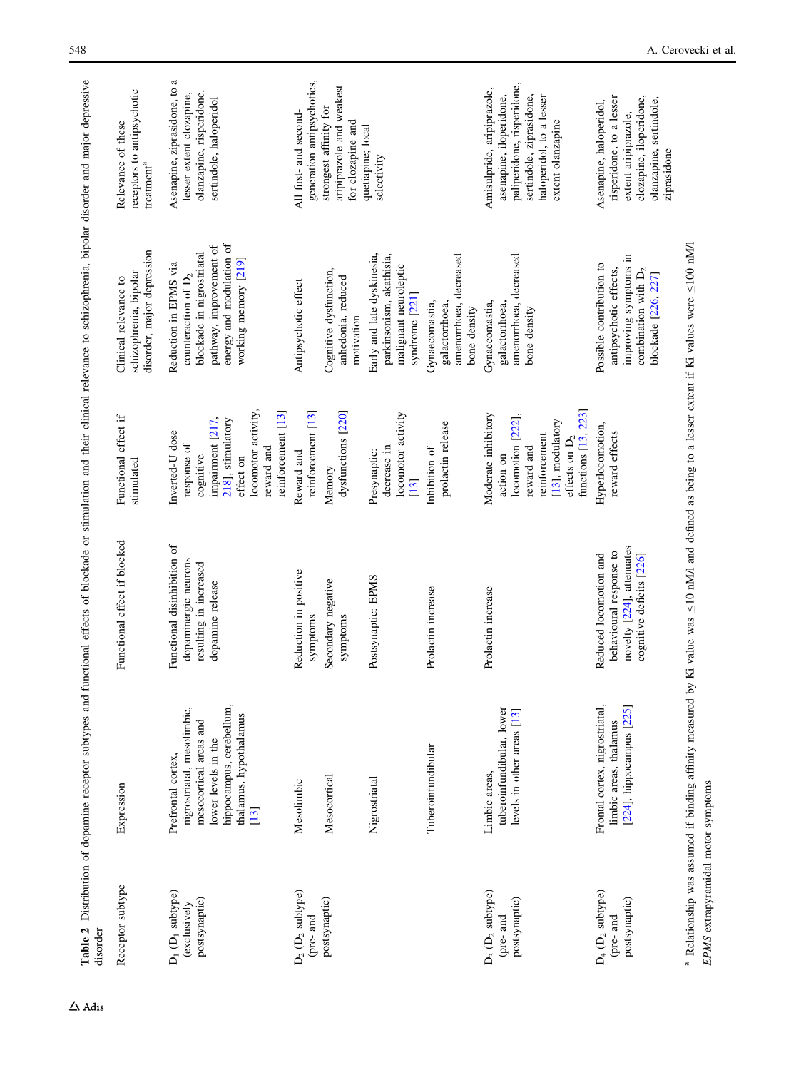<span id="page-3-0"></span>

| $[13]$<br>Functional disinhibition of<br>dopaminergic neurons<br>resulting in increased<br>Reduction in positive<br>Postsynaptic: EPMS<br>Secondary negative<br>dopamine release<br>Prolactin increase<br>symptoms<br>symptoms<br>hippocampus, cerebellum,<br>nigrostriatal, mesolimbic,<br>thalamus, hypothalamus<br>mesocortical areas and<br>lower levels in the<br>Tuberoinfundibular<br>Prefrontal cortex,<br>Mesocortical<br>Nigrostriatal<br>Mesolimbic<br>[13]<br>$D_2$ ( $D_2$ subtype)<br>$D_1$ ( $D_1$ subtype)<br>postsynaptic)<br>postsynaptic)<br>(exclusively<br>(pre-and | impairment [217,<br>218], stimulatory<br>Inverted-U dose<br>response of<br>cognitive                                                                  | disorder, major depression<br>schizophrenia, bipolar                                                                                                        | receptors to antipsychotic<br>$t$ reatment $^a$                                                                                                                  |
|------------------------------------------------------------------------------------------------------------------------------------------------------------------------------------------------------------------------------------------------------------------------------------------------------------------------------------------------------------------------------------------------------------------------------------------------------------------------------------------------------------------------------------------------------------------------------------------|-------------------------------------------------------------------------------------------------------------------------------------------------------|-------------------------------------------------------------------------------------------------------------------------------------------------------------|------------------------------------------------------------------------------------------------------------------------------------------------------------------|
|                                                                                                                                                                                                                                                                                                                                                                                                                                                                                                                                                                                          | locomotor activity<br>reinforcement [13]<br>reward and<br>effect on                                                                                   | energy and modulation of<br>pathway, improvement of<br>blockade in nigrostriatal<br>working memory [219]<br>Reduction in EPMS via<br>counteraction of $D_2$ | Asenapine, ziprasidone, to a<br>olanzapine, risperidone,<br>lesser extent clozapine,<br>sertindole, haloperidol                                                  |
|                                                                                                                                                                                                                                                                                                                                                                                                                                                                                                                                                                                          | reinforcement [13]<br>Reward and                                                                                                                      | Antipsychotic effect                                                                                                                                        | generation antipsychotics,<br>All first- and second-                                                                                                             |
|                                                                                                                                                                                                                                                                                                                                                                                                                                                                                                                                                                                          | dysfunctions [220]<br>Memory                                                                                                                          | Cognitive dysfunction,<br>anhedonia, reduced<br>motivation                                                                                                  | aripiprazole and weakest<br>strongest affinity for<br>for clozapine and                                                                                          |
|                                                                                                                                                                                                                                                                                                                                                                                                                                                                                                                                                                                          | locomotor activity<br>decrease in<br>Presynaptic:                                                                                                     | Early and late dyskinesia,<br>parkinsonism, akathisia,<br>malignant neuroleptic<br>syndrome [221]                                                           | quetiapine; local<br>selectivity                                                                                                                                 |
|                                                                                                                                                                                                                                                                                                                                                                                                                                                                                                                                                                                          | prolactin release<br>Inhibition of                                                                                                                    | amenorrhoea, decreased<br>Gynaecomastia,<br>galactorrhoea,<br>bone density                                                                                  |                                                                                                                                                                  |
| Prolactin increase<br>tuberoinfundibular, lower<br>levels in other areas [13]<br>Limbic areas,<br>$D_3$ ( $D_2$ subtype)<br>postsynaptic)<br>(pre-and                                                                                                                                                                                                                                                                                                                                                                                                                                    | functions [13, 223]<br>Moderate inhibitory<br>[222]<br>[13], modulatory<br>reinforcement<br>effects on $D_2$<br>locomotion<br>reward and<br>action on | amenorrhoea, decreased<br>Gynaecomastia,<br>galactorrhoea,<br>bone density                                                                                  | paliperidone, risperidone,<br>Amisulpride, aripiprazole,<br>sertindole, ziprasidone,<br>asenapine, iloperidone,<br>haloperidol, to a lesser<br>extent olanzapine |
| novelty [224], attenuates<br>behavioural response to<br>Reduced locomotion and<br>cognitive deficits [226]<br>Frontal cortex, nigrostriatal,<br>[224], hippocampus [225]<br>limbic areas, thalamus<br>$D_4$ ( $D_2$ subtype)<br>postsynaptic)<br>(pre- and                                                                                                                                                                                                                                                                                                                               | Hyperlocomotion,<br>reward effects                                                                                                                    | improving symptoms in<br>Possible contribution to<br>antipsychotic effects,<br>combination with $D_2$<br>blockade [226, 227]                                | risperidone, to a lesser<br>clozapine, iloperidone,<br>olanzapine, sertindole,<br>Asenapine, haloperidol,<br>extent aripiprazole,<br>ziprasidone                 |

EPMS extrapyramidal motor symptoms

EPMS extrapyramidal motor symptoms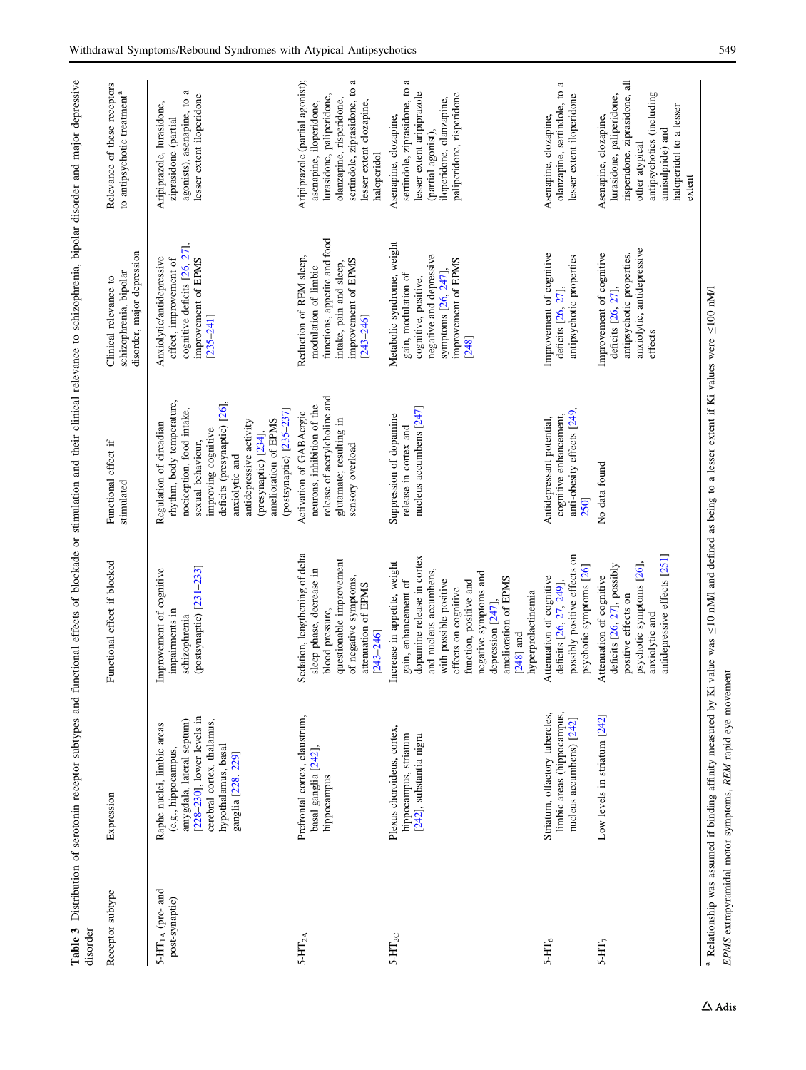<span id="page-4-0"></span>

| Receptor subtype                        | Expression                                                                                                                                                                                 | Functional effect if blocked                                                                                                                                                                                                                                                                             | Functional effect if<br>stimulated                                                                                                                                                                                                                                                     | disorder, major depression<br>schizophrenia, bipolar<br>Clinical relevance to                                                                             | Relevance of these receptors<br>to antipsychotic treatment <sup>a</sup>                                                                                                                         |
|-----------------------------------------|--------------------------------------------------------------------------------------------------------------------------------------------------------------------------------------------|----------------------------------------------------------------------------------------------------------------------------------------------------------------------------------------------------------------------------------------------------------------------------------------------------------|----------------------------------------------------------------------------------------------------------------------------------------------------------------------------------------------------------------------------------------------------------------------------------------|-----------------------------------------------------------------------------------------------------------------------------------------------------------|-------------------------------------------------------------------------------------------------------------------------------------------------------------------------------------------------|
| $5-HT_{1A}$ (pre- and<br>post-synaptic) | $[228-230]$ , lower levels in<br>cerebral cortex, thalamus,<br>amygdala, lateral septum)<br>Raphe nuclei, limbic areas<br>hypothalamus, basal<br>(e.g., hippocampus,<br>ganglia [228, 229] | (postsynaptic) [231-233]<br>Improvement of cognitive<br>impairments in<br>schizophrenia                                                                                                                                                                                                                  | rhythm, body temperature,<br>deficits (presynaptic) [26],<br>nociception, food intake,<br>(postsynaptic) [235-237]<br>amelioration of EPMS<br>antidepressive activity<br>Regulation of circadian<br>improving cognitive<br>(presynaptic) [234],<br>sexual behaviour,<br>anxiolytic and | cognitive deficits [26, 27],<br>Anxiolytic/antidepressive<br>improvement of EPMS<br>effect, improvement of<br>$[235 - 241]$                               | agonists), asenapine, to a<br>lesser extent iloperidone<br>Aripiprazole, lurasidone,<br>ziprasidone (partial                                                                                    |
| $5\text{-}\mathrm{HT}_{2\mathrm{A}}$    | Prefrontal cortex, claustrum,<br>basal ganglia [242],<br>hippocampus                                                                                                                       | Sedation, lengthening of delta<br>questionable improvement<br>sleep phase, decrease in<br>of negative symptoms,<br>attenuation of EPMS<br>blood pressure,<br>$[243 - 246]$                                                                                                                               | release of acetylcholine and<br>neurons, inhibition of the<br>Activation of GAB Aergic<br>glutamate; resulting in<br>sensory overload                                                                                                                                                  | functions, appetite and food<br>Reduction of REM sleep,<br>improvement of EPMS<br>intake, pain and sleep,<br>modulation of limbic<br>$[243 - 246]$        | Aripiprazole (partial agonist);<br>sertindole, ziprasidone, to a<br>lurasidone, paliperidone,<br>olanzapine, risperidone,<br>asenapine, iloperidone,<br>lesser extent clozapine,<br>haloperidol |
| $5-HT_{2C}$                             | Plexus choroideus, cortex,<br>hippocampus, striatum<br>[242], substantia nigra                                                                                                             | dopamine release in cortex<br>Increase in appetite, weight<br>and nucleus accumbens,<br>negative symptoms and<br>amelioration of EPMS<br>with possible positive<br>gain, enhancement of<br>function, positive and<br>effects on cognitive<br>hyperprolactinemia<br>depression $[247]$ ,<br>[ $248$ ] and | nucleus accumbens [247]<br>Suppression of dopamine<br>release in cortex and                                                                                                                                                                                                            | Metabolic syndrome, weight<br>negative and depressive<br>improvement of EPMS<br>symptoms [26, 247],<br>gain, modulation of<br>cognitive, positive,<br>248 | a<br>sertindole, ziprasidone, to<br>lesser extent aripiprazole<br>paliperidone, risperidone<br>iloperidone, olanzapine,<br>Asenapine, clozapine,<br>(partial agonist),                          |
| $5-HT_6$                                | limbic areas (hippocampus,<br>Striatum, olfactory tubercles,<br>nucleus accumbens) [242]                                                                                                   | possibly positive effects on<br>psychotic symptoms [26]<br>Attenuation of cognitive<br>deficits [26, 27, 249],                                                                                                                                                                                           | anti-obesity effects [249]<br>cognitive enhancement,<br>Antidepressant potential,<br>2501                                                                                                                                                                                              | Improvement of cognitive<br>antipsychotic properties<br>deficits [26, 27],                                                                                | a<br>olanzapine, sertindole, to<br>lesser extent iloperidone<br>Asenapine, clozapine,                                                                                                           |
| $5-HT7$                                 | Low levels in striatum [242]                                                                                                                                                               | antidepressive effects [251]<br>psychotic symptoms [26],<br>deficits [26, 27], possibly<br>Attenuation of cognitive<br>positive effects on<br>anxiolytic and                                                                                                                                             | No data found                                                                                                                                                                                                                                                                          | anxiolytic, antidepressive<br>antipsychotic properties,<br>Improvement of cognitive<br>deficits [26, 27],<br>effects                                      | risperidone, ziprasidone, all<br>antipsychotics (including<br>lurasidone, paliperidone,<br>haloperidol to a lesser<br>Asenapine, clozapine,<br>amisulpride) and<br>other atypical<br>extent     |

EPMS extrapyramidal motor symptoms, REM rapid eye movement

EPMS extrapyramidal motor symptoms, REM rapid eye movement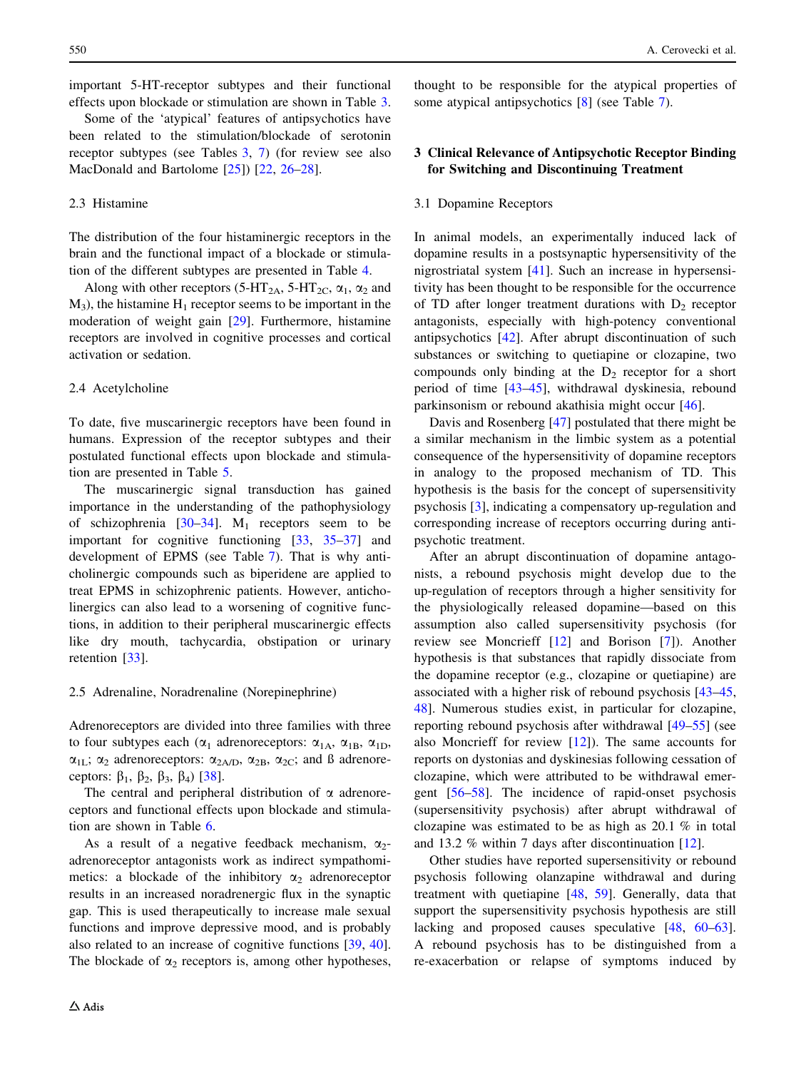<span id="page-5-0"></span>important 5-HT-receptor subtypes and their functional effects upon blockade or stimulation are shown in Table [3.](#page-4-0)

Some of the 'atypical' features of antipsychotics have been related to the stimulation/blockade of serotonin receptor subtypes (see Tables [3,](#page-4-0) [7](#page-9-0)) (for review see also MacDonald and Bartolome [\[25](#page-18-0)]) [[22,](#page-18-0) [26–28](#page-18-0)].

## 2.3 Histamine

The distribution of the four histaminergic receptors in the brain and the functional impact of a blockade or stimulation of the different subtypes are presented in Table [4.](#page-6-0)

Along with other receptors (5-HT<sub>2A</sub>, 5-HT<sub>2C</sub>,  $\alpha_1$ ,  $\alpha_2$  and  $M_3$ ), the histamine  $H_1$  receptor seems to be important in the moderation of weight gain [\[29](#page-18-0)]. Furthermore, histamine receptors are involved in cognitive processes and cortical activation or sedation.

#### 2.4 Acetylcholine

To date, five muscarinergic receptors have been found in humans. Expression of the receptor subtypes and their postulated functional effects upon blockade and stimulation are presented in Table [5.](#page-7-0)

The muscarinergic signal transduction has gained importance in the understanding of the pathophysiology of schizophrenia  $[30-34]$ . M<sub>1</sub> receptors seem to be important for cognitive functioning [[33,](#page-19-0) [35–37\]](#page-19-0) and development of EPMS (see Table [7\)](#page-9-0). That is why anticholinergic compounds such as biperidene are applied to treat EPMS in schizophrenic patients. However, anticholinergics can also lead to a worsening of cognitive functions, in addition to their peripheral muscarinergic effects like dry mouth, tachycardia, obstipation or urinary retention [[33\]](#page-19-0).

## 2.5 Adrenaline, Noradrenaline (Norepinephrine)

Adrenoreceptors are divided into three families with three to four subtypes each ( $\alpha_1$  adrenoreceptors:  $\alpha_{1A}$ ,  $\alpha_{1B}$ ,  $\alpha_{1D}$ ,  $\alpha_{1L}$ ;  $\alpha_2$  adrenoreceptors:  $\alpha_{2A/D}$ ,  $\alpha_{2B}$ ,  $\alpha_{2C}$ ; and ß adrenoreceptors:  $\beta_1$ ,  $\beta_2$ ,  $\beta_3$ ,  $\beta_4$ ) [\[38](#page-19-0)].

The central and peripheral distribution of  $\alpha$  adrenoreceptors and functional effects upon blockade and stimulation are shown in Table [6](#page-8-0).

As a result of a negative feedback mechanism,  $\alpha_2$ adrenoreceptor antagonists work as indirect sympathomimetics: a blockade of the inhibitory  $\alpha_2$  adrenoreceptor results in an increased noradrenergic flux in the synaptic gap. This is used therapeutically to increase male sexual functions and improve depressive mood, and is probably also related to an increase of cognitive functions [\[39](#page-19-0), [40](#page-19-0)]. The blockade of  $\alpha_2$  receptors is, among other hypotheses,

thought to be responsible for the atypical properties of some atypical antipsychotics [[8\]](#page-18-0) (see Table [7\)](#page-9-0).

# 3 Clinical Relevance of Antipsychotic Receptor Binding for Switching and Discontinuing Treatment

#### 3.1 Dopamine Receptors

In animal models, an experimentally induced lack of dopamine results in a postsynaptic hypersensitivity of the nigrostriatal system [\[41](#page-19-0)]. Such an increase in hypersensitivity has been thought to be responsible for the occurrence of TD after longer treatment durations with  $D_2$  receptor antagonists, especially with high-potency conventional antipsychotics [\[42](#page-19-0)]. After abrupt discontinuation of such substances or switching to quetiapine or clozapine, two compounds only binding at the  $D_2$  receptor for a short period of time [\[43–45](#page-19-0)], withdrawal dyskinesia, rebound parkinsonism or rebound akathisia might occur [[46\]](#page-19-0).

Davis and Rosenberg [[47\]](#page-19-0) postulated that there might be a similar mechanism in the limbic system as a potential consequence of the hypersensitivity of dopamine receptors in analogy to the proposed mechanism of TD. This hypothesis is the basis for the concept of supersensitivity psychosis [[3\]](#page-18-0), indicating a compensatory up-regulation and corresponding increase of receptors occurring during antipsychotic treatment.

After an abrupt discontinuation of dopamine antagonists, a rebound psychosis might develop due to the up-regulation of receptors through a higher sensitivity for the physiologically released dopamine—based on this assumption also called supersensitivity psychosis (for review see Moncrieff [\[12](#page-18-0)] and Borison [[7\]](#page-18-0)). Another hypothesis is that substances that rapidly dissociate from the dopamine receptor (e.g., clozapine or quetiapine) are associated with a higher risk of rebound psychosis [[43–45,](#page-19-0) [48](#page-19-0)]. Numerous studies exist, in particular for clozapine, reporting rebound psychosis after withdrawal [[49–55\]](#page-19-0) (see also Moncrieff for review [[12\]](#page-18-0)). The same accounts for reports on dystonias and dyskinesias following cessation of clozapine, which were attributed to be withdrawal emergent [\[56–58](#page-19-0)]. The incidence of rapid-onset psychosis (supersensitivity psychosis) after abrupt withdrawal of clozapine was estimated to be as high as 20.1 % in total and 13.2 % within 7 days after discontinuation [\[12](#page-18-0)].

Other studies have reported supersensitivity or rebound psychosis following olanzapine withdrawal and during treatment with quetiapine [\[48](#page-19-0), [59\]](#page-19-0). Generally, data that support the supersensitivity psychosis hypothesis are still lacking and proposed causes speculative [\[48](#page-19-0), [60–63](#page-19-0)]. A rebound psychosis has to be distinguished from a re-exacerbation or relapse of symptoms induced by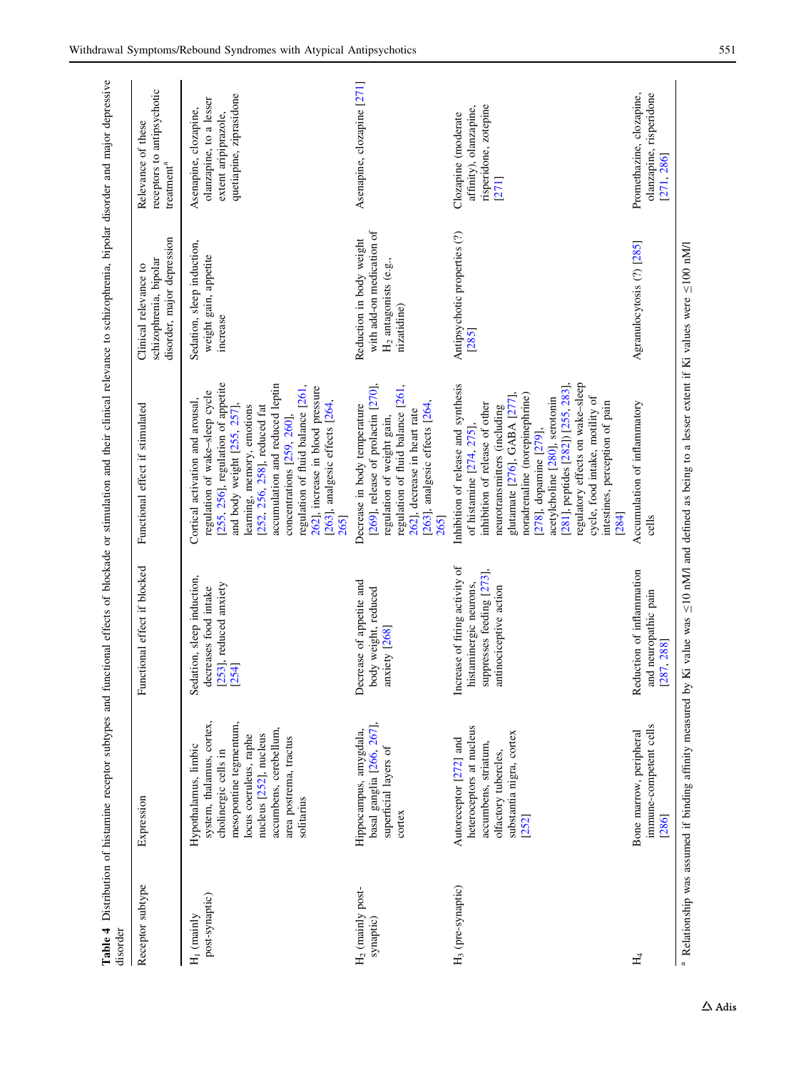<span id="page-6-0"></span>

| disorder                                  |                                                                                                                                                                                                                           |                                                                                                                 |                                                                                                                                                                                                                                                                                                                                                                                                                                |                                                                                                 |                                                                                                     |
|-------------------------------------------|---------------------------------------------------------------------------------------------------------------------------------------------------------------------------------------------------------------------------|-----------------------------------------------------------------------------------------------------------------|--------------------------------------------------------------------------------------------------------------------------------------------------------------------------------------------------------------------------------------------------------------------------------------------------------------------------------------------------------------------------------------------------------------------------------|-------------------------------------------------------------------------------------------------|-----------------------------------------------------------------------------------------------------|
| Receptor subtype                          | Expression                                                                                                                                                                                                                | Functional effect if blocked                                                                                    | Functional effect if stimulated                                                                                                                                                                                                                                                                                                                                                                                                | disorder, major depression<br>schizophrenia, bipolar<br>Clinical relevance to                   | receptors to antipsychotic<br>Relevance of these<br>treatment <sup>a</sup>                          |
| post-synaptic)<br>$H_1$ (mainly           | system, thalamus, cortex,<br>mesopontine tegmentum,<br>accumbens, cerebellum,<br>nucleus [252], nucleus<br>locus coeruleus, raphe<br>area postrema, tractus<br>Hypothalamus, limbic<br>cholinergic cells in<br>solitarius | Sedation, sleep induction,<br>[253], reduced anxiety<br>decreases food intake<br>[254]                          | [255, 256], regulation of appetite<br>accumulation and reduced leptin<br>regulation of fluid balance [261,<br>262], increase in blood pressure<br>regulation of wake-sleep cycle<br>[263], analgesic effects [264,<br>Cortical activation and arousal,<br>and body weight [255, 257],<br>learning, memory, emotions<br>[252, 256, 258], reduced fat<br>concentrations [259, 260],<br>265                                       | Sedation, sleep induction,<br>weight gain, appetite<br>increase                                 | quetiapine, ziprasidone<br>olanzapine, to a lesser<br>Asenapine, clozapine,<br>extent aripiprazole, |
| H <sub>2</sub> (mainly post-<br>synaptic) | basal ganglia [266, 267],<br>Hippocampus, amygdala,<br>superficial layers of<br>cortex                                                                                                                                    | Decrease of appetite and<br>body weight, reduced<br>anxiety [268]                                               | [269], release of prolactin [270],<br>regulation of fluid balance [261,<br>[263], analgesic effects [264,<br>Decrease in body temperature<br>262], decrease in heart rate<br>regulation of weight gain,<br>265                                                                                                                                                                                                                 | with add-on medication of<br>Reduction in body weight<br>$H2$ antagonists (e.g.,<br>nizatidine) | Asenapine, clozapine [271]                                                                          |
| H <sub>3</sub> (pre-synaptic)             | heteroceptors at nucleus<br>substantia nigra, cortex<br>Autoreceptor [272] and<br>accumbens, striatum,<br>olfactory tubercles,<br>[252]                                                                                   | Increase of firing activity of<br>suppresses feeding [273],<br>histaminergic neurons,<br>antinociceptive action | regulatory effects on wake-sleep<br>Inhibition of release and synthesis<br>[281], peptides [282]) [255, 283],<br>noradrenaline (norepinephrine)<br>glutamate [276], GABA [277],<br>cycle, food intake, motility of<br>acetylcholine [280], serotonin<br>intestines, perception of pain<br>inhibition of release of other<br>neurotransmitters (including<br>of histamine $[274, 275]$<br>$[278]$ , dopamine $[279]$ ,<br>[284] | Antipsychotic properties (?)<br>[285]                                                           | risperidone, zotepine<br>affinity), olanzapine,<br>Clozapine (moderate<br>$[271]$                   |
| $H_4$                                     | immune-competent cells<br>Bone marrow, peripheral<br>[286]                                                                                                                                                                | Reduction of inflammation<br>and neuropathic pain<br>[287, 288]                                                 | Accumulation of inflammatory<br>cells                                                                                                                                                                                                                                                                                                                                                                                          | Agranulocytosis (?) [285]                                                                       | Promethazine, clozapine,<br>olanzapine, risperidone<br>[271, 286]                                   |
|                                           |                                                                                                                                                                                                                           |                                                                                                                 | <sup>a</sup> Relationship was assumed if binding affinity measured by Ki value was <10 nM/l and defined as being to a lesser extent if Ki values were <100 nM/l                                                                                                                                                                                                                                                                |                                                                                                 |                                                                                                     |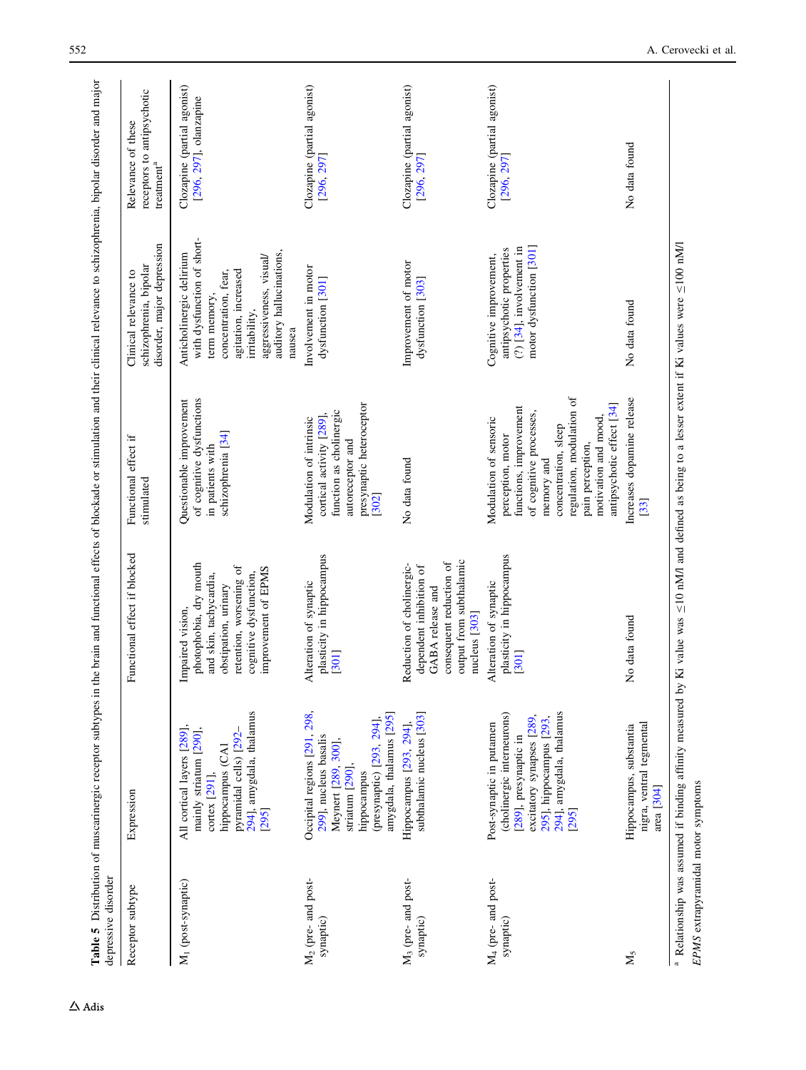<span id="page-7-0"></span>

| Receptor subtype                            | Expression                                                                                                                                                                   | Functional effect if blocked                                                                                                                                             | Functional effect if                                                                                                                                                                                                                         | Clinical relevance to                                                                                                                                                                                    | Relevance of these                                    |
|---------------------------------------------|------------------------------------------------------------------------------------------------------------------------------------------------------------------------------|--------------------------------------------------------------------------------------------------------------------------------------------------------------------------|----------------------------------------------------------------------------------------------------------------------------------------------------------------------------------------------------------------------------------------------|----------------------------------------------------------------------------------------------------------------------------------------------------------------------------------------------------------|-------------------------------------------------------|
|                                             |                                                                                                                                                                              |                                                                                                                                                                          | stimulated                                                                                                                                                                                                                                   | disorder, major depression<br>schizophrenia, bipolar                                                                                                                                                     | receptors to antipsychotic<br>$t$ reatment $^a$       |
| M <sub>1</sub> (post-synaptic)              | 294], amygdala, thalamus<br>All cortical layers [289],<br>mainly striatum [290],<br>pyramidal cells) [292-<br>hippocampus (CA1<br>cortex [291],<br>[295]                     | photophobia, dry mouth<br>retention, worsening of<br>improvement of EPMS<br>cognitive dysfunction,<br>and skin, tachycardia,<br>obstipation, urinary<br>Impaired vision, | of cognitive dysfunctions<br>Questionable improvement<br>schizophrenia <sup>[34]</sup><br>in patients with                                                                                                                                   | with dysfunction of short-<br>auditory hallucinations,<br>Anticholinergic delirium<br>aggressiveness, visual/<br>agitation, increased<br>concentration, fear,<br>term memory,<br>irritability,<br>nausea | Clozapine (partial agonist)<br>[296, 297], olanzapine |
| M <sub>2</sub> (pre- and post-<br>synaptic) | Occipital regions [291, 298,<br>amygdala, thalamus [295]<br>(presynaptic) [293, 294],<br>299], nucleus basalis<br>Meynert [289, 300],<br>striatum [290],<br>hippocampus      | plasticity in hippocampus<br>Alteration of synaptic<br>[301]                                                                                                             | presynaptic heteroceptor<br>function as cholinergic<br>cortical activity [289],<br>Modulation of intrinsic<br>autoreceptor and<br>[302]                                                                                                      | Involvement in motor<br>dysfunction [301]                                                                                                                                                                | Clozapine (partial agonist)<br>[296, 297]             |
| M <sub>3</sub> (pre- and post-<br>synaptic) | subthalamic nucleus [303]<br>Hippocampus [293, 294],                                                                                                                         | output from subthalamic<br>consequent reduction of<br>Reduction of cholinergic-<br>dependent inhibition of<br>GABA release and<br>nucleus [303]                          | No data found                                                                                                                                                                                                                                | Improvement of motor<br>dysfunction [303]                                                                                                                                                                | Clozapine (partial agonist)<br>[296, 297]             |
| M <sub>4</sub> (pre- and post-<br>synaptic) | (cholinergic interneurons)<br>294], amygdala, thalamus<br>excitatory synapses [289,<br>295], hippocampus [293,<br>Post-synaptic in putamen<br>[289], presynaptic in<br>[295] | plasticity in hippocampus<br>Alteration of synaptic<br>[301]                                                                                                             | regulation, modulation of<br>antipsychotic effect [34]<br>functions, improvement<br>of cognitive processes,<br>Modulation of sensoric<br>motivation and mood.<br>concentration, sleep<br>perception, motor<br>pain perception,<br>memory and | $(?)$ [34], involvement in<br>motor dysfunction [301]<br>antipsychotic properties<br>Cognitive improvement,                                                                                              | Clozapine (partial agonist)<br>[296, 297]             |
| $M_{5}$                                     | nigra, ventral tegmental<br>Hippocampus, substantia<br>area <sup>[304]</sup>                                                                                                 | No data found                                                                                                                                                            | Increases dopamine release<br>[33]                                                                                                                                                                                                           | No data found                                                                                                                                                                                            | No data found                                         |
| EPMS extrapyramidal motor symptoms          | <sup>a</sup> Relationship was assumed if binding affinity measured by                                                                                                        |                                                                                                                                                                          | Ki value was $\leq$ 10 nM/l and defined as being to a lesser extent if Ki values were $\leq$ 100 nM/l                                                                                                                                        |                                                                                                                                                                                                          |                                                       |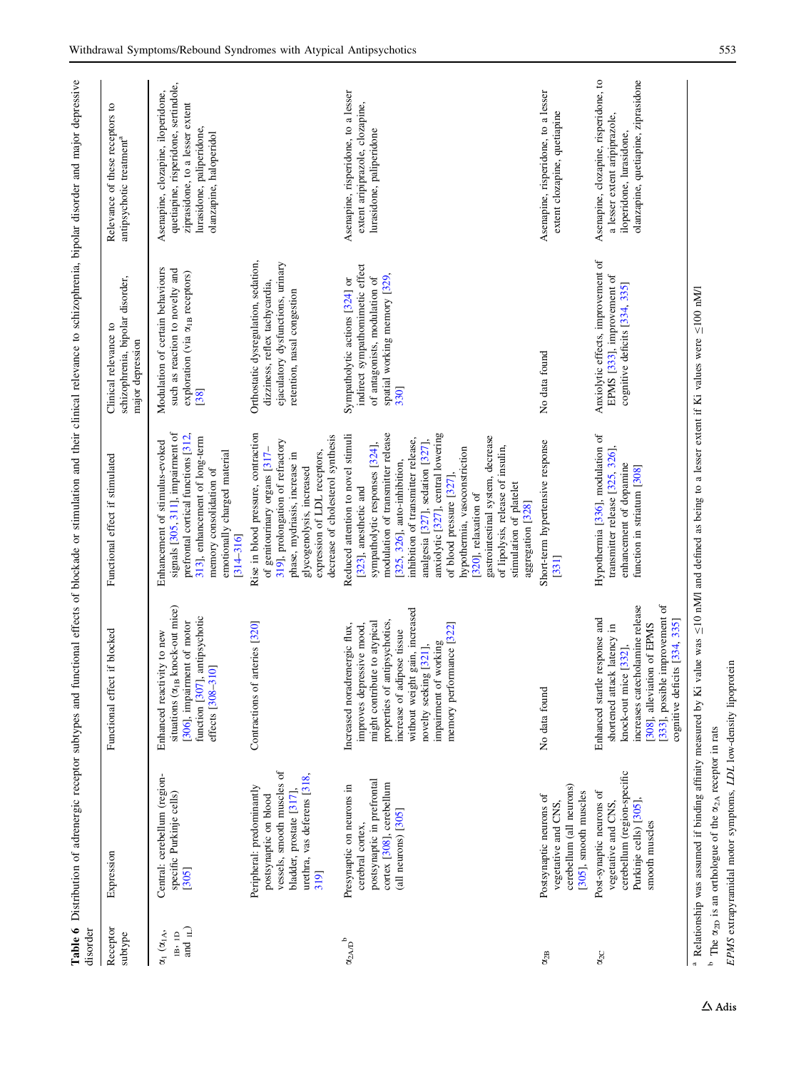<span id="page-8-0"></span>

| disorder                                                |                                                                                                                                                                   |                                                                                                                                                                                                                                                                               |                                                                                                                                                                                                                                                                                                                                                                                                                                                                                                  | Table 6 Distribution of adrenergic receptor subtypes and functional effects of blockade or stimulation and their clinical relevance to schizophrenia, bipolar disorder and major depressive |                                                                                                                                                                       |
|---------------------------------------------------------|-------------------------------------------------------------------------------------------------------------------------------------------------------------------|-------------------------------------------------------------------------------------------------------------------------------------------------------------------------------------------------------------------------------------------------------------------------------|--------------------------------------------------------------------------------------------------------------------------------------------------------------------------------------------------------------------------------------------------------------------------------------------------------------------------------------------------------------------------------------------------------------------------------------------------------------------------------------------------|---------------------------------------------------------------------------------------------------------------------------------------------------------------------------------------------|-----------------------------------------------------------------------------------------------------------------------------------------------------------------------|
| Receptor<br>subtype                                     | Expression                                                                                                                                                        | Functional effect if blocked                                                                                                                                                                                                                                                  | Functional effect if stimulated                                                                                                                                                                                                                                                                                                                                                                                                                                                                  | schizophrenia, bipolar disorder,<br>Clinical relevance to<br>major depression                                                                                                               | Relevance of these receptors to<br>antipsychotic treatment <sup>a</sup>                                                                                               |
| and $_{\rm IL})$<br>$\alpha_1$ $(\alpha_{1A},$<br>IB.1D | Central: cerebellum (region-<br>specific Purkinje cells)<br>[305]                                                                                                 | situations ( $\alpha_{IB}$ knock-out mice)<br>function [307], antipsychotic<br>[306], impairment of motor<br>Enhanced reactivity to new<br>310]<br>effects [308-                                                                                                              | signals [305, 311], impairment of<br>prefrontal cortical functions [312,<br>313], enhancement of long-term<br>Enhancement of stimulus-evoked<br>emotionally charged material<br>memory consolidation of<br>$[314 - 316]$                                                                                                                                                                                                                                                                         | Modulation of certain behaviours<br>such as reaction to novelty and<br>exploration (via $\alpha_{IB}$ receptors)<br>[38]                                                                    | quetiapine, risperidone, sertindole,<br>Asenapine, clozapine, iloperidone,<br>ziprasidone, to a lesser extent<br>lurasidone, paliperidone,<br>olanzapine, haloperidol |
|                                                         | vessels, smooth muscles of<br>urethra, vas deferens [318,<br>Peripheral: predominantly<br>bladder, prostate [317],<br>postsynaptic on blood<br>319]               | arteries [320]<br>Contractions of                                                                                                                                                                                                                                             | Rise in blood pressure, contraction<br>decrease of cholesterol synthesis<br>319], prolongation of refractory<br>of genitourinary organs [317-<br>expression of LDL receptors,<br>phase, mydriasis, increase in<br>glycogenolysis, increased                                                                                                                                                                                                                                                      | Orthostatic dysregulation, sedation,<br>ejaculatory dysfunctions, urinary<br>dizziness, reflex tachycardia,<br>retention, nasal congestion                                                  |                                                                                                                                                                       |
| $\alpha_{2AD}^{\phantom{2}}$ b                          | postsynaptic in prefrontal<br>cortex [308], cerebellum<br>Presynaptic on neurons in<br>(all neurons) [305]<br>cerebral cortex,                                    | without weight gain, increased<br>antipsychotics,<br>might contribute to atypical<br>Increased noradrenergic flux,<br>improves depressive mood,<br>memory performance [322]<br>increase of adipose tissue<br>impairment of working<br>novelty seeking [321],<br>properties of | modulation of transmitter release<br>anxiolytic [327], central lowering<br>Reduced attention to novel stimuli<br>gastrointestinal system, decrease<br>inhibition of transmitter release,<br>analgesia [327], sedation [327],<br>sympatholytic responses [324],<br>of lipolysis, release of insulin,<br>hypothermia, vasoconstriction<br>[325, 326], auto-inhibition,<br>of blood pressure [327]<br>stimulation of platelet<br>[323], anesthetic and<br>[320], relaxation of<br>aggregation [328] | indirect sympathomimetic effect<br>spatial working memory [329,<br>of antagonists, modulation of<br>Sympatholytic actions [324] or<br>330]                                                  | Asenapine, risperidone, to a lesser<br>extent aripiprazole, clozapine,<br>lurasidone, paliperidone                                                                    |
| $\alpha_{2B}$                                           | cerebellum (all neurons)<br>[305], smooth muscles<br>Postsynaptic neurons of<br>vegetative and CNS.                                                               | No data found                                                                                                                                                                                                                                                                 | Short-term hypertensive response<br>$[331]$                                                                                                                                                                                                                                                                                                                                                                                                                                                      | No data found                                                                                                                                                                               | Asenapine, risperidone, to a lesser<br>extent clozapine, quetiapine                                                                                                   |
| $\alpha_{2C}$                                           | cerebellum (region-specific<br>Post-synaptic neurons of<br>vegetative and CNS,<br>Purkinje cells) [305]<br>smooth muscles                                         | [333], possible improvement of<br>increases catecholamine release<br>Enhanced startle response and<br>cognitive deficits [334, 335]<br>[308], alleviation of EPMS<br>shortened attack latency in<br>knock-out mice [332],                                                     | Hypothermia [336], modulation of<br>transmitter release [325, 326],<br>enhancement of dopamine<br>function in striatum [308]                                                                                                                                                                                                                                                                                                                                                                     | Anxiolytic effects, improvement of<br>EPMS [333], improvement of<br>cognitive deficits [334, 335]                                                                                           | Asenapine, clozapine, risperidone, to<br>olanzapine, quetiapine, ziprasidone<br>a lesser extent aripiprazole,<br>iloperidone, lurasidone,                             |
|                                                         | <sup>a</sup> Relationship was assumed if binding affinity measured by Ki<br><sup>b</sup> The $\alpha_{2D}$ is an orthologue of the $\alpha_{2A}$ receptor in rats |                                                                                                                                                                                                                                                                               | value was $\leq$ 10 nM/l and defined as being to a lesser extent if Ki values were $\leq$ 100 nM/l                                                                                                                                                                                                                                                                                                                                                                                               |                                                                                                                                                                                             |                                                                                                                                                                       |

EPMS extrapyramidal motor symptoms, LDL low-density lipoprotein

EPMS extrapyramidal motor symptoms, LDL low-density lipoprotein

 $\Delta$ Adis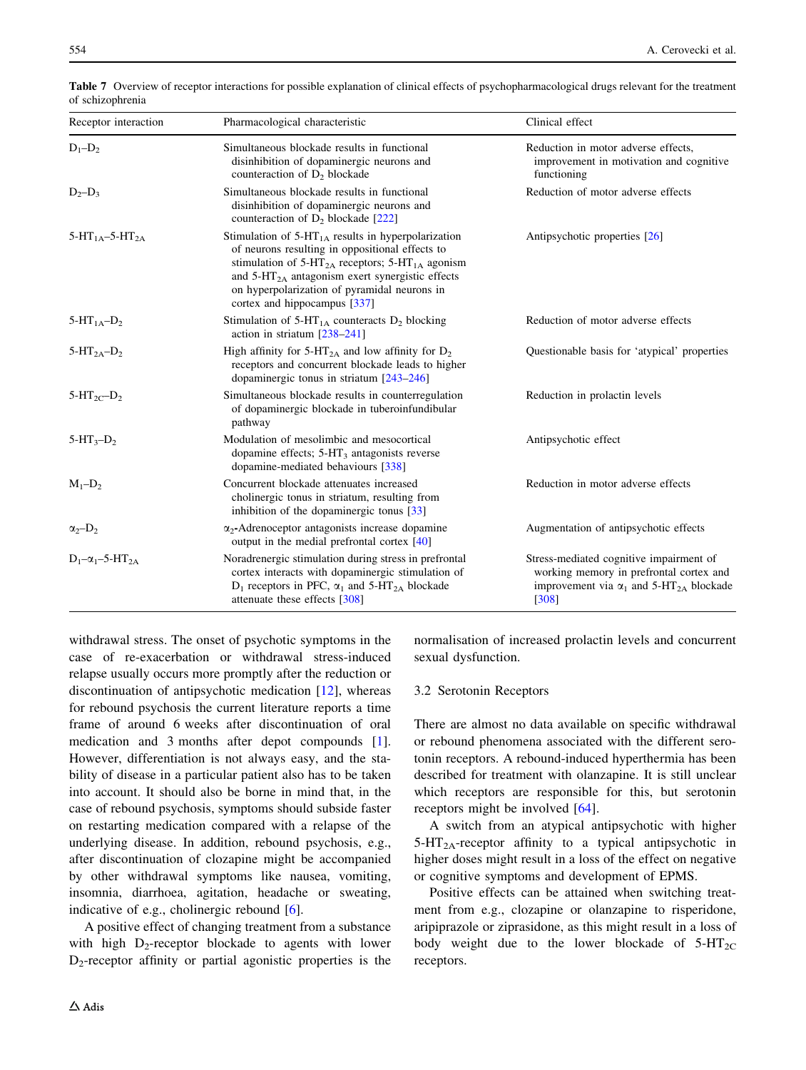| Receptor interaction                   | Pharmacological characteristic                                                                                                                                                                                                                                                                                             | Clinical effect                                                                                                                                             |
|----------------------------------------|----------------------------------------------------------------------------------------------------------------------------------------------------------------------------------------------------------------------------------------------------------------------------------------------------------------------------|-------------------------------------------------------------------------------------------------------------------------------------------------------------|
| $D_1 - D_2$                            | Simultaneous blockade results in functional<br>disinhibition of dopaminergic neurons and<br>counteraction of $D_2$ blockade                                                                                                                                                                                                | Reduction in motor adverse effects,<br>improvement in motivation and cognitive<br>functioning                                                               |
| $D_2-D_3$                              | Simultaneous blockade results in functional<br>disinhibition of dopaminergic neurons and<br>counteraction of D <sub>2</sub> blockade [222]                                                                                                                                                                                 | Reduction of motor adverse effects                                                                                                                          |
| 5-HT <sub>1A</sub> -5-HT <sub>2A</sub> | Stimulation of $5-HT1A$ results in hyperpolarization<br>of neurons resulting in oppositional effects to<br>stimulation of $5-HT_{2A}$ receptors; $5-HT_{1A}$ agonism<br>and $5-\text{HT}_{2\text{A}}$ antagonism exert synergistic effects<br>on hyperpolarization of pyramidal neurons in<br>cortex and hippocampus [337] | Antipsychotic properties [26]                                                                                                                               |
| $5-HT_{1A}-D_2$                        | Stimulation of $5-HT_{1A}$ counteracts $D_2$ blocking<br>action in striatum $[238-241]$                                                                                                                                                                                                                                    | Reduction of motor adverse effects                                                                                                                          |
| $5-HT_{2A}-D_2$                        | High affinity for $5\text{-}HT_{2A}$ and low affinity for $D_2$<br>receptors and concurrent blockade leads to higher<br>dopaminergic tonus in striatum $[243-246]$                                                                                                                                                         | Questionable basis for 'atypical' properties                                                                                                                |
| $5-HT_{2C}$ -D <sub>2</sub>            | Simultaneous blockade results in counterregulation<br>of dopaminergic blockade in tuberoinfundibular<br>pathway                                                                                                                                                                                                            | Reduction in prolactin levels                                                                                                                               |
| $5-HT_3-D_2$                           | Modulation of mesolimbic and mesocortical<br>dopamine effects; $5-\text{HT}_3$ antagonists reverse<br>dopamine-mediated behaviours [338]                                                                                                                                                                                   | Antipsychotic effect                                                                                                                                        |
| $M_1 - D_2$                            | Concurrent blockade attenuates increased<br>cholinergic tonus in striatum, resulting from<br>inhibition of the dopaminergic tonus $\lceil 33 \rceil$                                                                                                                                                                       | Reduction in motor adverse effects                                                                                                                          |
| $\alpha_2 - D_2$                       | $\alpha_2$ -Adrenoceptor antagonists increase dopamine<br>output in the medial prefrontal cortex [40]                                                                                                                                                                                                                      | Augmentation of antipsychotic effects                                                                                                                       |
| $D_1-\alpha_1-5-HT_{2\Delta}$          | Noradrenergic stimulation during stress in prefrontal<br>cortex interacts with dopaminergic stimulation of<br>$D_1$ receptors in PFC, $\alpha_1$ and 5-HT <sub>2A</sub> blockade<br>attenuate these effects [308]                                                                                                          | Stress-mediated cognitive impairment of<br>working memory in prefrontal cortex and<br>improvement via $\alpha_1$ and 5-HT <sub>2A</sub> blockade<br>$[308]$ |

<span id="page-9-0"></span>Table 7 Overview of receptor interactions for possible explanation of clinical effects of psychopharmacological drugs relevant for the treatment of schizophrenia

withdrawal stress. The onset of psychotic symptoms in the case of re-exacerbation or withdrawal stress-induced relapse usually occurs more promptly after the reduction or discontinuation of antipsychotic medication [[12\]](#page-18-0), whereas for rebound psychosis the current literature reports a time frame of around 6 weeks after discontinuation of oral medication and 3 months after depot compounds [\[1](#page-18-0)]. However, differentiation is not always easy, and the stability of disease in a particular patient also has to be taken into account. It should also be borne in mind that, in the case of rebound psychosis, symptoms should subside faster on restarting medication compared with a relapse of the underlying disease. In addition, rebound psychosis, e.g., after discontinuation of clozapine might be accompanied by other withdrawal symptoms like nausea, vomiting, insomnia, diarrhoea, agitation, headache or sweating, indicative of e.g., cholinergic rebound [[6\]](#page-18-0).

A positive effect of changing treatment from a substance with high  $D_2$ -receptor blockade to agents with lower  $D_2$ -receptor affinity or partial agonistic properties is the

 $\triangle$  Adis

normalisation of increased prolactin levels and concurrent sexual dysfunction.

#### 3.2 Serotonin Receptors

There are almost no data available on specific withdrawal or rebound phenomena associated with the different serotonin receptors. A rebound-induced hyperthermia has been described for treatment with olanzapine. It is still unclear which receptors are responsible for this, but serotonin receptors might be involved [\[64](#page-19-0)].

A switch from an atypical antipsychotic with higher 5-HT2A-receptor affinity to a typical antipsychotic in higher doses might result in a loss of the effect on negative or cognitive symptoms and development of EPMS.

Positive effects can be attained when switching treatment from e.g., clozapine or olanzapine to risperidone, aripiprazole or ziprasidone, as this might result in a loss of body weight due to the lower blockade of  $5-HT_{2C}$ receptors.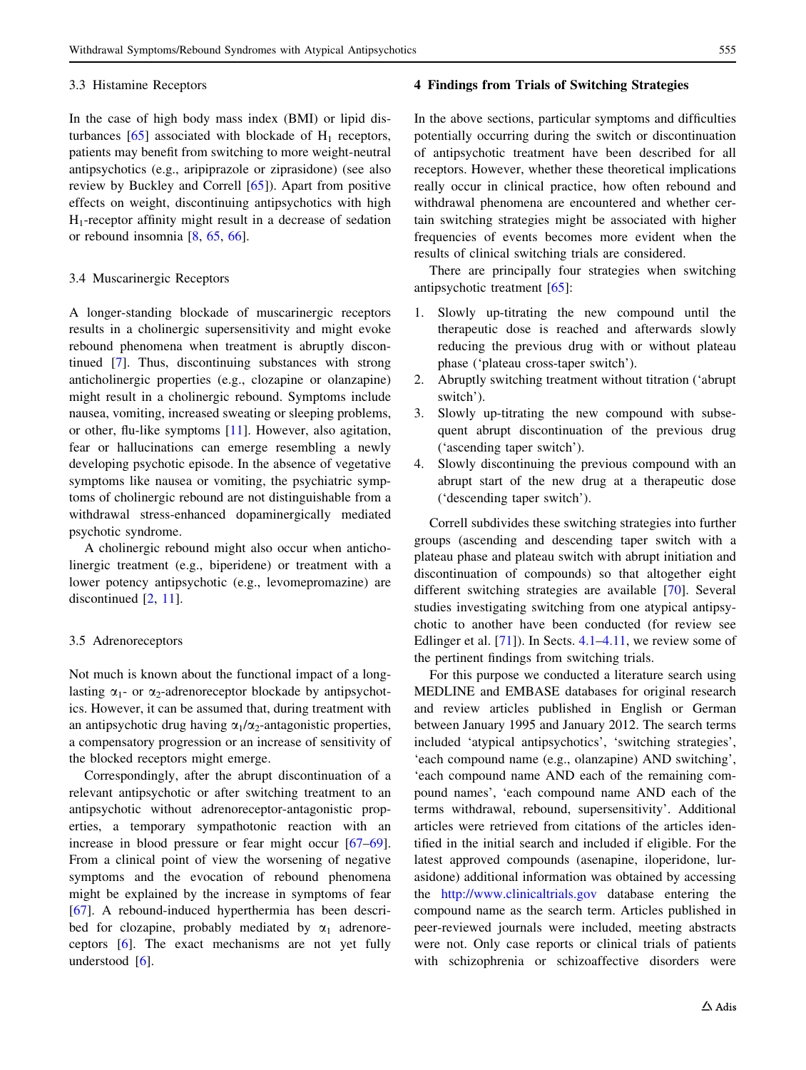#### <span id="page-10-0"></span>3.3 Histamine Receptors

In the case of high body mass index (BMI) or lipid disturbances  $[65]$  $[65]$  associated with blockade of  $H_1$  receptors, patients may benefit from switching to more weight-neutral antipsychotics (e.g., aripiprazole or ziprasidone) (see also review by Buckley and Correll [\[65](#page-19-0)]). Apart from positive effects on weight, discontinuing antipsychotics with high  $H_1$ -receptor affinity might result in a decrease of sedation or rebound insomnia [\[8](#page-18-0), [65,](#page-19-0) [66\]](#page-19-0).

# 3.4 Muscarinergic Receptors

A longer-standing blockade of muscarinergic receptors results in a cholinergic supersensitivity and might evoke rebound phenomena when treatment is abruptly discontinued [\[7](#page-18-0)]. Thus, discontinuing substances with strong anticholinergic properties (e.g., clozapine or olanzapine) might result in a cholinergic rebound. Symptoms include nausea, vomiting, increased sweating or sleeping problems, or other, flu-like symptoms [[11\]](#page-18-0). However, also agitation, fear or hallucinations can emerge resembling a newly developing psychotic episode. In the absence of vegetative symptoms like nausea or vomiting, the psychiatric symptoms of cholinergic rebound are not distinguishable from a withdrawal stress-enhanced dopaminergically mediated psychotic syndrome.

A cholinergic rebound might also occur when anticholinergic treatment (e.g., biperidene) or treatment with a lower potency antipsychotic (e.g., levomepromazine) are discontinued [[2,](#page-18-0) [11\]](#page-18-0).

#### 3.5 Adrenoreceptors

Not much is known about the functional impact of a longlasting  $\alpha_1$ - or  $\alpha_2$ -adrenoreceptor blockade by antipsychotics. However, it can be assumed that, during treatment with an antipsychotic drug having  $\alpha_1/\alpha_2$ -antagonistic properties, a compensatory progression or an increase of sensitivity of the blocked receptors might emerge.

Correspondingly, after the abrupt discontinuation of a relevant antipsychotic or after switching treatment to an antipsychotic without adrenoreceptor-antagonistic properties, a temporary sympathotonic reaction with an increase in blood pressure or fear might occur [\[67–69](#page-19-0)]. From a clinical point of view the worsening of negative symptoms and the evocation of rebound phenomena might be explained by the increase in symptoms of fear [\[67](#page-19-0)]. A rebound-induced hyperthermia has been described for clozapine, probably mediated by  $\alpha_1$  adrenoreceptors [[6\]](#page-18-0). The exact mechanisms are not yet fully understood [\[6](#page-18-0)].

## 4 Findings from Trials of Switching Strategies

In the above sections, particular symptoms and difficulties potentially occurring during the switch or discontinuation of antipsychotic treatment have been described for all receptors. However, whether these theoretical implications really occur in clinical practice, how often rebound and withdrawal phenomena are encountered and whether certain switching strategies might be associated with higher frequencies of events becomes more evident when the results of clinical switching trials are considered.

There are principally four strategies when switching antipsychotic treatment [[65](#page-19-0)]:

- 1. Slowly up-titrating the new compound until the therapeutic dose is reached and afterwards slowly reducing the previous drug with or without plateau phase ('plateau cross-taper switch').
- 2. Abruptly switching treatment without titration ('abrupt switch').
- 3. Slowly up-titrating the new compound with subsequent abrupt discontinuation of the previous drug ('ascending taper switch').
- 4. Slowly discontinuing the previous compound with an abrupt start of the new drug at a therapeutic dose ('descending taper switch').

Correll subdivides these switching strategies into further groups (ascending and descending taper switch with a plateau phase and plateau switch with abrupt initiation and discontinuation of compounds) so that altogether eight different switching strategies are available [[70\]](#page-19-0). Several studies investigating switching from one atypical antipsychotic to another have been conducted (for review see Edlinger et al. [[71\]](#page-19-0)). In Sects. [4.1](#page-11-0)[–4.11,](#page-15-0) we review some of the pertinent findings from switching trials.

For this purpose we conducted a literature search using MEDLINE and EMBASE databases for original research and review articles published in English or German between January 1995 and January 2012. The search terms included 'atypical antipsychotics', 'switching strategies', 'each compound name (e.g., olanzapine) AND switching', 'each compound name AND each of the remaining compound names', 'each compound name AND each of the terms withdrawal, rebound, supersensitivity'. Additional articles were retrieved from citations of the articles identified in the initial search and included if eligible. For the latest approved compounds (asenapine, iloperidone, lurasidone) additional information was obtained by accessing the <http://www.clinicaltrials.gov> database entering the compound name as the search term. Articles published in peer-reviewed journals were included, meeting abstracts were not. Only case reports or clinical trials of patients with schizophrenia or schizoaffective disorders were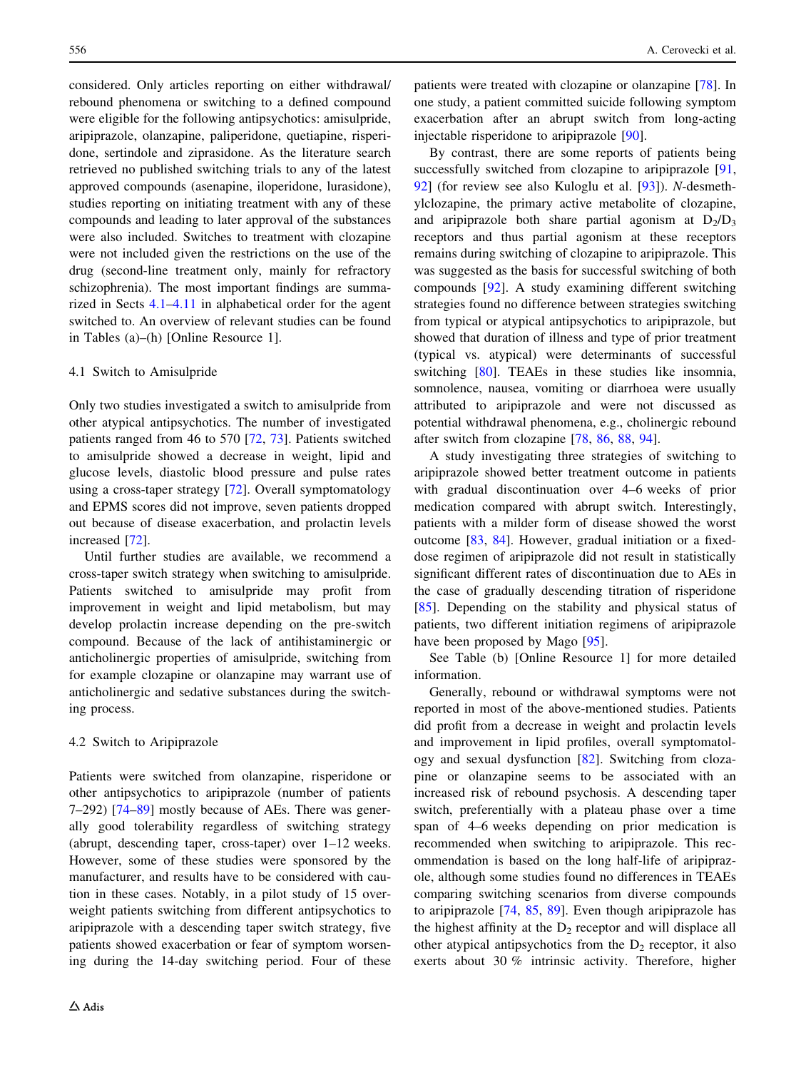<span id="page-11-0"></span>considered. Only articles reporting on either withdrawal/ rebound phenomena or switching to a defined compound were eligible for the following antipsychotics: amisulpride, aripiprazole, olanzapine, paliperidone, quetiapine, risperidone, sertindole and ziprasidone. As the literature search retrieved no published switching trials to any of the latest approved compounds (asenapine, iloperidone, lurasidone), studies reporting on initiating treatment with any of these compounds and leading to later approval of the substances were also included. Switches to treatment with clozapine were not included given the restrictions on the use of the drug (second-line treatment only, mainly for refractory schizophrenia). The most important findings are summarized in Sects 4.1–[4.11](#page-15-0) in alphabetical order for the agent switched to. An overview of relevant studies can be found in Tables (a)–(h) [Online Resource 1].

## 4.1 Switch to Amisulpride

Only two studies investigated a switch to amisulpride from other atypical antipsychotics. The number of investigated patients ranged from 46 to 570 [\[72](#page-19-0), [73\]](#page-20-0). Patients switched to amisulpride showed a decrease in weight, lipid and glucose levels, diastolic blood pressure and pulse rates using a cross-taper strategy [\[72](#page-19-0)]. Overall symptomatology and EPMS scores did not improve, seven patients dropped out because of disease exacerbation, and prolactin levels increased [[72\]](#page-19-0).

Until further studies are available, we recommend a cross-taper switch strategy when switching to amisulpride. Patients switched to amisulpride may profit from improvement in weight and lipid metabolism, but may develop prolactin increase depending on the pre-switch compound. Because of the lack of antihistaminergic or anticholinergic properties of amisulpride, switching from for example clozapine or olanzapine may warrant use of anticholinergic and sedative substances during the switching process.

#### 4.2 Switch to Aripiprazole

Patients were switched from olanzapine, risperidone or other antipsychotics to aripiprazole (number of patients 7–292) [[74–89\]](#page-20-0) mostly because of AEs. There was generally good tolerability regardless of switching strategy (abrupt, descending taper, cross-taper) over 1–12 weeks. However, some of these studies were sponsored by the manufacturer, and results have to be considered with caution in these cases. Notably, in a pilot study of 15 overweight patients switching from different antipsychotics to aripiprazole with a descending taper switch strategy, five patients showed exacerbation or fear of symptom worsening during the 14-day switching period. Four of these patients were treated with clozapine or olanzapine [\[78](#page-20-0)]. In one study, a patient committed suicide following symptom exacerbation after an abrupt switch from long-acting injectable risperidone to aripiprazole [[90\]](#page-20-0).

By contrast, there are some reports of patients being successfully switched from clozapine to aripiprazole [[91,](#page-20-0) [92](#page-20-0)] (for review see also Kuloglu et al. [[93\]](#page-20-0)). N-desmethylclozapine, the primary active metabolite of clozapine, and aripiprazole both share partial agonism at  $D_2/D_3$ receptors and thus partial agonism at these receptors remains during switching of clozapine to aripiprazole. This was suggested as the basis for successful switching of both compounds [\[92](#page-20-0)]. A study examining different switching strategies found no difference between strategies switching from typical or atypical antipsychotics to aripiprazole, but showed that duration of illness and type of prior treatment (typical vs. atypical) were determinants of successful switching [\[80](#page-20-0)]. TEAEs in these studies like insomnia, somnolence, nausea, vomiting or diarrhoea were usually attributed to aripiprazole and were not discussed as potential withdrawal phenomena, e.g., cholinergic rebound after switch from clozapine [\[78](#page-20-0), [86,](#page-20-0) [88,](#page-20-0) [94\]](#page-20-0).

A study investigating three strategies of switching to aripiprazole showed better treatment outcome in patients with gradual discontinuation over 4–6 weeks of prior medication compared with abrupt switch. Interestingly, patients with a milder form of disease showed the worst outcome [[83,](#page-20-0) [84](#page-20-0)]. However, gradual initiation or a fixeddose regimen of aripiprazole did not result in statistically significant different rates of discontinuation due to AEs in the case of gradually descending titration of risperidone [\[85](#page-20-0)]. Depending on the stability and physical status of patients, two different initiation regimens of aripiprazole have been proposed by Mago [[95\]](#page-20-0).

See Table (b) [Online Resource 1] for more detailed information.

Generally, rebound or withdrawal symptoms were not reported in most of the above-mentioned studies. Patients did profit from a decrease in weight and prolactin levels and improvement in lipid profiles, overall symptomatology and sexual dysfunction [\[82](#page-20-0)]. Switching from clozapine or olanzapine seems to be associated with an increased risk of rebound psychosis. A descending taper switch, preferentially with a plateau phase over a time span of 4–6 weeks depending on prior medication is recommended when switching to aripiprazole. This recommendation is based on the long half-life of aripiprazole, although some studies found no differences in TEAEs comparing switching scenarios from diverse compounds to aripiprazole [\[74](#page-20-0), [85](#page-20-0), [89](#page-20-0)]. Even though aripiprazole has the highest affinity at the  $D_2$  receptor and will displace all other atypical antipsychotics from the  $D<sub>2</sub>$  receptor, it also exerts about 30 % intrinsic activity. Therefore, higher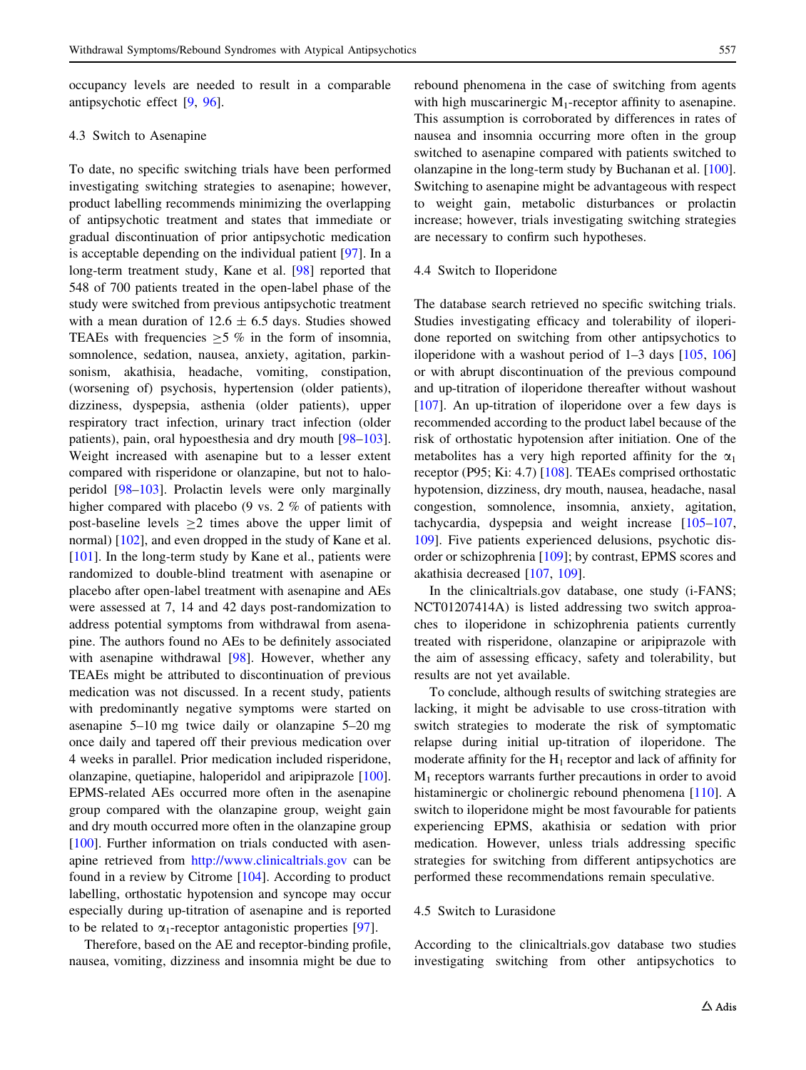occupancy levels are needed to result in a comparable antipsychotic effect [[9,](#page-18-0) [96](#page-20-0)].

## 4.3 Switch to Asenapine

To date, no specific switching trials have been performed investigating switching strategies to asenapine; however, product labelling recommends minimizing the overlapping of antipsychotic treatment and states that immediate or gradual discontinuation of prior antipsychotic medication is acceptable depending on the individual patient [[97\]](#page-20-0). In a long-term treatment study, Kane et al. [\[98](#page-20-0)] reported that 548 of 700 patients treated in the open-label phase of the study were switched from previous antipsychotic treatment with a mean duration of  $12.6 \pm 6.5$  days. Studies showed TEAEs with frequencies  $>5$  % in the form of insomnia, somnolence, sedation, nausea, anxiety, agitation, parkinsonism, akathisia, headache, vomiting, constipation, (worsening of) psychosis, hypertension (older patients), dizziness, dyspepsia, asthenia (older patients), upper respiratory tract infection, urinary tract infection (older patients), pain, oral hypoesthesia and dry mouth [\[98–103](#page-20-0)]. Weight increased with asenapine but to a lesser extent compared with risperidone or olanzapine, but not to haloperidol [[98–103\]](#page-20-0). Prolactin levels were only marginally higher compared with placebo (9 vs. 2 % of patients with post-baseline levels  $\geq 2$  times above the upper limit of normal) [[102\]](#page-20-0), and even dropped in the study of Kane et al. [\[101](#page-20-0)]. In the long-term study by Kane et al., patients were randomized to double-blind treatment with asenapine or placebo after open-label treatment with asenapine and AEs were assessed at 7, 14 and 42 days post-randomization to address potential symptoms from withdrawal from asenapine. The authors found no AEs to be definitely associated with asenapine withdrawal [\[98](#page-20-0)]. However, whether any TEAEs might be attributed to discontinuation of previous medication was not discussed. In a recent study, patients with predominantly negative symptoms were started on asenapine 5–10 mg twice daily or olanzapine 5–20 mg once daily and tapered off their previous medication over 4 weeks in parallel. Prior medication included risperidone, olanzapine, quetiapine, haloperidol and aripiprazole [\[100](#page-20-0)]. EPMS-related AEs occurred more often in the asenapine group compared with the olanzapine group, weight gain and dry mouth occurred more often in the olanzapine group [\[100](#page-20-0)]. Further information on trials conducted with asenapine retrieved from <http://www.clinicaltrials.gov> can be found in a review by Citrome [[104](#page-20-0)]. According to product labelling, orthostatic hypotension and syncope may occur especially during up-titration of asenapine and is reported to be related to  $\alpha_1$ -receptor antagonistic properties [[97\]](#page-20-0).

Therefore, based on the AE and receptor-binding profile, nausea, vomiting, dizziness and insomnia might be due to rebound phenomena in the case of switching from agents with high muscarinergic  $M_1$ -receptor affinity to asenapine. This assumption is corroborated by differences in rates of nausea and insomnia occurring more often in the group switched to asenapine compared with patients switched to olanzapine in the long-term study by Buchanan et al. [\[100](#page-20-0)]. Switching to asenapine might be advantageous with respect to weight gain, metabolic disturbances or prolactin increase; however, trials investigating switching strategies are necessary to confirm such hypotheses.

#### 4.4 Switch to Iloperidone

The database search retrieved no specific switching trials. Studies investigating efficacy and tolerability of iloperidone reported on switching from other antipsychotics to iloperidone with a washout period of 1–3 days [\[105](#page-20-0), [106\]](#page-20-0) or with abrupt discontinuation of the previous compound and up-titration of iloperidone thereafter without washout [\[107](#page-20-0)]. An up-titration of iloperidone over a few days is recommended according to the product label because of the risk of orthostatic hypotension after initiation. One of the metabolites has a very high reported affinity for the  $\alpha_1$ receptor (P95; Ki: 4.7) [[108](#page-20-0)]. TEAEs comprised orthostatic hypotension, dizziness, dry mouth, nausea, headache, nasal congestion, somnolence, insomnia, anxiety, agitation, tachycardia, dyspepsia and weight increase [[105–107,](#page-20-0) [109](#page-20-0)]. Five patients experienced delusions, psychotic disorder or schizophrenia [[109\]](#page-20-0); by contrast, EPMS scores and akathisia decreased [\[107](#page-20-0), [109](#page-20-0)].

In the clinicaltrials.gov database, one study (i-FANS; NCT01207414A) is listed addressing two switch approaches to iloperidone in schizophrenia patients currently treated with risperidone, olanzapine or aripiprazole with the aim of assessing efficacy, safety and tolerability, but results are not yet available.

To conclude, although results of switching strategies are lacking, it might be advisable to use cross-titration with switch strategies to moderate the risk of symptomatic relapse during initial up-titration of iloperidone. The moderate affinity for the  $H_1$  receptor and lack of affinity for  $M_1$  receptors warrants further precautions in order to avoid histaminergic or cholinergic rebound phenomena [[110\]](#page-21-0). A switch to iloperidone might be most favourable for patients experiencing EPMS, akathisia or sedation with prior medication. However, unless trials addressing specific strategies for switching from different antipsychotics are performed these recommendations remain speculative.

## 4.5 Switch to Lurasidone

According to the clinicaltrials.gov database two studies investigating switching from other antipsychotics to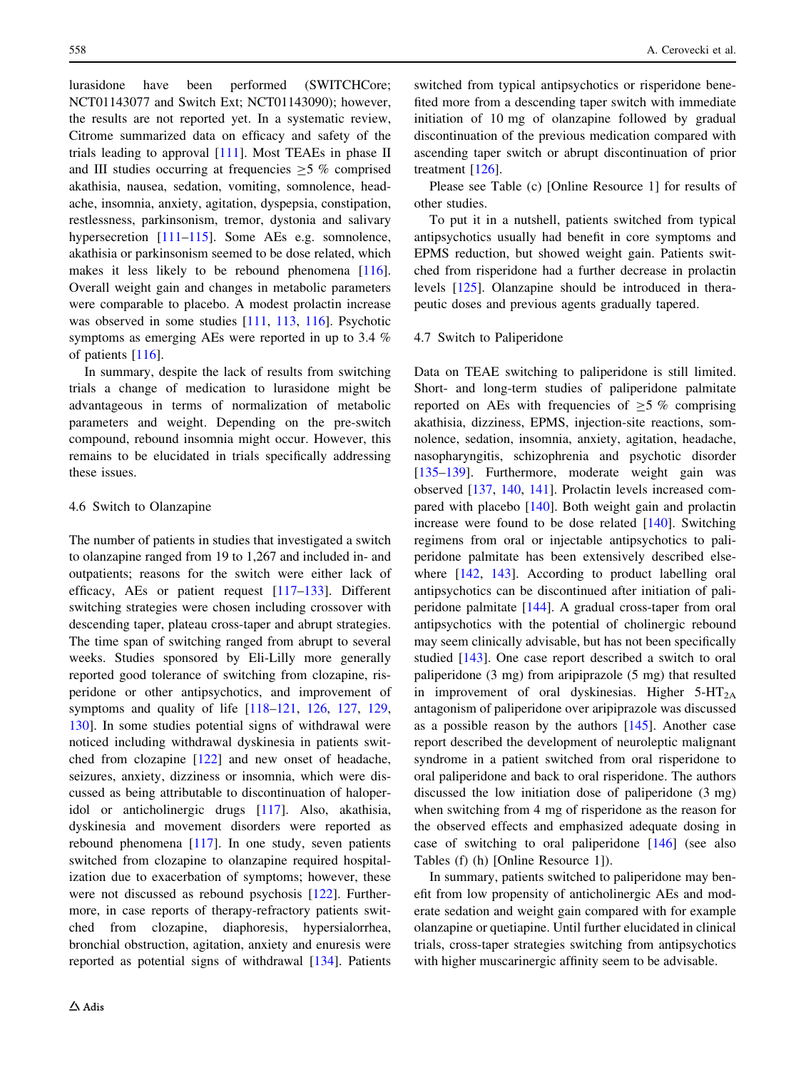lurasidone have been performed (SWITCHCore; NCT01143077 and Switch Ext; NCT01143090); however, the results are not reported yet. In a systematic review, Citrome summarized data on efficacy and safety of the trials leading to approval [\[111](#page-21-0)]. Most TEAEs in phase II and III studies occurring at frequencies  $>5$  % comprised akathisia, nausea, sedation, vomiting, somnolence, headache, insomnia, anxiety, agitation, dyspepsia, constipation, restlessness, parkinsonism, tremor, dystonia and salivary hypersecretion [\[111–115](#page-21-0)]. Some AEs e.g. somnolence, akathisia or parkinsonism seemed to be dose related, which makes it less likely to be rebound phenomena [\[116](#page-21-0)]. Overall weight gain and changes in metabolic parameters were comparable to placebo. A modest prolactin increase was observed in some studies [[111,](#page-21-0) [113,](#page-21-0) [116](#page-21-0)]. Psychotic symptoms as emerging AEs were reported in up to 3.4 % of patients [[116](#page-21-0)].

In summary, despite the lack of results from switching trials a change of medication to lurasidone might be advantageous in terms of normalization of metabolic parameters and weight. Depending on the pre-switch compound, rebound insomnia might occur. However, this remains to be elucidated in trials specifically addressing these issues.

## 4.6 Switch to Olanzapine

The number of patients in studies that investigated a switch to olanzapine ranged from 19 to 1,267 and included in- and outpatients; reasons for the switch were either lack of efficacy, AEs or patient request [[117–133\]](#page-21-0). Different switching strategies were chosen including crossover with descending taper, plateau cross-taper and abrupt strategies. The time span of switching ranged from abrupt to several weeks. Studies sponsored by Eli-Lilly more generally reported good tolerance of switching from clozapine, risperidone or other antipsychotics, and improvement of symptoms and quality of life [\[118–121](#page-21-0), [126,](#page-21-0) [127](#page-21-0), [129,](#page-21-0) [130\]](#page-21-0). In some studies potential signs of withdrawal were noticed including withdrawal dyskinesia in patients switched from clozapine [[122\]](#page-21-0) and new onset of headache, seizures, anxiety, dizziness or insomnia, which were discussed as being attributable to discontinuation of haloperidol or anticholinergic drugs [[117\]](#page-21-0). Also, akathisia, dyskinesia and movement disorders were reported as rebound phenomena [\[117](#page-21-0)]. In one study, seven patients switched from clozapine to olanzapine required hospitalization due to exacerbation of symptoms; however, these were not discussed as rebound psychosis [\[122](#page-21-0)]. Furthermore, in case reports of therapy-refractory patients switched from clozapine, diaphoresis, hypersialorrhea, bronchial obstruction, agitation, anxiety and enuresis were reported as potential signs of withdrawal [\[134](#page-21-0)]. Patients switched from typical antipsychotics or risperidone benefited more from a descending taper switch with immediate initiation of 10 mg of olanzapine followed by gradual discontinuation of the previous medication compared with ascending taper switch or abrupt discontinuation of prior treatment [[126\]](#page-21-0).

Please see Table (c) [Online Resource 1] for results of other studies.

To put it in a nutshell, patients switched from typical antipsychotics usually had benefit in core symptoms and EPMS reduction, but showed weight gain. Patients switched from risperidone had a further decrease in prolactin levels [[125\]](#page-21-0). Olanzapine should be introduced in therapeutic doses and previous agents gradually tapered.

## 4.7 Switch to Paliperidone

Data on TEAE switching to paliperidone is still limited. Short- and long-term studies of paliperidone palmitate reported on AEs with frequencies of  $\geq$  5 % comprising akathisia, dizziness, EPMS, injection-site reactions, somnolence, sedation, insomnia, anxiety, agitation, headache, nasopharyngitis, schizophrenia and psychotic disorder [\[135–139](#page-21-0)]. Furthermore, moderate weight gain was observed [\[137](#page-21-0), [140](#page-21-0), [141](#page-21-0)]. Prolactin levels increased compared with placebo [\[140](#page-21-0)]. Both weight gain and prolactin increase were found to be dose related [[140\]](#page-21-0). Switching regimens from oral or injectable antipsychotics to paliperidone palmitate has been extensively described else-where [[142,](#page-21-0) [143\]](#page-22-0). According to product labelling oral antipsychotics can be discontinued after initiation of paliperidone palmitate [\[144](#page-22-0)]. A gradual cross-taper from oral antipsychotics with the potential of cholinergic rebound may seem clinically advisable, but has not been specifically studied [\[143](#page-22-0)]. One case report described a switch to oral paliperidone (3 mg) from aripiprazole (5 mg) that resulted in improvement of oral dyskinesias. Higher  $5-HT_{2A}$ antagonism of paliperidone over aripiprazole was discussed as a possible reason by the authors [\[145](#page-22-0)]. Another case report described the development of neuroleptic malignant syndrome in a patient switched from oral risperidone to oral paliperidone and back to oral risperidone. The authors discussed the low initiation dose of paliperidone (3 mg) when switching from 4 mg of risperidone as the reason for the observed effects and emphasized adequate dosing in case of switching to oral paliperidone [\[146](#page-22-0)] (see also Tables (f) (h) [Online Resource 1]).

In summary, patients switched to paliperidone may benefit from low propensity of anticholinergic AEs and moderate sedation and weight gain compared with for example olanzapine or quetiapine. Until further elucidated in clinical trials, cross-taper strategies switching from antipsychotics with higher muscarinergic affinity seem to be advisable.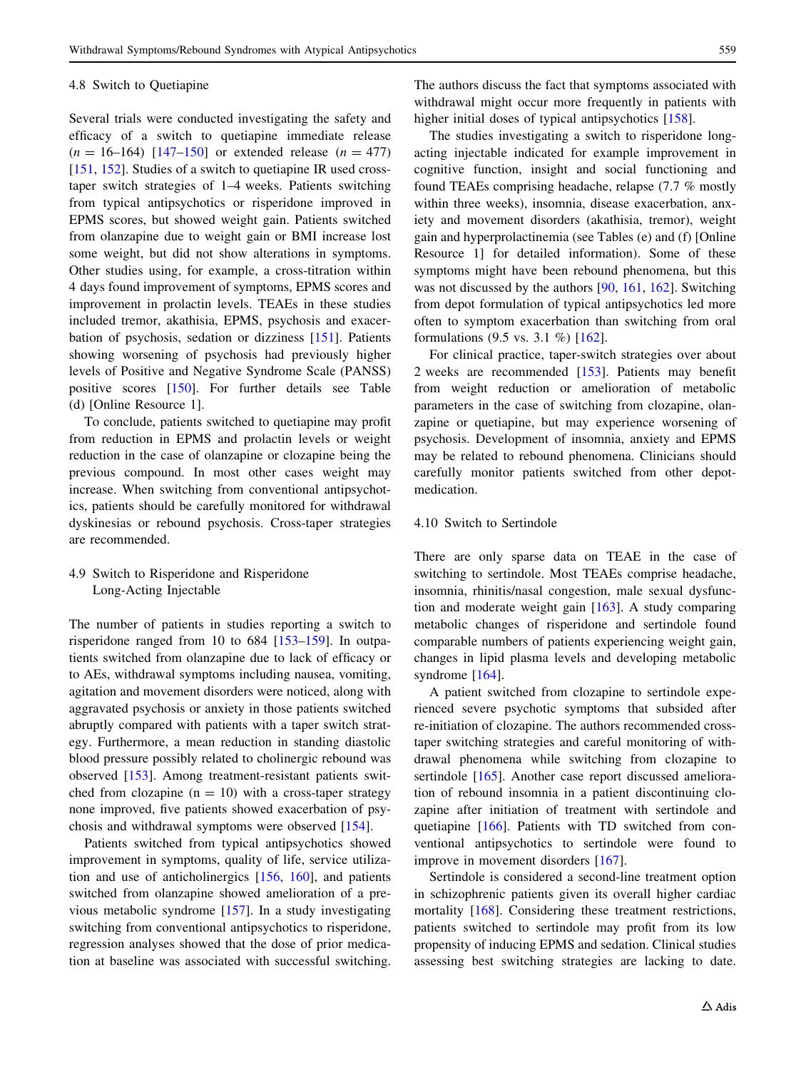#### 4.8 Switch to Quetiapine

Several trials were conducted investigating the safety and efficacy of a switch to quetiapine immediate release  $(n = 16-164)$  [147-150] or extended release  $(n = 477)$ [\[151](#page-22-0), [152](#page-22-0)]. Studies of a switch to quetiapine IR used crosstaper switch strategies of 1–4 weeks. Patients switching from typical antipsychotics or risperidone improved in EPMS scores, but showed weight gain. Patients switched from olanzapine due to weight gain or BMI increase lost some weight, but did not show alterations in symptoms. Other studies using, for example, a cross-titration within 4 days found improvement of symptoms, EPMS scores and improvement in prolactin levels. TEAEs in these studies included tremor, akathisia, EPMS, psychosis and exacerbation of psychosis, sedation or dizziness [\[151](#page-22-0)]. Patients showing worsening of psychosis had previously higher levels of Positive and Negative Syndrome Scale (PANSS) positive scores [[150\]](#page-22-0). For further details see Table (d) [Online Resource 1].

To conclude, patients switched to quetiapine may profit from reduction in EPMS and prolactin levels or weight reduction in the case of olanzapine or clozapine being the previous compound. In most other cases weight may increase. When switching from conventional antipsychotics, patients should be carefully monitored for withdrawal dyskinesias or rebound psychosis. Cross-taper strategies are recommended.

4.9 Switch to Risperidone and Risperidone Long-Acting Injectable

The number of patients in studies reporting a switch to risperidone ranged from 10 to 684 [[153–159](#page-22-0)]. In outpatients switched from olanzapine due to lack of efficacy or to AEs, withdrawal symptoms including nausea, vomiting, agitation and movement disorders were noticed, along with aggravated psychosis or anxiety in those patients switched abruptly compared with patients with a taper switch strategy. Furthermore, a mean reduction in standing diastolic blood pressure possibly related to cholinergic rebound was observed [[153\]](#page-22-0). Among treatment-resistant patients switched from clozapine  $(n = 10)$  with a cross-taper strategy none improved, five patients showed exacerbation of psychosis and withdrawal symptoms were observed [\[154](#page-22-0)].

Patients switched from typical antipsychotics showed improvement in symptoms, quality of life, service utilization and use of anticholinergics [\[156](#page-22-0), [160\]](#page-22-0), and patients switched from olanzapine showed amelioration of a previous metabolic syndrome [[157\]](#page-22-0). In a study investigating switching from conventional antipsychotics to risperidone, regression analyses showed that the dose of prior medication at baseline was associated with successful switching.

The authors discuss the fact that symptoms associated with withdrawal might occur more frequently in patients with higher initial doses of typical antipsychotics [[158\]](#page-22-0).

The studies investigating a switch to risperidone longacting injectable indicated for example improvement in cognitive function, insight and social functioning and found TEAEs comprising headache, relapse (7.7 % mostly within three weeks), insomnia, disease exacerbation, anxiety and movement disorders (akathisia, tremor), weight gain and hyperprolactinemia (see Tables (e) and (f) [Online Resource 1] for detailed information). Some of these symptoms might have been rebound phenomena, but this was not discussed by the authors [[90,](#page-20-0) [161,](#page-22-0) [162](#page-22-0)]. Switching from depot formulation of typical antipsychotics led more often to symptom exacerbation than switching from oral formulations (9.5 vs. 3.1 %) [\[162](#page-22-0)].

For clinical practice, taper-switch strategies over about 2 weeks are recommended [[153](#page-22-0)]. Patients may benefit from weight reduction or amelioration of metabolic parameters in the case of switching from clozapine, olanzapine or quetiapine, but may experience worsening of psychosis. Development of insomnia, anxiety and EPMS may be related to rebound phenomena. Clinicians should carefully monitor patients switched from other depotmedication.

## 4.10 Switch to Sertindole

There are only sparse data on TEAE in the case of switching to sertindole. Most TEAEs comprise headache, insomnia, rhinitis/nasal congestion, male sexual dysfunction and moderate weight gain [\[163](#page-22-0)]. A study comparing metabolic changes of risperidone and sertindole found comparable numbers of patients experiencing weight gain, changes in lipid plasma levels and developing metabolic syndrome [\[164](#page-22-0)].

A patient switched from clozapine to sertindole experienced severe psychotic symptoms that subsided after re-initiation of clozapine. The authors recommended crosstaper switching strategies and careful monitoring of withdrawal phenomena while switching from clozapine to sertindole [[165\]](#page-22-0). Another case report discussed amelioration of rebound insomnia in a patient discontinuing clozapine after initiation of treatment with sertindole and quetiapine [\[166](#page-22-0)]. Patients with TD switched from conventional antipsychotics to sertindole were found to improve in movement disorders [[167\]](#page-22-0).

Sertindole is considered a second-line treatment option in schizophrenic patients given its overall higher cardiac mortality [[168\]](#page-22-0). Considering these treatment restrictions, patients switched to sertindole may profit from its low propensity of inducing EPMS and sedation. Clinical studies assessing best switching strategies are lacking to date.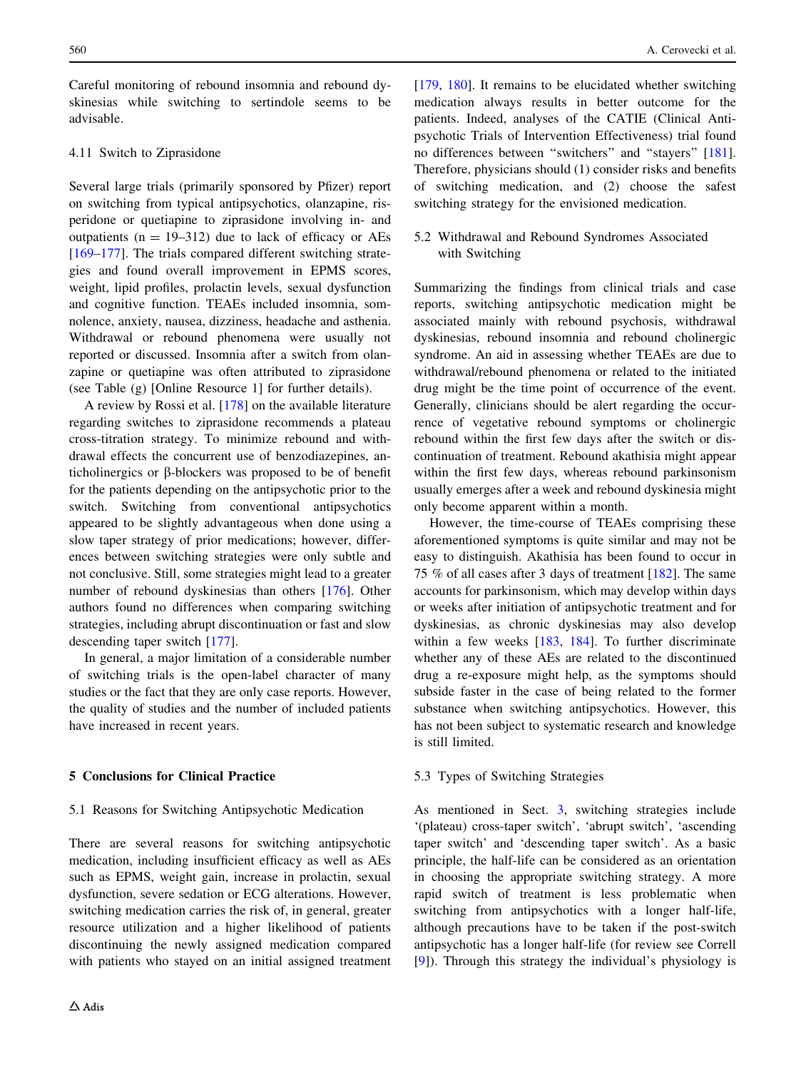<span id="page-15-0"></span>Careful monitoring of rebound insomnia and rebound dyskinesias while switching to sertindole seems to be advisable.

# 4.11 Switch to Ziprasidone

Several large trials (primarily sponsored by Pfizer) report on switching from typical antipsychotics, olanzapine, risperidone or quetiapine to ziprasidone involving in- and outpatients ( $n = 19-312$ ) due to lack of efficacy or AEs  $[169-177]$  $[169-177]$ . The trials compared different switching strategies and found overall improvement in EPMS scores, weight, lipid profiles, prolactin levels, sexual dysfunction and cognitive function. TEAEs included insomnia, somnolence, anxiety, nausea, dizziness, headache and asthenia. Withdrawal or rebound phenomena were usually not reported or discussed. Insomnia after a switch from olanzapine or quetiapine was often attributed to ziprasidone (see Table (g) [Online Resource 1] for further details).

A review by Rossi et al. [\[178](#page-23-0)] on the available literature regarding switches to ziprasidone recommends a plateau cross-titration strategy. To minimize rebound and withdrawal effects the concurrent use of benzodiazepines, anticholinergics or  $\beta$ -blockers was proposed to be of benefit for the patients depending on the antipsychotic prior to the switch. Switching from conventional antipsychotics appeared to be slightly advantageous when done using a slow taper strategy of prior medications; however, differences between switching strategies were only subtle and not conclusive. Still, some strategies might lead to a greater number of rebound dyskinesias than others [\[176\]](#page-23-0). Other authors found no differences when comparing switching strategies, including abrupt discontinuation or fast and slow descending taper switch [[177](#page-23-0)].

In general, a major limitation of a considerable number of switching trials is the open-label character of many studies or the fact that they are only case reports. However, the quality of studies and the number of included patients have increased in recent years.

# 5 Conclusions for Clinical Practice

#### 5.1 Reasons for Switching Antipsychotic Medication

There are several reasons for switching antipsychotic medication, including insufficient efficacy as well as AEs such as EPMS, weight gain, increase in prolactin, sexual dysfunction, severe sedation or ECG alterations. However, switching medication carries the risk of, in general, greater resource utilization and a higher likelihood of patients discontinuing the newly assigned medication compared with patients who stayed on an initial assigned treatment [\[179](#page-23-0), [180\]](#page-23-0). It remains to be elucidated whether switching medication always results in better outcome for the patients. Indeed, analyses of the CATIE (Clinical Antipsychotic Trials of Intervention Effectiveness) trial found no differences between ''switchers'' and ''stayers'' [\[181](#page-23-0)]. Therefore, physicians should (1) consider risks and benefits of switching medication, and (2) choose the safest switching strategy for the envisioned medication.

# 5.2 Withdrawal and Rebound Syndromes Associated with Switching

Summarizing the findings from clinical trials and case reports, switching antipsychotic medication might be associated mainly with rebound psychosis, withdrawal dyskinesias, rebound insomnia and rebound cholinergic syndrome. An aid in assessing whether TEAEs are due to withdrawal/rebound phenomena or related to the initiated drug might be the time point of occurrence of the event. Generally, clinicians should be alert regarding the occurrence of vegetative rebound symptoms or cholinergic rebound within the first few days after the switch or discontinuation of treatment. Rebound akathisia might appear within the first few days, whereas rebound parkinsonism usually emerges after a week and rebound dyskinesia might only become apparent within a month.

However, the time-course of TEAEs comprising these aforementioned symptoms is quite similar and may not be easy to distinguish. Akathisia has been found to occur in 75 % of all cases after 3 days of treatment [\[182](#page-23-0)]. The same accounts for parkinsonism, which may develop within days or weeks after initiation of antipsychotic treatment and for dyskinesias, as chronic dyskinesias may also develop within a few weeks [[183,](#page-23-0) [184\]](#page-23-0). To further discriminate whether any of these AEs are related to the discontinued drug a re-exposure might help, as the symptoms should subside faster in the case of being related to the former substance when switching antipsychotics. However, this has not been subject to systematic research and knowledge is still limited.

#### 5.3 Types of Switching Strategies

As mentioned in Sect. [3,](#page-5-0) switching strategies include '(plateau) cross-taper switch', 'abrupt switch', 'ascending taper switch' and 'descending taper switch'. As a basic principle, the half-life can be considered as an orientation in choosing the appropriate switching strategy. A more rapid switch of treatment is less problematic when switching from antipsychotics with a longer half-life, although precautions have to be taken if the post-switch antipsychotic has a longer half-life (for review see Correll [\[9](#page-18-0)]). Through this strategy the individual's physiology is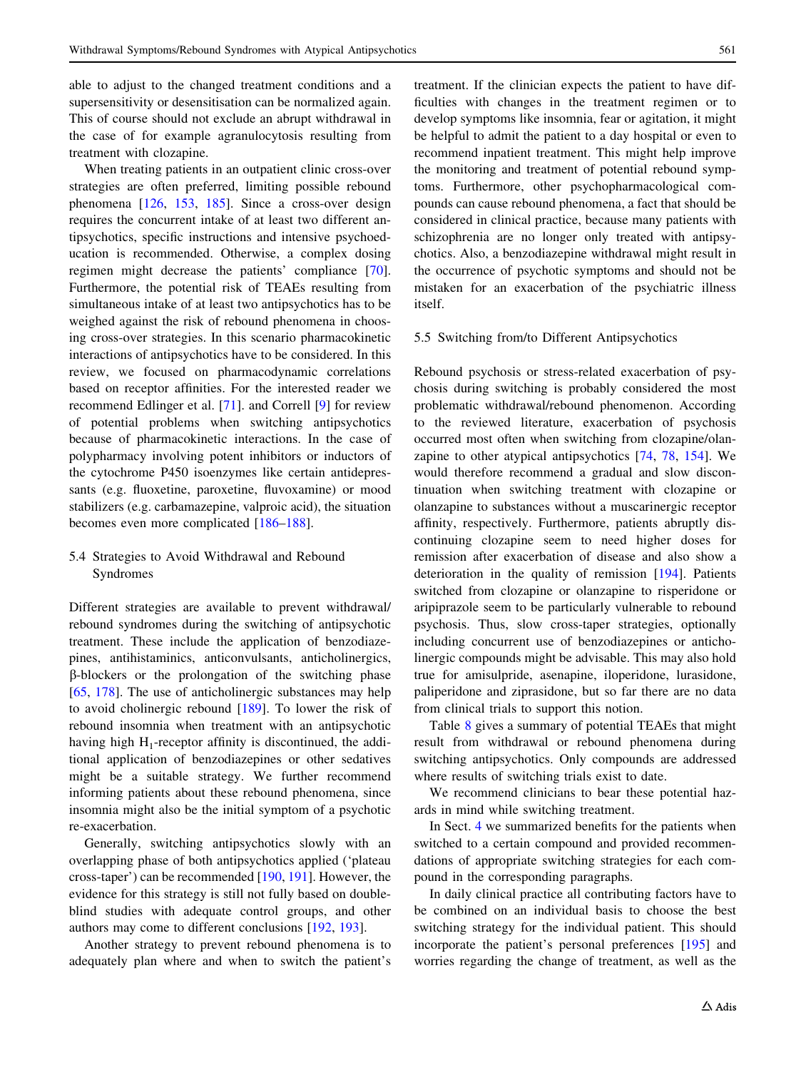able to adjust to the changed treatment conditions and a supersensitivity or desensitisation can be normalized again. This of course should not exclude an abrupt withdrawal in the case of for example agranulocytosis resulting from treatment with clozapine.

When treating patients in an outpatient clinic cross-over strategies are often preferred, limiting possible rebound phenomena [[126,](#page-21-0) [153,](#page-22-0) [185\]](#page-23-0). Since a cross-over design requires the concurrent intake of at least two different antipsychotics, specific instructions and intensive psychoeducation is recommended. Otherwise, a complex dosing regimen might decrease the patients' compliance [\[70](#page-19-0)]. Furthermore, the potential risk of TEAEs resulting from simultaneous intake of at least two antipsychotics has to be weighed against the risk of rebound phenomena in choosing cross-over strategies. In this scenario pharmacokinetic interactions of antipsychotics have to be considered. In this review, we focused on pharmacodynamic correlations based on receptor affinities. For the interested reader we recommend Edlinger et al. [\[71](#page-19-0)]. and Correll [[9\]](#page-18-0) for review of potential problems when switching antipsychotics because of pharmacokinetic interactions. In the case of polypharmacy involving potent inhibitors or inductors of the cytochrome P450 isoenzymes like certain antidepressants (e.g. fluoxetine, paroxetine, fluvoxamine) or mood stabilizers (e.g. carbamazepine, valproic acid), the situation becomes even more complicated [\[186–188](#page-23-0)].

## 5.4 Strategies to Avoid Withdrawal and Rebound Syndromes

Different strategies are available to prevent withdrawal/ rebound syndromes during the switching of antipsychotic treatment. These include the application of benzodiazepines, antihistaminics, anticonvulsants, anticholinergics, b-blockers or the prolongation of the switching phase [\[65](#page-19-0), [178](#page-23-0)]. The use of anticholinergic substances may help to avoid cholinergic rebound [[189](#page-23-0)]. To lower the risk of rebound insomnia when treatment with an antipsychotic having high  $H_1$ -receptor affinity is discontinued, the additional application of benzodiazepines or other sedatives might be a suitable strategy. We further recommend informing patients about these rebound phenomena, since insomnia might also be the initial symptom of a psychotic re-exacerbation.

Generally, switching antipsychotics slowly with an overlapping phase of both antipsychotics applied ('plateau cross-taper') can be recommended [\[190](#page-23-0), [191\]](#page-23-0). However, the evidence for this strategy is still not fully based on doubleblind studies with adequate control groups, and other authors may come to different conclusions [\[192](#page-23-0), [193\]](#page-23-0).

Another strategy to prevent rebound phenomena is to adequately plan where and when to switch the patient's treatment. If the clinician expects the patient to have difficulties with changes in the treatment regimen or to develop symptoms like insomnia, fear or agitation, it might be helpful to admit the patient to a day hospital or even to recommend inpatient treatment. This might help improve the monitoring and treatment of potential rebound symptoms. Furthermore, other psychopharmacological compounds can cause rebound phenomena, a fact that should be considered in clinical practice, because many patients with schizophrenia are no longer only treated with antipsychotics. Also, a benzodiazepine withdrawal might result in the occurrence of psychotic symptoms and should not be mistaken for an exacerbation of the psychiatric illness itself.

## 5.5 Switching from/to Different Antipsychotics

Rebound psychosis or stress-related exacerbation of psychosis during switching is probably considered the most problematic withdrawal/rebound phenomenon. According to the reviewed literature, exacerbation of psychosis occurred most often when switching from clozapine/olanzapine to other atypical antipsychotics [[74,](#page-20-0) [78](#page-20-0), [154\]](#page-22-0). We would therefore recommend a gradual and slow discontinuation when switching treatment with clozapine or olanzapine to substances without a muscarinergic receptor affinity, respectively. Furthermore, patients abruptly discontinuing clozapine seem to need higher doses for remission after exacerbation of disease and also show a deterioration in the quality of remission [[194\]](#page-23-0). Patients switched from clozapine or olanzapine to risperidone or aripiprazole seem to be particularly vulnerable to rebound psychosis. Thus, slow cross-taper strategies, optionally including concurrent use of benzodiazepines or anticholinergic compounds might be advisable. This may also hold true for amisulpride, asenapine, iloperidone, lurasidone, paliperidone and ziprasidone, but so far there are no data from clinical trials to support this notion.

Table [8](#page-17-0) gives a summary of potential TEAEs that might result from withdrawal or rebound phenomena during switching antipsychotics. Only compounds are addressed where results of switching trials exist to date.

We recommend clinicians to bear these potential hazards in mind while switching treatment.

In Sect. [4](#page-10-0) we summarized benefits for the patients when switched to a certain compound and provided recommendations of appropriate switching strategies for each compound in the corresponding paragraphs.

In daily clinical practice all contributing factors have to be combined on an individual basis to choose the best switching strategy for the individual patient. This should incorporate the patient's personal preferences [[195\]](#page-23-0) and worries regarding the change of treatment, as well as the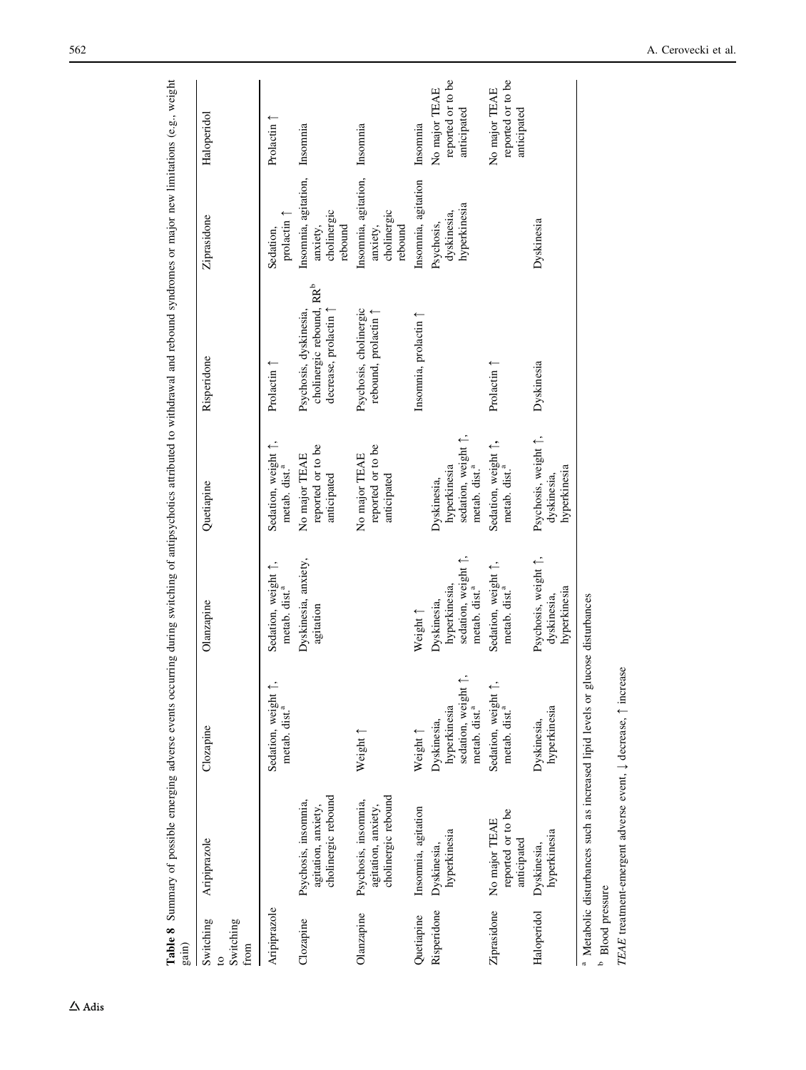| gain)                                          | a<br>0                                                                                     |                                                                                                           | i<br>p<br>$\frac{1}{2}$                                                                    | י<br>וו                                                                         |                                                                                         |                                                                     | $\mathbf{a}$ and $\mathbf{a}$                     |
|------------------------------------------------|--------------------------------------------------------------------------------------------|-----------------------------------------------------------------------------------------------------------|--------------------------------------------------------------------------------------------|---------------------------------------------------------------------------------|-----------------------------------------------------------------------------------------|---------------------------------------------------------------------|---------------------------------------------------|
| Switching<br>Switching<br>from<br>$\mathbf{c}$ | Aripiprazole                                                                               | Clozapine                                                                                                 | Olanzapine                                                                                 | Quetiapine                                                                      | Risperidone                                                                             | Ziprasidone                                                         | Haloperidol                                       |
| Aripiprazole                                   |                                                                                            | Sedation, weight 1<br>metab. dist. <sup>a</sup>                                                           | Sedation, weight 1,<br>metab. dist. <sup>a</sup>                                           | Sedation, weight 1,<br>metab. dist. <sup>a</sup>                                | Prolactin (                                                                             | prolactin 1<br>Sedation,                                            | Prolactin                                         |
| Clozapine                                      | cholinergic rebound<br>Psychosis, insomnia,<br>agitation, anxiety,                         |                                                                                                           | Dyskinesia, anxiety,<br>agitation                                                          | reported or to be<br>No major TEAE<br>anticipated                               | cholinergic rebound, RR <sup>b</sup><br>decrease, prolactin 1<br>Psychosis, dyskinesia, | Insomnia, agitation, Insomnia<br>cholinergic<br>anxiety,<br>rebound |                                                   |
| Olanzapine                                     | cholinergic rebound<br>Psychosis, insomnia,<br>agitation, anxiety,                         | Weight 1                                                                                                  |                                                                                            | reported or to be<br>No major TEAE<br>anticipated                               | Psychosis, cholinergic<br>rebound, prolactin <sup>1</sup>                               | Insomnia, agitation,<br>cholinergic<br>anxiety,<br>rebound          | Insomnia                                          |
| Quetiapine                                     | Insomnia, agitation                                                                        | Weight <sup>1</sup>                                                                                       | Weight 1                                                                                   |                                                                                 | Insomnia, prolactin 1                                                                   | Insomnia, agitation                                                 | Insomnia                                          |
| Risperidone                                    | hyperkinesia<br>Dyskinesia,                                                                | $\stackrel{\cdot}{\cdot}$<br>sedation, weight<br>hyperkinesia<br>metab. dist. <sup>a</sup><br>Dyskinesia, | sedation, weight $\uparrow$ ,<br>hyperkinesia,<br>metab. dist. <sup>a</sup><br>Dyskinesia, | sedation, weight 1,<br>hyperkinesia<br>metab. dist. <sup>a</sup><br>Dyskinesia, |                                                                                         | hyperkinesia<br>dyskinesia,<br>Psychosis,                           | reported or to be<br>No major TEAE<br>anticipated |
| Ziprasidone                                    | reported or to be<br>No major TEAE<br>anticipated                                          | Sedation, weight 1<br>metab. dist. <sup>a</sup>                                                           | Sedation, weight 1,<br>metab. dist. <sup>a</sup>                                           | Sedation, weight 1,<br>metab. dist. <sup>a</sup>                                | Prolactin 1                                                                             |                                                                     | reported or to be<br>No major TEAE<br>anticipated |
| Haloperidol                                    | hyperkinesia<br>Dyskinesia,                                                                | hyperkinesia<br>Dyskinesia,                                                                               | Psychosis, weight 1,<br>hyperkinesia<br>dyskinesia,                                        | Psychosis, weight 1,<br>hyperkinesia<br>dyskinesia,                             | Dyskinesia                                                                              | Dyskinesia                                                          |                                                   |
| <b>b</b> Blood pressure                        | <sup>a</sup> Metabolic disturbances such as increased lipid levels or glucose disturbances |                                                                                                           |                                                                                            |                                                                                 |                                                                                         |                                                                     |                                                   |

Table 8 Summary of possible emerging adverse events occurring during switching of antipsychotics attributed to withdrawal and rebound syndromes or major new limitations (e.g., weight Table 8 Summary of possible emerging adverse events occurring during switching of antipsychotics attributed to withdrawal and rebound syndromes or major new limitations (e.g., weight

<span id="page-17-0"></span>562 A. Cerovecki et al.

TEAE treatment-emergent adverse event,  $\downarrow$  decrease,  $\uparrow$  increase

TEAE treatment-emergent adverse event,  $\downarrow$  decrease,  $\uparrow$  increase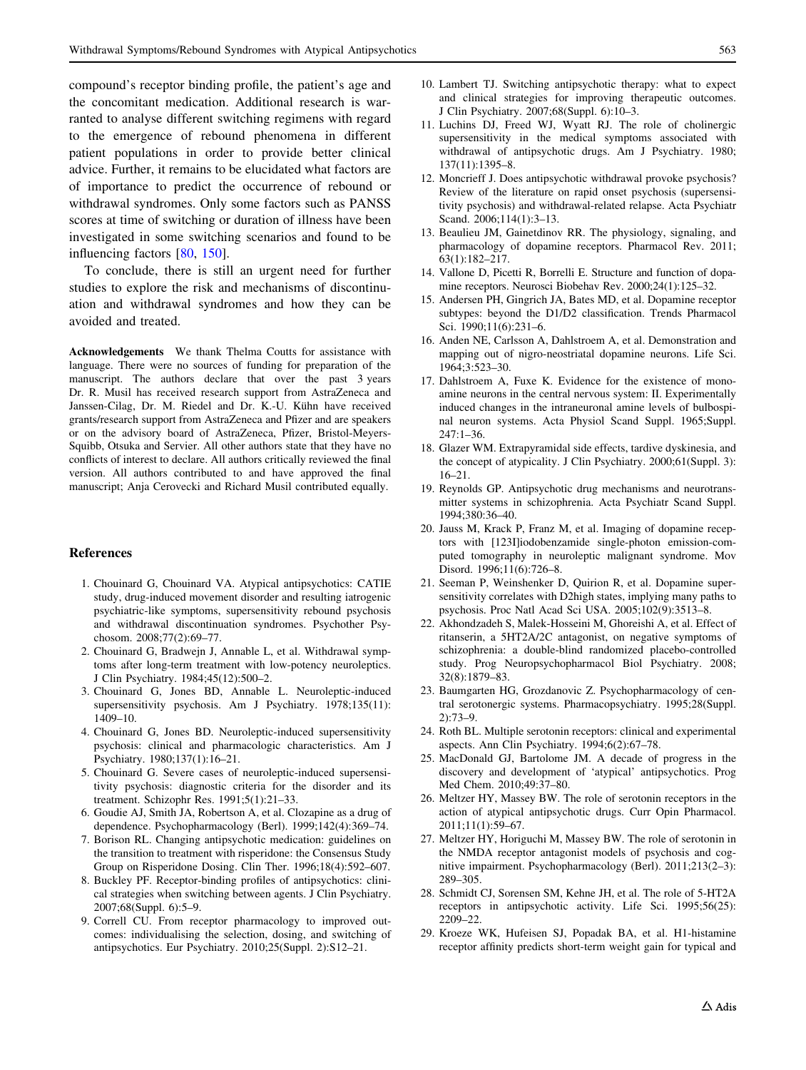<span id="page-18-0"></span>compound's receptor binding profile, the patient's age and the concomitant medication. Additional research is warranted to analyse different switching regimens with regard to the emergence of rebound phenomena in different patient populations in order to provide better clinical advice. Further, it remains to be elucidated what factors are of importance to predict the occurrence of rebound or withdrawal syndromes. Only some factors such as PANSS scores at time of switching or duration of illness have been investigated in some switching scenarios and found to be influencing factors [\[80](#page-20-0), [150](#page-22-0)].

To conclude, there is still an urgent need for further studies to explore the risk and mechanisms of discontinuation and withdrawal syndromes and how they can be avoided and treated.

Acknowledgements We thank Thelma Coutts for assistance with language. There were no sources of funding for preparation of the manuscript. The authors declare that over the past 3 years Dr. R. Musil has received research support from AstraZeneca and Janssen-Cilag, Dr. M. Riedel and Dr. K.-U. Kühn have received grants/research support from AstraZeneca and Pfizer and are speakers or on the advisory board of AstraZeneca, Pfizer, Bristol-Meyers-Squibb, Otsuka and Servier. All other authors state that they have no conflicts of interest to declare. All authors critically reviewed the final version. All authors contributed to and have approved the final manuscript; Anja Cerovecki and Richard Musil contributed equally.

#### References

- 1. Chouinard G, Chouinard VA. Atypical antipsychotics: CATIE study, drug-induced movement disorder and resulting iatrogenic psychiatric-like symptoms, supersensitivity rebound psychosis and withdrawal discontinuation syndromes. Psychother Psychosom. 2008;77(2):69–77.
- 2. Chouinard G, Bradwejn J, Annable L, et al. Withdrawal symptoms after long-term treatment with low-potency neuroleptics. J Clin Psychiatry. 1984;45(12):500–2.
- 3. Chouinard G, Jones BD, Annable L. Neuroleptic-induced supersensitivity psychosis. Am J Psychiatry. 1978;135(11): 1409–10.
- 4. Chouinard G, Jones BD. Neuroleptic-induced supersensitivity psychosis: clinical and pharmacologic characteristics. Am J Psychiatry. 1980;137(1):16–21.
- 5. Chouinard G. Severe cases of neuroleptic-induced supersensitivity psychosis: diagnostic criteria for the disorder and its treatment. Schizophr Res. 1991;5(1):21–33.
- 6. Goudie AJ, Smith JA, Robertson A, et al. Clozapine as a drug of dependence. Psychopharmacology (Berl). 1999;142(4):369–74.
- 7. Borison RL. Changing antipsychotic medication: guidelines on the transition to treatment with risperidone: the Consensus Study Group on Risperidone Dosing. Clin Ther. 1996;18(4):592–607.
- 8. Buckley PF. Receptor-binding profiles of antipsychotics: clinical strategies when switching between agents. J Clin Psychiatry. 2007;68(Suppl. 6):5–9.
- 9. Correll CU. From receptor pharmacology to improved outcomes: individualising the selection, dosing, and switching of antipsychotics. Eur Psychiatry. 2010;25(Suppl. 2):S12–21.
- 10. Lambert TJ. Switching antipsychotic therapy: what to expect and clinical strategies for improving therapeutic outcomes. J Clin Psychiatry. 2007;68(Suppl. 6):10–3.
- 11. Luchins DJ, Freed WJ, Wyatt RJ. The role of cholinergic supersensitivity in the medical symptoms associated with withdrawal of antipsychotic drugs. Am J Psychiatry. 1980; 137(11):1395–8.
- 12. Moncrieff J. Does antipsychotic withdrawal provoke psychosis? Review of the literature on rapid onset psychosis (supersensitivity psychosis) and withdrawal-related relapse. Acta Psychiatr Scand. 2006;114(1):3–13.
- 13. Beaulieu JM, Gainetdinov RR. The physiology, signaling, and pharmacology of dopamine receptors. Pharmacol Rev. 2011; 63(1):182–217.
- 14. Vallone D, Picetti R, Borrelli E. Structure and function of dopamine receptors. Neurosci Biobehav Rev. 2000;24(1):125–32.
- 15. Andersen PH, Gingrich JA, Bates MD, et al. Dopamine receptor subtypes: beyond the D1/D2 classification. Trends Pharmacol Sci. 1990;11(6):231–6.
- 16. Anden NE, Carlsson A, Dahlstroem A, et al. Demonstration and mapping out of nigro-neostriatal dopamine neurons. Life Sci. 1964;3:523–30.
- 17. Dahlstroem A, Fuxe K. Evidence for the existence of monoamine neurons in the central nervous system: II. Experimentally induced changes in the intraneuronal amine levels of bulbospinal neuron systems. Acta Physiol Scand Suppl. 1965;Suppl. 247:1–36.
- 18. Glazer WM. Extrapyramidal side effects, tardive dyskinesia, and the concept of atypicality. J Clin Psychiatry. 2000;61(Suppl. 3): 16–21.
- 19. Reynolds GP. Antipsychotic drug mechanisms and neurotransmitter systems in schizophrenia. Acta Psychiatr Scand Suppl. 1994;380:36–40.
- 20. Jauss M, Krack P, Franz M, et al. Imaging of dopamine receptors with [123I]iodobenzamide single-photon emission-computed tomography in neuroleptic malignant syndrome. Mov Disord. 1996;11(6):726–8.
- 21. Seeman P, Weinshenker D, Quirion R, et al. Dopamine supersensitivity correlates with D2high states, implying many paths to psychosis. Proc Natl Acad Sci USA. 2005;102(9):3513–8.
- 22. Akhondzadeh S, Malek-Hosseini M, Ghoreishi A, et al. Effect of ritanserin, a 5HT2A/2C antagonist, on negative symptoms of schizophrenia: a double-blind randomized placebo-controlled study. Prog Neuropsychopharmacol Biol Psychiatry. 2008; 32(8):1879–83.
- 23. Baumgarten HG, Grozdanovic Z. Psychopharmacology of central serotonergic systems. Pharmacopsychiatry. 1995;28(Suppl. 2):73–9.
- 24. Roth BL. Multiple serotonin receptors: clinical and experimental aspects. Ann Clin Psychiatry. 1994;6(2):67–78.
- 25. MacDonald GJ, Bartolome JM. A decade of progress in the discovery and development of 'atypical' antipsychotics. Prog Med Chem. 2010;49:37–80.
- 26. Meltzer HY, Massey BW. The role of serotonin receptors in the action of atypical antipsychotic drugs. Curr Opin Pharmacol. 2011;11(1):59–67.
- 27. Meltzer HY, Horiguchi M, Massey BW. The role of serotonin in the NMDA receptor antagonist models of psychosis and cognitive impairment. Psychopharmacology (Berl). 2011;213(2–3): 289–305.
- 28. Schmidt CJ, Sorensen SM, Kehne JH, et al. The role of 5-HT2A receptors in antipsychotic activity. Life Sci. 1995;56(25): 2209–22.
- 29. Kroeze WK, Hufeisen SJ, Popadak BA, et al. H1-histamine receptor affinity predicts short-term weight gain for typical and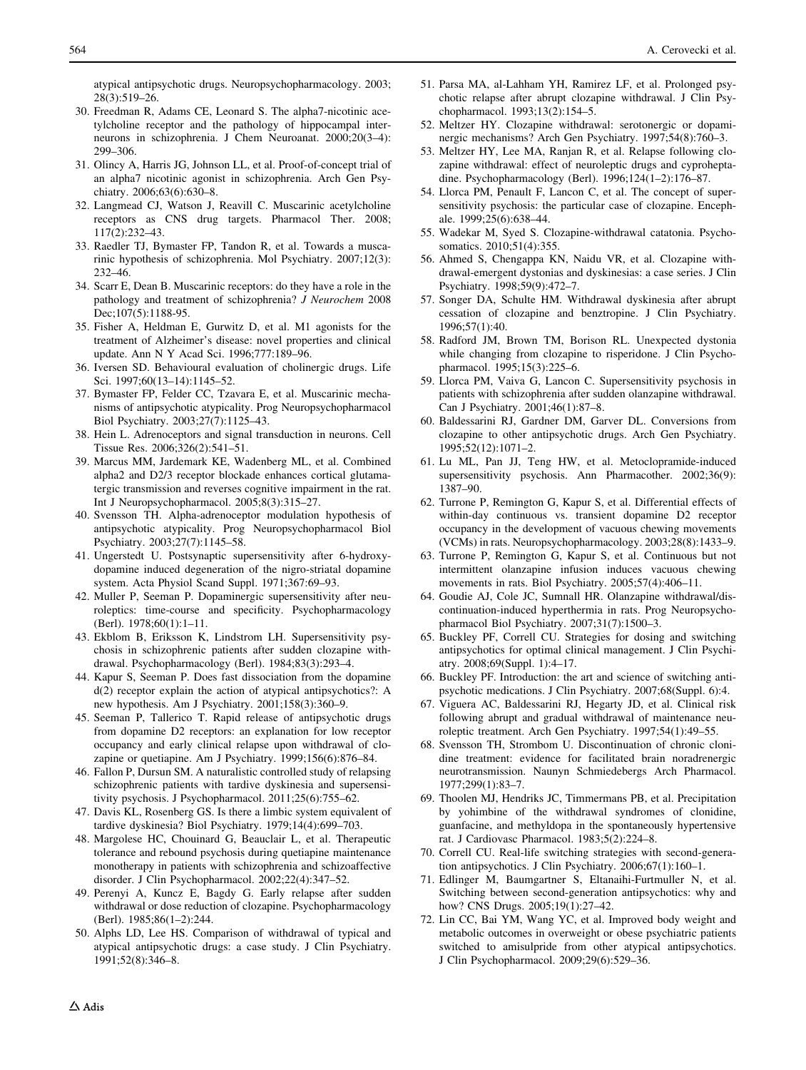<span id="page-19-0"></span>atypical antipsychotic drugs. Neuropsychopharmacology. 2003; 28(3):519–26.

- 30. Freedman R, Adams CE, Leonard S. The alpha7-nicotinic acetylcholine receptor and the pathology of hippocampal interneurons in schizophrenia. J Chem Neuroanat. 2000;20(3–4): 299–306.
- 31. Olincy A, Harris JG, Johnson LL, et al. Proof-of-concept trial of an alpha7 nicotinic agonist in schizophrenia. Arch Gen Psychiatry. 2006;63(6):630-8.
- 32. Langmead CJ, Watson J, Reavill C. Muscarinic acetylcholine receptors as CNS drug targets. Pharmacol Ther. 2008; 117(2):232–43.
- 33. Raedler TJ, Bymaster FP, Tandon R, et al. Towards a muscarinic hypothesis of schizophrenia. Mol Psychiatry. 2007;12(3): 232–46.
- 34. Scarr E, Dean B. Muscarinic receptors: do they have a role in the pathology and treatment of schizophrenia? J Neurochem 2008 Dec;107(5):1188-95.
- 35. Fisher A, Heldman E, Gurwitz D, et al. M1 agonists for the treatment of Alzheimer's disease: novel properties and clinical update. Ann N Y Acad Sci. 1996;777:189–96.
- 36. Iversen SD. Behavioural evaluation of cholinergic drugs. Life Sci. 1997;60(13–14):1145–52.
- 37. Bymaster FP, Felder CC, Tzavara E, et al. Muscarinic mechanisms of antipsychotic atypicality. Prog Neuropsychopharmacol Biol Psychiatry. 2003;27(7):1125–43.
- 38. Hein L. Adrenoceptors and signal transduction in neurons. Cell Tissue Res. 2006;326(2):541–51.
- 39. Marcus MM, Jardemark KE, Wadenberg ML, et al. Combined alpha2 and D2/3 receptor blockade enhances cortical glutamatergic transmission and reverses cognitive impairment in the rat. Int J Neuropsychopharmacol. 2005;8(3):315–27.
- 40. Svensson TH. Alpha-adrenoceptor modulation hypothesis of antipsychotic atypicality. Prog Neuropsychopharmacol Biol Psychiatry. 2003;27(7):1145–58.
- 41. Ungerstedt U. Postsynaptic supersensitivity after 6-hydroxydopamine induced degeneration of the nigro-striatal dopamine system. Acta Physiol Scand Suppl. 1971;367:69–93.
- 42. Muller P, Seeman P. Dopaminergic supersensitivity after neuroleptics: time-course and specificity. Psychopharmacology (Berl). 1978;60(1):1–11.
- 43. Ekblom B, Eriksson K, Lindstrom LH. Supersensitivity psychosis in schizophrenic patients after sudden clozapine withdrawal. Psychopharmacology (Berl). 1984;83(3):293–4.
- 44. Kapur S, Seeman P. Does fast dissociation from the dopamine d(2) receptor explain the action of atypical antipsychotics?: A new hypothesis. Am J Psychiatry. 2001;158(3):360–9.
- 45. Seeman P, Tallerico T. Rapid release of antipsychotic drugs from dopamine D2 receptors: an explanation for low receptor occupancy and early clinical relapse upon withdrawal of clozapine or quetiapine. Am J Psychiatry. 1999;156(6):876–84.
- 46. Fallon P, Dursun SM. A naturalistic controlled study of relapsing schizophrenic patients with tardive dyskinesia and supersensitivity psychosis. J Psychopharmacol. 2011;25(6):755–62.
- 47. Davis KL, Rosenberg GS. Is there a limbic system equivalent of tardive dyskinesia? Biol Psychiatry. 1979;14(4):699–703.
- 48. Margolese HC, Chouinard G, Beauclair L, et al. Therapeutic tolerance and rebound psychosis during quetiapine maintenance monotherapy in patients with schizophrenia and schizoaffective disorder. J Clin Psychopharmacol. 2002;22(4):347–52.
- 49. Perenyi A, Kuncz E, Bagdy G. Early relapse after sudden withdrawal or dose reduction of clozapine. Psychopharmacology (Berl). 1985;86(1–2):244.
- 50. Alphs LD, Lee HS. Comparison of withdrawal of typical and atypical antipsychotic drugs: a case study. J Clin Psychiatry. 1991;52(8):346–8.
- 51. Parsa MA, al-Lahham YH, Ramirez LF, et al. Prolonged psychotic relapse after abrupt clozapine withdrawal. J Clin Psychopharmacol. 1993;13(2):154–5.
- 52. Meltzer HY. Clozapine withdrawal: serotonergic or dopaminergic mechanisms? Arch Gen Psychiatry. 1997;54(8):760–3.
- 53. Meltzer HY, Lee MA, Ranjan R, et al. Relapse following clozapine withdrawal: effect of neuroleptic drugs and cyproheptadine. Psychopharmacology (Berl). 1996;124(1–2):176–87.
- 54. Llorca PM, Penault F, Lancon C, et al. The concept of supersensitivity psychosis: the particular case of clozapine. Encephale. 1999;25(6):638–44.
- 55. Wadekar M, Syed S. Clozapine-withdrawal catatonia. Psychosomatics. 2010;51(4):355.
- 56. Ahmed S, Chengappa KN, Naidu VR, et al. Clozapine withdrawal-emergent dystonias and dyskinesias: a case series. J Clin Psychiatry. 1998;59(9):472–7.
- 57. Songer DA, Schulte HM. Withdrawal dyskinesia after abrupt cessation of clozapine and benztropine. J Clin Psychiatry. 1996;57(1):40.
- 58. Radford JM, Brown TM, Borison RL. Unexpected dystonia while changing from clozapine to risperidone. J Clin Psychopharmacol. 1995;15(3):225–6.
- 59. Llorca PM, Vaiva G, Lancon C. Supersensitivity psychosis in patients with schizophrenia after sudden olanzapine withdrawal. Can J Psychiatry. 2001;46(1):87–8.
- 60. Baldessarini RJ, Gardner DM, Garver DL. Conversions from clozapine to other antipsychotic drugs. Arch Gen Psychiatry. 1995;52(12):1071–2.
- 61. Lu ML, Pan JJ, Teng HW, et al. Metoclopramide-induced supersensitivity psychosis. Ann Pharmacother. 2002;36(9): 1387–90.
- 62. Turrone P, Remington G, Kapur S, et al. Differential effects of within-day continuous vs. transient dopamine D2 receptor occupancy in the development of vacuous chewing movements (VCMs) in rats. Neuropsychopharmacology. 2003;28(8):1433–9.
- 63. Turrone P, Remington G, Kapur S, et al. Continuous but not intermittent olanzapine infusion induces vacuous chewing movements in rats. Biol Psychiatry. 2005;57(4):406–11.
- 64. Goudie AJ, Cole JC, Sumnall HR. Olanzapine withdrawal/discontinuation-induced hyperthermia in rats. Prog Neuropsychopharmacol Biol Psychiatry. 2007;31(7):1500–3.
- 65. Buckley PF, Correll CU. Strategies for dosing and switching antipsychotics for optimal clinical management. J Clin Psychiatry. 2008;69(Suppl. 1):4–17.
- 66. Buckley PF. Introduction: the art and science of switching antipsychotic medications. J Clin Psychiatry. 2007;68(Suppl. 6):4.
- 67. Viguera AC, Baldessarini RJ, Hegarty JD, et al. Clinical risk following abrupt and gradual withdrawal of maintenance neuroleptic treatment. Arch Gen Psychiatry. 1997;54(1):49–55.
- 68. Svensson TH, Strombom U. Discontinuation of chronic clonidine treatment: evidence for facilitated brain noradrenergic neurotransmission. Naunyn Schmiedebergs Arch Pharmacol. 1977;299(1):83–7.
- 69. Thoolen MJ, Hendriks JC, Timmermans PB, et al. Precipitation by yohimbine of the withdrawal syndromes of clonidine, guanfacine, and methyldopa in the spontaneously hypertensive rat. J Cardiovasc Pharmacol. 1983;5(2):224–8.
- 70. Correll CU. Real-life switching strategies with second-generation antipsychotics. J Clin Psychiatry. 2006;67(1):160–1.
- 71. Edlinger M, Baumgartner S, Eltanaihi-Furtmuller N, et al. Switching between second-generation antipsychotics: why and how? CNS Drugs. 2005;19(1):27–42.
- 72. Lin CC, Bai YM, Wang YC, et al. Improved body weight and metabolic outcomes in overweight or obese psychiatric patients switched to amisulpride from other atypical antipsychotics. J Clin Psychopharmacol. 2009;29(6):529–36.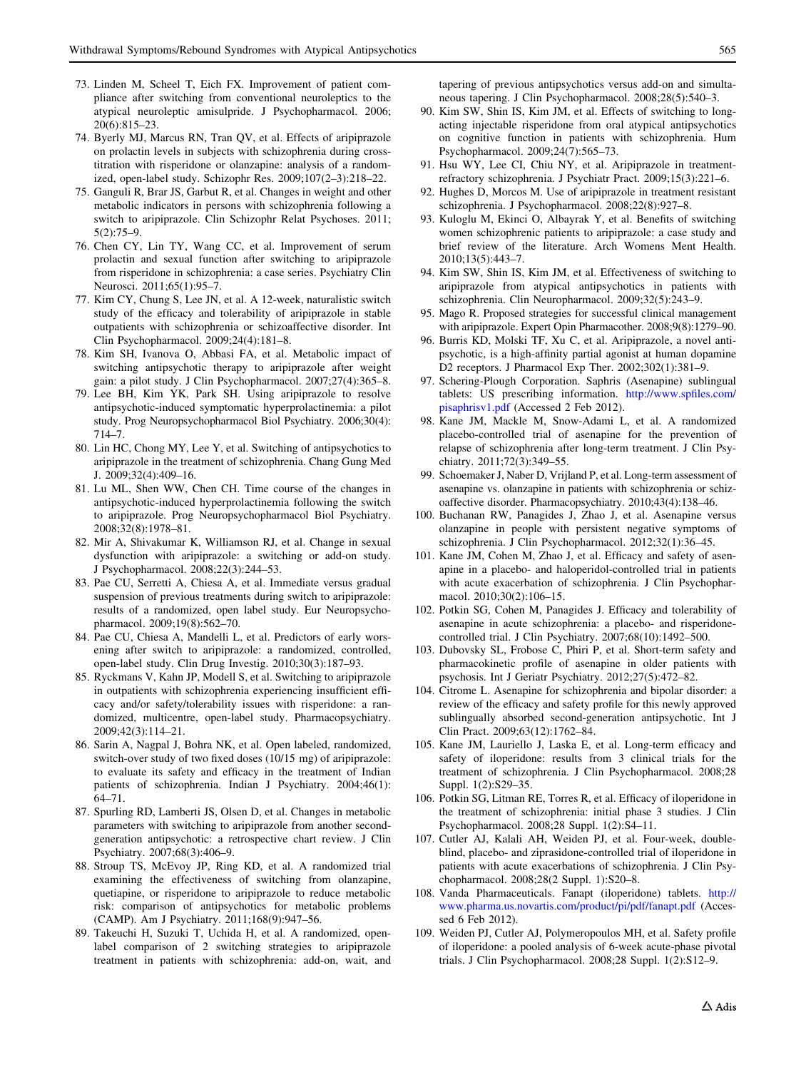- <span id="page-20-0"></span>73. Linden M, Scheel T, Eich FX. Improvement of patient compliance after switching from conventional neuroleptics to the atypical neuroleptic amisulpride. J Psychopharmacol. 2006; 20(6):815–23.
- 74. Byerly MJ, Marcus RN, Tran QV, et al. Effects of aripiprazole on prolactin levels in subjects with schizophrenia during crosstitration with risperidone or olanzapine: analysis of a randomized, open-label study. Schizophr Res. 2009;107(2–3):218–22.
- 75. Ganguli R, Brar JS, Garbut R, et al. Changes in weight and other metabolic indicators in persons with schizophrenia following a switch to aripiprazole. Clin Schizophr Relat Psychoses. 2011; 5(2):75–9.
- 76. Chen CY, Lin TY, Wang CC, et al. Improvement of serum prolactin and sexual function after switching to aripiprazole from risperidone in schizophrenia: a case series. Psychiatry Clin Neurosci. 2011;65(1):95–7.
- 77. Kim CY, Chung S, Lee JN, et al. A 12-week, naturalistic switch study of the efficacy and tolerability of aripiprazole in stable outpatients with schizophrenia or schizoaffective disorder. Int Clin Psychopharmacol. 2009;24(4):181–8.
- 78. Kim SH, Ivanova O, Abbasi FA, et al. Metabolic impact of switching antipsychotic therapy to aripiprazole after weight gain: a pilot study. J Clin Psychopharmacol. 2007;27(4):365–8.
- 79. Lee BH, Kim YK, Park SH. Using aripiprazole to resolve antipsychotic-induced symptomatic hyperprolactinemia: a pilot study. Prog Neuropsychopharmacol Biol Psychiatry. 2006;30(4): 714–7.
- 80. Lin HC, Chong MY, Lee Y, et al. Switching of antipsychotics to aripiprazole in the treatment of schizophrenia. Chang Gung Med J. 2009;32(4):409–16.
- 81. Lu ML, Shen WW, Chen CH. Time course of the changes in antipsychotic-induced hyperprolactinemia following the switch to aripiprazole. Prog Neuropsychopharmacol Biol Psychiatry. 2008;32(8):1978–81.
- 82. Mir A, Shivakumar K, Williamson RJ, et al. Change in sexual dysfunction with aripiprazole: a switching or add-on study. J Psychopharmacol. 2008;22(3):244–53.
- 83. Pae CU, Serretti A, Chiesa A, et al. Immediate versus gradual suspension of previous treatments during switch to aripiprazole: results of a randomized, open label study. Eur Neuropsychopharmacol. 2009;19(8):562–70.
- 84. Pae CU, Chiesa A, Mandelli L, et al. Predictors of early worsening after switch to aripiprazole: a randomized, controlled, open-label study. Clin Drug Investig. 2010;30(3):187–93.
- 85. Ryckmans V, Kahn JP, Modell S, et al. Switching to aripiprazole in outpatients with schizophrenia experiencing insufficient efficacy and/or safety/tolerability issues with risperidone: a randomized, multicentre, open-label study. Pharmacopsychiatry. 2009;42(3):114–21.
- 86. Sarin A, Nagpal J, Bohra NK, et al. Open labeled, randomized, switch-over study of two fixed doses (10/15 mg) of aripiprazole: to evaluate its safety and efficacy in the treatment of Indian patients of schizophrenia. Indian J Psychiatry. 2004;46(1): 64–71.
- 87. Spurling RD, Lamberti JS, Olsen D, et al. Changes in metabolic parameters with switching to aripiprazole from another secondgeneration antipsychotic: a retrospective chart review. J Clin Psychiatry. 2007;68(3):406–9.
- 88. Stroup TS, McEvoy JP, Ring KD, et al. A randomized trial examining the effectiveness of switching from olanzapine, quetiapine, or risperidone to aripiprazole to reduce metabolic risk: comparison of antipsychotics for metabolic problems (CAMP). Am J Psychiatry. 2011;168(9):947–56.
- 89. Takeuchi H, Suzuki T, Uchida H, et al. A randomized, openlabel comparison of 2 switching strategies to aripiprazole treatment in patients with schizophrenia: add-on, wait, and

tapering of previous antipsychotics versus add-on and simultaneous tapering. J Clin Psychopharmacol. 2008;28(5):540–3.

- 90. Kim SW, Shin IS, Kim JM, et al. Effects of switching to longacting injectable risperidone from oral atypical antipsychotics on cognitive function in patients with schizophrenia. Hum Psychopharmacol. 2009;24(7):565–73.
- 91. Hsu WY, Lee CI, Chiu NY, et al. Aripiprazole in treatmentrefractory schizophrenia. J Psychiatr Pract. 2009;15(3):221–6.
- 92. Hughes D, Morcos M. Use of aripiprazole in treatment resistant schizophrenia. J Psychopharmacol. 2008;22(8):927–8.
- 93. Kuloglu M, Ekinci O, Albayrak Y, et al. Benefits of switching women schizophrenic patients to aripiprazole: a case study and brief review of the literature. Arch Womens Ment Health. 2010;13(5):443–7.
- 94. Kim SW, Shin IS, Kim JM, et al. Effectiveness of switching to aripiprazole from atypical antipsychotics in patients with schizophrenia. Clin Neuropharmacol. 2009;32(5):243–9.
- 95. Mago R. Proposed strategies for successful clinical management with aripiprazole. Expert Opin Pharmacother. 2008;9(8):1279–90.
- 96. Burris KD, Molski TF, Xu C, et al. Aripiprazole, a novel antipsychotic, is a high-affinity partial agonist at human dopamine D2 receptors. J Pharmacol Exp Ther. 2002;302(1):381–9.
- 97. Schering-Plough Corporation. Saphris (Asenapine) sublingual tablets: US prescribing information. [http://www.spfiles.com/](http://www.spfiles.com/pisaphrisv1.pdf) [pisaphrisv1.pdf](http://www.spfiles.com/pisaphrisv1.pdf) (Accessed 2 Feb 2012).
- 98. Kane JM, Mackle M, Snow-Adami L, et al. A randomized placebo-controlled trial of asenapine for the prevention of relapse of schizophrenia after long-term treatment. J Clin Psychiatry. 2011;72(3):349–55.
- 99. Schoemaker J, Naber D, Vrijland P, et al. Long-term assessment of asenapine vs. olanzapine in patients with schizophrenia or schizoaffective disorder. Pharmacopsychiatry. 2010;43(4):138–46.
- 100. Buchanan RW, Panagides J, Zhao J, et al. Asenapine versus olanzapine in people with persistent negative symptoms of schizophrenia. J Clin Psychopharmacol. 2012;32(1):36–45.
- 101. Kane JM, Cohen M, Zhao J, et al. Efficacy and safety of asenapine in a placebo- and haloperidol-controlled trial in patients with acute exacerbation of schizophrenia. J Clin Psychopharmacol. 2010;30(2):106-15.
- 102. Potkin SG, Cohen M, Panagides J. Efficacy and tolerability of asenapine in acute schizophrenia: a placebo- and risperidonecontrolled trial. J Clin Psychiatry. 2007;68(10):1492–500.
- 103. Dubovsky SL, Frobose C, Phiri P, et al. Short-term safety and pharmacokinetic profile of asenapine in older patients with psychosis. Int J Geriatr Psychiatry. 2012;27(5):472–82.
- 104. Citrome L. Asenapine for schizophrenia and bipolar disorder: a review of the efficacy and safety profile for this newly approved sublingually absorbed second-generation antipsychotic. Int J Clin Pract. 2009;63(12):1762–84.
- 105. Kane JM, Lauriello J, Laska E, et al. Long-term efficacy and safety of iloperidone: results from 3 clinical trials for the treatment of schizophrenia. J Clin Psychopharmacol. 2008;28 Suppl. 1(2):S29–35.
- 106. Potkin SG, Litman RE, Torres R, et al. Efficacy of iloperidone in the treatment of schizophrenia: initial phase 3 studies. J Clin Psychopharmacol. 2008;28 Suppl. 1(2):S4–11.
- 107. Cutler AJ, Kalali AH, Weiden PJ, et al. Four-week, doubleblind, placebo- and ziprasidone-controlled trial of iloperidone in patients with acute exacerbations of schizophrenia. J Clin Psychopharmacol. 2008;28(2 Suppl. 1):S20–8.
- 108. Vanda Pharmaceuticals. Fanapt (iloperidone) tablets. [http://](http://www.pharma.us.novartis.com/product/pi/pdf/fanapt.pdf) [www.pharma.us.novartis.com/product/pi/pdf/fanapt.pdf](http://www.pharma.us.novartis.com/product/pi/pdf/fanapt.pdf) (Accessed 6 Feb 2012).
- 109. Weiden PJ, Cutler AJ, Polymeropoulos MH, et al. Safety profile of iloperidone: a pooled analysis of 6-week acute-phase pivotal trials. J Clin Psychopharmacol. 2008;28 Suppl. 1(2):S12–9.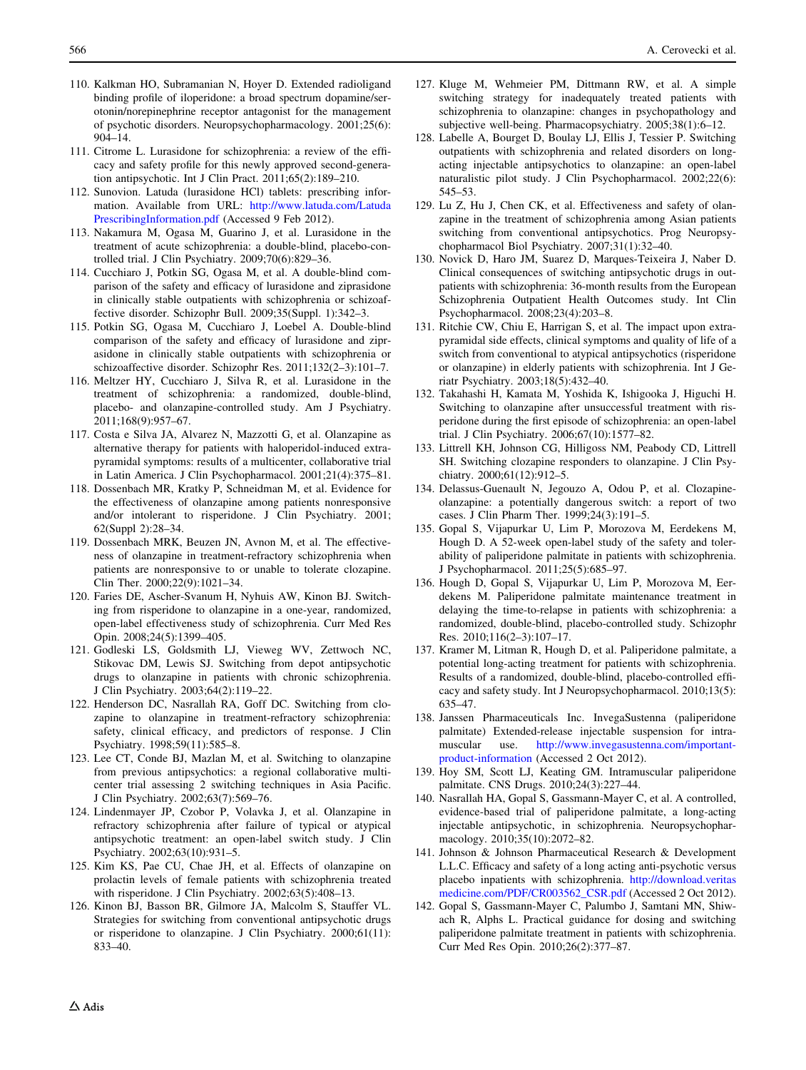- <span id="page-21-0"></span>110. Kalkman HO, Subramanian N, Hoyer D. Extended radioligand binding profile of iloperidone: a broad spectrum dopamine/serotonin/norepinephrine receptor antagonist for the management of psychotic disorders. Neuropsychopharmacology. 2001;25(6): 904–14.
- 111. Citrome L. Lurasidone for schizophrenia: a review of the efficacy and safety profile for this newly approved second-generation antipsychotic. Int J Clin Pract. 2011;65(2):189–210.
- 112. Sunovion. Latuda (lurasidone HCl) tablets: prescribing information. Available from URL: [http://www.latuda.com/Latuda](http://www.latuda.com/LatudaPrescribingInformation.pdf) [PrescribingInformation.pdf](http://www.latuda.com/LatudaPrescribingInformation.pdf) (Accessed 9 Feb 2012).
- 113. Nakamura M, Ogasa M, Guarino J, et al. Lurasidone in the treatment of acute schizophrenia: a double-blind, placebo-controlled trial. J Clin Psychiatry. 2009;70(6):829–36.
- 114. Cucchiaro J, Potkin SG, Ogasa M, et al. A double-blind comparison of the safety and efficacy of lurasidone and ziprasidone in clinically stable outpatients with schizophrenia or schizoaffective disorder. Schizophr Bull. 2009;35(Suppl. 1):342–3.
- 115. Potkin SG, Ogasa M, Cucchiaro J, Loebel A. Double-blind comparison of the safety and efficacy of lurasidone and ziprasidone in clinically stable outpatients with schizophrenia or schizoaffective disorder. Schizophr Res. 2011;132(2–3):101–7.
- 116. Meltzer HY, Cucchiaro J, Silva R, et al. Lurasidone in the treatment of schizophrenia: a randomized, double-blind, placebo- and olanzapine-controlled study. Am J Psychiatry. 2011;168(9):957–67.
- 117. Costa e Silva JA, Alvarez N, Mazzotti G, et al. Olanzapine as alternative therapy for patients with haloperidol-induced extrapyramidal symptoms: results of a multicenter, collaborative trial in Latin America. J Clin Psychopharmacol. 2001;21(4):375–81.
- 118. Dossenbach MR, Kratky P, Schneidman M, et al. Evidence for the effectiveness of olanzapine among patients nonresponsive and/or intolerant to risperidone. J Clin Psychiatry. 2001; 62(Suppl 2):28–34.
- 119. Dossenbach MRK, Beuzen JN, Avnon M, et al. The effectiveness of olanzapine in treatment-refractory schizophrenia when patients are nonresponsive to or unable to tolerate clozapine. Clin Ther. 2000;22(9):1021–34.
- 120. Faries DE, Ascher-Svanum H, Nyhuis AW, Kinon BJ. Switching from risperidone to olanzapine in a one-year, randomized, open-label effectiveness study of schizophrenia. Curr Med Res Opin. 2008;24(5):1399–405.
- 121. Godleski LS, Goldsmith LJ, Vieweg WV, Zettwoch NC, Stikovac DM, Lewis SJ. Switching from depot antipsychotic drugs to olanzapine in patients with chronic schizophrenia. J Clin Psychiatry. 2003;64(2):119–22.
- 122. Henderson DC, Nasrallah RA, Goff DC. Switching from clozapine to olanzapine in treatment-refractory schizophrenia: safety, clinical efficacy, and predictors of response. J Clin Psychiatry. 1998;59(11):585–8.
- 123. Lee CT, Conde BJ, Mazlan M, et al. Switching to olanzapine from previous antipsychotics: a regional collaborative multicenter trial assessing 2 switching techniques in Asia Pacific. J Clin Psychiatry. 2002;63(7):569–76.
- 124. Lindenmayer JP, Czobor P, Volavka J, et al. Olanzapine in refractory schizophrenia after failure of typical or atypical antipsychotic treatment: an open-label switch study. J Clin Psychiatry. 2002;63(10):931–5.
- 125. Kim KS, Pae CU, Chae JH, et al. Effects of olanzapine on prolactin levels of female patients with schizophrenia treated with risperidone. J Clin Psychiatry. 2002;63(5):408–13.
- 126. Kinon BJ, Basson BR, Gilmore JA, Malcolm S, Stauffer VL. Strategies for switching from conventional antipsychotic drugs or risperidone to olanzapine. J Clin Psychiatry. 2000;61(11): 833–40.
- 127. Kluge M, Wehmeier PM, Dittmann RW, et al. A simple switching strategy for inadequately treated patients with schizophrenia to olanzapine: changes in psychopathology and subjective well-being. Pharmacopsychiatry. 2005;38(1):6–12.
- 128. Labelle A, Bourget D, Boulay LJ, Ellis J, Tessier P. Switching outpatients with schizophrenia and related disorders on longacting injectable antipsychotics to olanzapine: an open-label naturalistic pilot study. J Clin Psychopharmacol. 2002;22(6): 545–53.
- 129. Lu Z, Hu J, Chen CK, et al. Effectiveness and safety of olanzapine in the treatment of schizophrenia among Asian patients switching from conventional antipsychotics. Prog Neuropsychopharmacol Biol Psychiatry. 2007;31(1):32–40.
- 130. Novick D, Haro JM, Suarez D, Marques-Teixeira J, Naber D. Clinical consequences of switching antipsychotic drugs in outpatients with schizophrenia: 36-month results from the European Schizophrenia Outpatient Health Outcomes study. Int Clin Psychopharmacol. 2008;23(4):203–8.
- 131. Ritchie CW, Chiu E, Harrigan S, et al. The impact upon extrapyramidal side effects, clinical symptoms and quality of life of a switch from conventional to atypical antipsychotics (risperidone or olanzapine) in elderly patients with schizophrenia. Int J Geriatr Psychiatry. 2003;18(5):432–40.
- 132. Takahashi H, Kamata M, Yoshida K, Ishigooka J, Higuchi H. Switching to olanzapine after unsuccessful treatment with risperidone during the first episode of schizophrenia: an open-label trial. J Clin Psychiatry. 2006;67(10):1577–82.
- 133. Littrell KH, Johnson CG, Hilligoss NM, Peabody CD, Littrell SH. Switching clozapine responders to olanzapine. J Clin Psychiatry. 2000;61(12):912-5.
- 134. Delassus-Guenault N, Jegouzo A, Odou P, et al. Clozapineolanzapine: a potentially dangerous switch: a report of two cases. J Clin Pharm Ther. 1999;24(3):191–5.
- 135. Gopal S, Vijapurkar U, Lim P, Morozova M, Eerdekens M, Hough D. A 52-week open-label study of the safety and tolerability of paliperidone palmitate in patients with schizophrenia. J Psychopharmacol. 2011;25(5):685–97.
- 136. Hough D, Gopal S, Vijapurkar U, Lim P, Morozova M, Eerdekens M. Paliperidone palmitate maintenance treatment in delaying the time-to-relapse in patients with schizophrenia: a randomized, double-blind, placebo-controlled study. Schizophr Res. 2010;116(2–3):107–17.
- 137. Kramer M, Litman R, Hough D, et al. Paliperidone palmitate, a potential long-acting treatment for patients with schizophrenia. Results of a randomized, double-blind, placebo-controlled efficacy and safety study. Int J Neuropsychopharmacol. 2010;13(5): 635–47.
- 138. Janssen Pharmaceuticals Inc. InvegaSustenna (paliperidone palmitate) Extended-release injectable suspension for intramuscular use. [http://www.invegasustenna.com/important](http://www.invegasustenna.com/important-product-information)[product-information](http://www.invegasustenna.com/important-product-information) (Accessed 2 Oct 2012).
- 139. Hoy SM, Scott LJ, Keating GM. Intramuscular paliperidone palmitate. CNS Drugs. 2010;24(3):227–44.
- 140. Nasrallah HA, Gopal S, Gassmann-Mayer C, et al. A controlled, evidence-based trial of paliperidone palmitate, a long-acting injectable antipsychotic, in schizophrenia. Neuropsychopharmacology. 2010;35(10):2072–82.
- 141. Johnson & Johnson Pharmaceutical Research & Development L.L.C. Efficacy and safety of a long acting anti-psychotic versus placebo inpatients with schizophrenia. [http://download.veritas](http://download.veritasmedicine.com/PDF/CR003562_CSR.pdf) [medicine.com/PDF/CR003562\\_CSR.pdf](http://download.veritasmedicine.com/PDF/CR003562_CSR.pdf) (Accessed 2 Oct 2012).
- 142. Gopal S, Gassmann-Mayer C, Palumbo J, Samtani MN, Shiwach R, Alphs L. Practical guidance for dosing and switching paliperidone palmitate treatment in patients with schizophrenia. Curr Med Res Opin. 2010;26(2):377–87.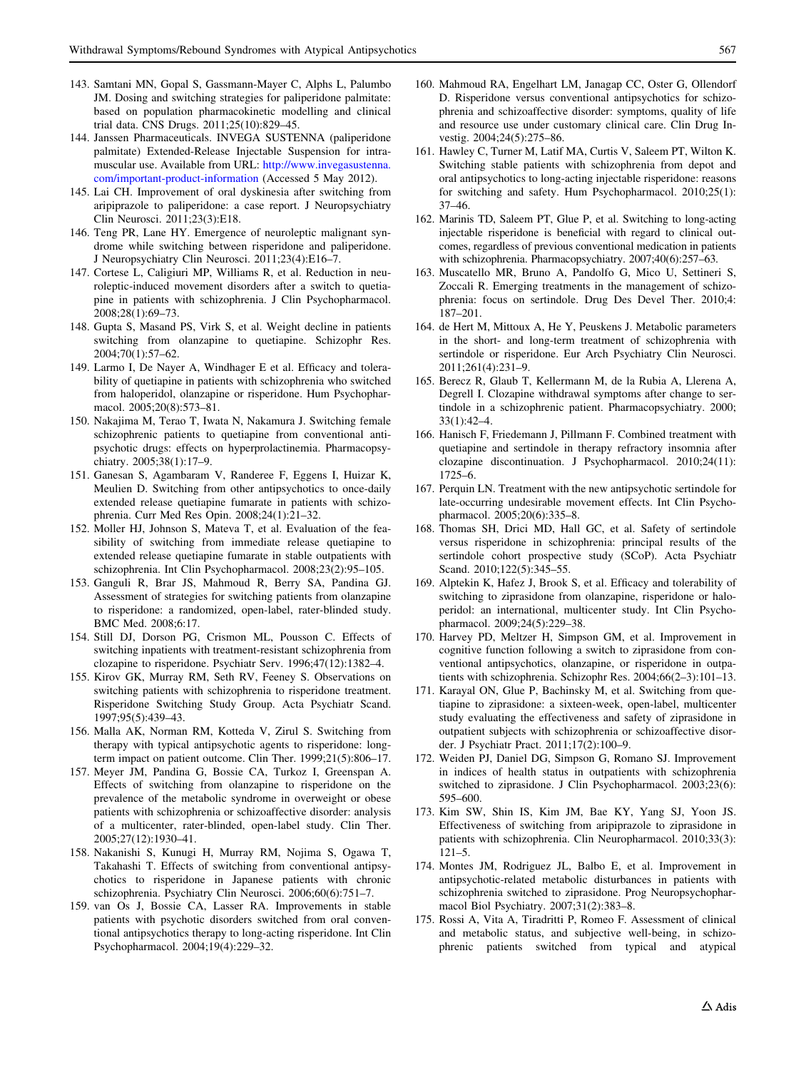- <span id="page-22-0"></span>143. Samtani MN, Gopal S, Gassmann-Mayer C, Alphs L, Palumbo JM. Dosing and switching strategies for paliperidone palmitate: based on population pharmacokinetic modelling and clinical trial data. CNS Drugs. 2011;25(10):829–45.
- 144. Janssen Pharmaceuticals. INVEGA SUSTENNA (paliperidone palmitate) Extended-Release Injectable Suspension for intramuscular use. Available from URL: [http://www.invegasustenna.](http://www.invegasustenna.com/important-product-information) [com/important-product-information](http://www.invegasustenna.com/important-product-information) (Accessed 5 May 2012).
- 145. Lai CH. Improvement of oral dyskinesia after switching from aripiprazole to paliperidone: a case report. J Neuropsychiatry Clin Neurosci. 2011;23(3):E18.
- 146. Teng PR, Lane HY. Emergence of neuroleptic malignant syndrome while switching between risperidone and paliperidone. J Neuropsychiatry Clin Neurosci. 2011;23(4):E16–7.
- 147. Cortese L, Caligiuri MP, Williams R, et al. Reduction in neuroleptic-induced movement disorders after a switch to quetiapine in patients with schizophrenia. J Clin Psychopharmacol. 2008;28(1):69–73.
- 148. Gupta S, Masand PS, Virk S, et al. Weight decline in patients switching from olanzapine to quetiapine. Schizophr Res. 2004;70(1):57–62.
- 149. Larmo I, De Nayer A, Windhager E et al. Efficacy and tolerability of quetiapine in patients with schizophrenia who switched from haloperidol, olanzapine or risperidone. Hum Psychopharmacol. 2005;20(8):573–81.
- 150. Nakajima M, Terao T, Iwata N, Nakamura J. Switching female schizophrenic patients to quetiapine from conventional antipsychotic drugs: effects on hyperprolactinemia. Pharmacopsychiatry. 2005;38(1):17–9.
- 151. Ganesan S, Agambaram V, Randeree F, Eggens I, Huizar K, Meulien D. Switching from other antipsychotics to once-daily extended release quetiapine fumarate in patients with schizophrenia. Curr Med Res Opin. 2008;24(1):21–32.
- 152. Moller HJ, Johnson S, Mateva T, et al. Evaluation of the feasibility of switching from immediate release quetiapine to extended release quetiapine fumarate in stable outpatients with schizophrenia. Int Clin Psychopharmacol. 2008;23(2):95–105.
- 153. Ganguli R, Brar JS, Mahmoud R, Berry SA, Pandina GJ. Assessment of strategies for switching patients from olanzapine to risperidone: a randomized, open-label, rater-blinded study. BMC Med. 2008;6:17.
- 154. Still DJ, Dorson PG, Crismon ML, Pousson C. Effects of switching inpatients with treatment-resistant schizophrenia from clozapine to risperidone. Psychiatr Serv. 1996;47(12):1382–4.
- 155. Kirov GK, Murray RM, Seth RV, Feeney S. Observations on switching patients with schizophrenia to risperidone treatment. Risperidone Switching Study Group. Acta Psychiatr Scand. 1997;95(5):439–43.
- 156. Malla AK, Norman RM, Kotteda V, Zirul S. Switching from therapy with typical antipsychotic agents to risperidone: longterm impact on patient outcome. Clin Ther. 1999;21(5):806–17.
- 157. Meyer JM, Pandina G, Bossie CA, Turkoz I, Greenspan A. Effects of switching from olanzapine to risperidone on the prevalence of the metabolic syndrome in overweight or obese patients with schizophrenia or schizoaffective disorder: analysis of a multicenter, rater-blinded, open-label study. Clin Ther. 2005;27(12):1930–41.
- 158. Nakanishi S, Kunugi H, Murray RM, Nojima S, Ogawa T, Takahashi T. Effects of switching from conventional antipsychotics to risperidone in Japanese patients with chronic schizophrenia. Psychiatry Clin Neurosci. 2006;60(6):751–7.
- 159. van Os J, Bossie CA, Lasser RA. Improvements in stable patients with psychotic disorders switched from oral conventional antipsychotics therapy to long-acting risperidone. Int Clin Psychopharmacol. 2004;19(4):229–32.
- 160. Mahmoud RA, Engelhart LM, Janagap CC, Oster G, Ollendorf D. Risperidone versus conventional antipsychotics for schizophrenia and schizoaffective disorder: symptoms, quality of life and resource use under customary clinical care. Clin Drug Investig. 2004;24(5):275–86.
- 161. Hawley C, Turner M, Latif MA, Curtis V, Saleem PT, Wilton K. Switching stable patients with schizophrenia from depot and oral antipsychotics to long-acting injectable risperidone: reasons for switching and safety. Hum Psychopharmacol. 2010;25(1): 37–46.
- 162. Marinis TD, Saleem PT, Glue P, et al. Switching to long-acting injectable risperidone is beneficial with regard to clinical outcomes, regardless of previous conventional medication in patients with schizophrenia. Pharmacopsychiatry. 2007;40(6):257–63.
- 163. Muscatello MR, Bruno A, Pandolfo G, Mico U, Settineri S, Zoccali R. Emerging treatments in the management of schizophrenia: focus on sertindole. Drug Des Devel Ther. 2010;4: 187–201.
- 164. de Hert M, Mittoux A, He Y, Peuskens J. Metabolic parameters in the short- and long-term treatment of schizophrenia with sertindole or risperidone. Eur Arch Psychiatry Clin Neurosci. 2011;261(4):231–9.
- 165. Berecz R, Glaub T, Kellermann M, de la Rubia A, Llerena A, Degrell I. Clozapine withdrawal symptoms after change to sertindole in a schizophrenic patient. Pharmacopsychiatry. 2000; 33(1):42–4.
- 166. Hanisch F, Friedemann J, Pillmann F. Combined treatment with quetiapine and sertindole in therapy refractory insomnia after clozapine discontinuation. J Psychopharmacol. 2010;24(11): 1725–6.
- 167. Perquin LN. Treatment with the new antipsychotic sertindole for late-occurring undesirable movement effects. Int Clin Psychopharmacol. 2005;20(6):335–8.
- 168. Thomas SH, Drici MD, Hall GC, et al. Safety of sertindole versus risperidone in schizophrenia: principal results of the sertindole cohort prospective study (SCoP). Acta Psychiatr Scand. 2010;122(5):345-55.
- 169. Alptekin K, Hafez J, Brook S, et al. Efficacy and tolerability of switching to ziprasidone from olanzapine, risperidone or haloperidol: an international, multicenter study. Int Clin Psychopharmacol. 2009;24(5):229–38.
- 170. Harvey PD, Meltzer H, Simpson GM, et al. Improvement in cognitive function following a switch to ziprasidone from conventional antipsychotics, olanzapine, or risperidone in outpatients with schizophrenia. Schizophr Res. 2004;66(2–3):101–13.
- 171. Karayal ON, Glue P, Bachinsky M, et al. Switching from quetiapine to ziprasidone: a sixteen-week, open-label, multicenter study evaluating the effectiveness and safety of ziprasidone in outpatient subjects with schizophrenia or schizoaffective disorder. J Psychiatr Pract. 2011;17(2):100–9.
- 172. Weiden PJ, Daniel DG, Simpson G, Romano SJ. Improvement in indices of health status in outpatients with schizophrenia switched to ziprasidone. J Clin Psychopharmacol. 2003;23(6): 595–600.
- 173. Kim SW, Shin IS, Kim JM, Bae KY, Yang SJ, Yoon JS. Effectiveness of switching from aripiprazole to ziprasidone in patients with schizophrenia. Clin Neuropharmacol. 2010;33(3): 121–5.
- 174. Montes JM, Rodriguez JL, Balbo E, et al. Improvement in antipsychotic-related metabolic disturbances in patients with schizophrenia switched to ziprasidone. Prog Neuropsychopharmacol Biol Psychiatry. 2007;31(2):383–8.
- 175. Rossi A, Vita A, Tiradritti P, Romeo F. Assessment of clinical and metabolic status, and subjective well-being, in schizophrenic patients switched from typical and atypical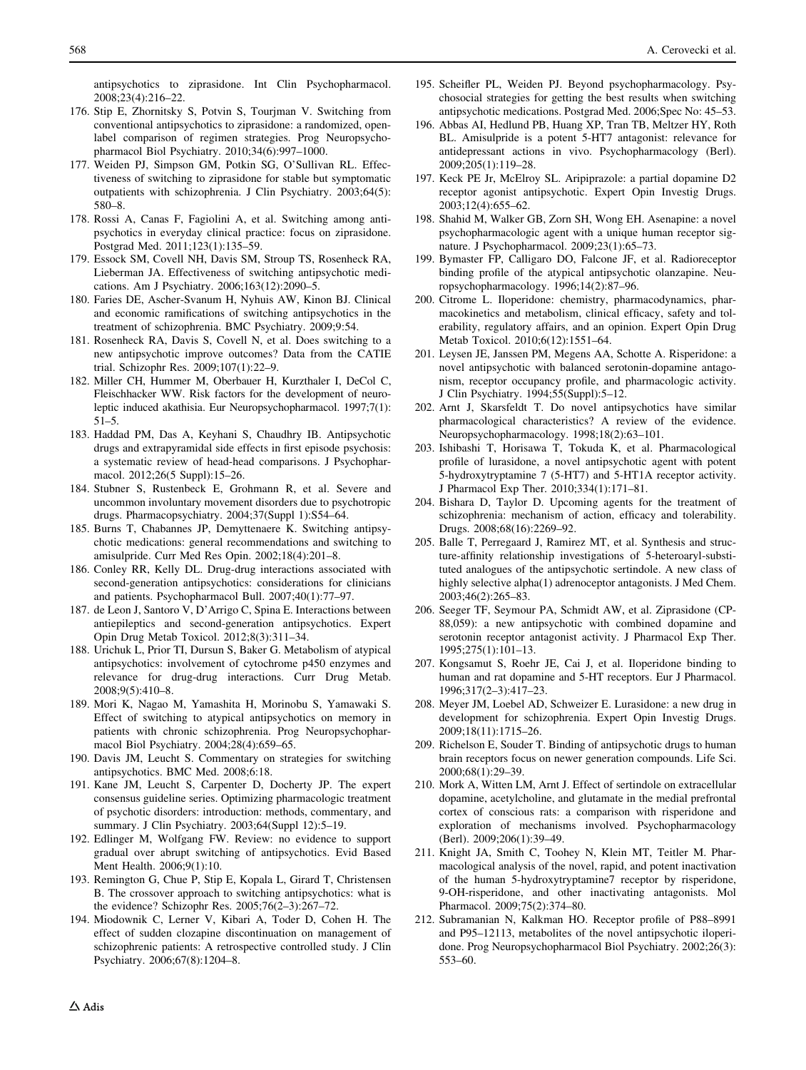<span id="page-23-0"></span>antipsychotics to ziprasidone. Int Clin Psychopharmacol. 2008;23(4):216–22.

- 176. Stip E, Zhornitsky S, Potvin S, Tourjman V. Switching from conventional antipsychotics to ziprasidone: a randomized, openlabel comparison of regimen strategies. Prog Neuropsychopharmacol Biol Psychiatry. 2010;34(6):997–1000.
- 177. Weiden PJ, Simpson GM, Potkin SG, O'Sullivan RL. Effectiveness of switching to ziprasidone for stable but symptomatic outpatients with schizophrenia. J Clin Psychiatry. 2003;64(5): 580–8.
- 178. Rossi A, Canas F, Fagiolini A, et al. Switching among antipsychotics in everyday clinical practice: focus on ziprasidone. Postgrad Med. 2011;123(1):135–59.
- 179. Essock SM, Covell NH, Davis SM, Stroup TS, Rosenheck RA, Lieberman JA. Effectiveness of switching antipsychotic medications. Am J Psychiatry. 2006;163(12):2090–5.
- 180. Faries DE, Ascher-Svanum H, Nyhuis AW, Kinon BJ. Clinical and economic ramifications of switching antipsychotics in the treatment of schizophrenia. BMC Psychiatry. 2009;9:54.
- 181. Rosenheck RA, Davis S, Covell N, et al. Does switching to a new antipsychotic improve outcomes? Data from the CATIE trial. Schizophr Res. 2009;107(1):22–9.
- 182. Miller CH, Hummer M, Oberbauer H, Kurzthaler I, DeCol C, Fleischhacker WW. Risk factors for the development of neuroleptic induced akathisia. Eur Neuropsychopharmacol. 1997;7(1): 51–5.
- 183. Haddad PM, Das A, Keyhani S, Chaudhry IB. Antipsychotic drugs and extrapyramidal side effects in first episode psychosis: a systematic review of head-head comparisons. J Psychopharmacol. 2012;26(5 Suppl):15–26.
- 184. Stubner S, Rustenbeck E, Grohmann R, et al. Severe and uncommon involuntary movement disorders due to psychotropic drugs. Pharmacopsychiatry. 2004;37(Suppl 1):S54–64.
- 185. Burns T, Chabannes JP, Demyttenaere K. Switching antipsychotic medications: general recommendations and switching to amisulpride. Curr Med Res Opin. 2002;18(4):201–8.
- 186. Conley RR, Kelly DL. Drug-drug interactions associated with second-generation antipsychotics: considerations for clinicians and patients. Psychopharmacol Bull. 2007;40(1):77–97.
- 187. de Leon J, Santoro V, D'Arrigo C, Spina E. Interactions between antiepileptics and second-generation antipsychotics. Expert Opin Drug Metab Toxicol. 2012;8(3):311–34.
- 188. Urichuk L, Prior TI, Dursun S, Baker G. Metabolism of atypical antipsychotics: involvement of cytochrome p450 enzymes and relevance for drug-drug interactions. Curr Drug Metab. 2008;9(5):410–8.
- 189. Mori K, Nagao M, Yamashita H, Morinobu S, Yamawaki S. Effect of switching to atypical antipsychotics on memory in patients with chronic schizophrenia. Prog Neuropsychopharmacol Biol Psychiatry. 2004;28(4):659–65.
- 190. Davis JM, Leucht S. Commentary on strategies for switching antipsychotics. BMC Med. 2008;6:18.
- 191. Kane JM, Leucht S, Carpenter D, Docherty JP. The expert consensus guideline series. Optimizing pharmacologic treatment of psychotic disorders: introduction: methods, commentary, and summary. J Clin Psychiatry. 2003;64(Suppl 12):5–19.
- 192. Edlinger M, Wolfgang FW. Review: no evidence to support gradual over abrupt switching of antipsychotics. Evid Based Ment Health. 2006;9(1):10.
- 193. Remington G, Chue P, Stip E, Kopala L, Girard T, Christensen B. The crossover approach to switching antipsychotics: what is the evidence? Schizophr Res. 2005;76(2–3):267–72.
- 194. Miodownik C, Lerner V, Kibari A, Toder D, Cohen H. The effect of sudden clozapine discontinuation on management of schizophrenic patients: A retrospective controlled study. J Clin Psychiatry. 2006;67(8):1204–8.
- 195. Scheifler PL, Weiden PJ. Beyond psychopharmacology. Psychosocial strategies for getting the best results when switching antipsychotic medications. Postgrad Med. 2006;Spec No: 45–53.
- 196. Abbas AI, Hedlund PB, Huang XP, Tran TB, Meltzer HY, Roth BL. Amisulpride is a potent 5-HT7 antagonist: relevance for antidepressant actions in vivo. Psychopharmacology (Berl). 2009;205(1):119–28.
- 197. Keck PE Jr, McElroy SL. Aripiprazole: a partial dopamine D2 receptor agonist antipsychotic. Expert Opin Investig Drugs. 2003;12(4):655–62.
- 198. Shahid M, Walker GB, Zorn SH, Wong EH. Asenapine: a novel psychopharmacologic agent with a unique human receptor signature. J Psychopharmacol. 2009;23(1):65–73.
- 199. Bymaster FP, Calligaro DO, Falcone JF, et al. Radioreceptor binding profile of the atypical antipsychotic olanzapine. Neuropsychopharmacology. 1996;14(2):87–96.
- 200. Citrome L. Iloperidone: chemistry, pharmacodynamics, pharmacokinetics and metabolism, clinical efficacy, safety and tolerability, regulatory affairs, and an opinion. Expert Opin Drug Metab Toxicol. 2010;6(12):1551–64.
- 201. Leysen JE, Janssen PM, Megens AA, Schotte A. Risperidone: a novel antipsychotic with balanced serotonin-dopamine antagonism, receptor occupancy profile, and pharmacologic activity. J Clin Psychiatry. 1994;55(Suppl):5–12.
- 202. Arnt J, Skarsfeldt T. Do novel antipsychotics have similar pharmacological characteristics? A review of the evidence. Neuropsychopharmacology. 1998;18(2):63–101.
- 203. Ishibashi T, Horisawa T, Tokuda K, et al. Pharmacological profile of lurasidone, a novel antipsychotic agent with potent 5-hydroxytryptamine 7 (5-HT7) and 5-HT1A receptor activity. J Pharmacol Exp Ther. 2010;334(1):171–81.
- 204. Bishara D, Taylor D. Upcoming agents for the treatment of schizophrenia: mechanism of action, efficacy and tolerability. Drugs. 2008;68(16):2269–92.
- 205. Balle T, Perregaard J, Ramirez MT, et al. Synthesis and structure-affinity relationship investigations of 5-heteroaryl-substituted analogues of the antipsychotic sertindole. A new class of highly selective alpha(1) adrenoceptor antagonists. J Med Chem. 2003;46(2):265–83.
- 206. Seeger TF, Seymour PA, Schmidt AW, et al. Ziprasidone (CP-88,059): a new antipsychotic with combined dopamine and serotonin receptor antagonist activity. J Pharmacol Exp Ther. 1995;275(1):101–13.
- 207. Kongsamut S, Roehr JE, Cai J, et al. Iloperidone binding to human and rat dopamine and 5-HT receptors. Eur J Pharmacol. 1996;317(2–3):417–23.
- 208. Meyer JM, Loebel AD, Schweizer E. Lurasidone: a new drug in development for schizophrenia. Expert Opin Investig Drugs. 2009;18(11):1715–26.
- 209. Richelson E, Souder T. Binding of antipsychotic drugs to human brain receptors focus on newer generation compounds. Life Sci. 2000;68(1):29–39.
- 210. Mork A, Witten LM, Arnt J. Effect of sertindole on extracellular dopamine, acetylcholine, and glutamate in the medial prefrontal cortex of conscious rats: a comparison with risperidone and exploration of mechanisms involved. Psychopharmacology (Berl). 2009;206(1):39–49.
- 211. Knight JA, Smith C, Toohey N, Klein MT, Teitler M. Pharmacological analysis of the novel, rapid, and potent inactivation of the human 5-hydroxytryptamine7 receptor by risperidone, 9-OH-risperidone, and other inactivating antagonists. Mol Pharmacol. 2009;75(2):374–80.
- 212. Subramanian N, Kalkman HO. Receptor profile of P88–8991 and P95–12113, metabolites of the novel antipsychotic iloperidone. Prog Neuropsychopharmacol Biol Psychiatry. 2002;26(3): 553–60.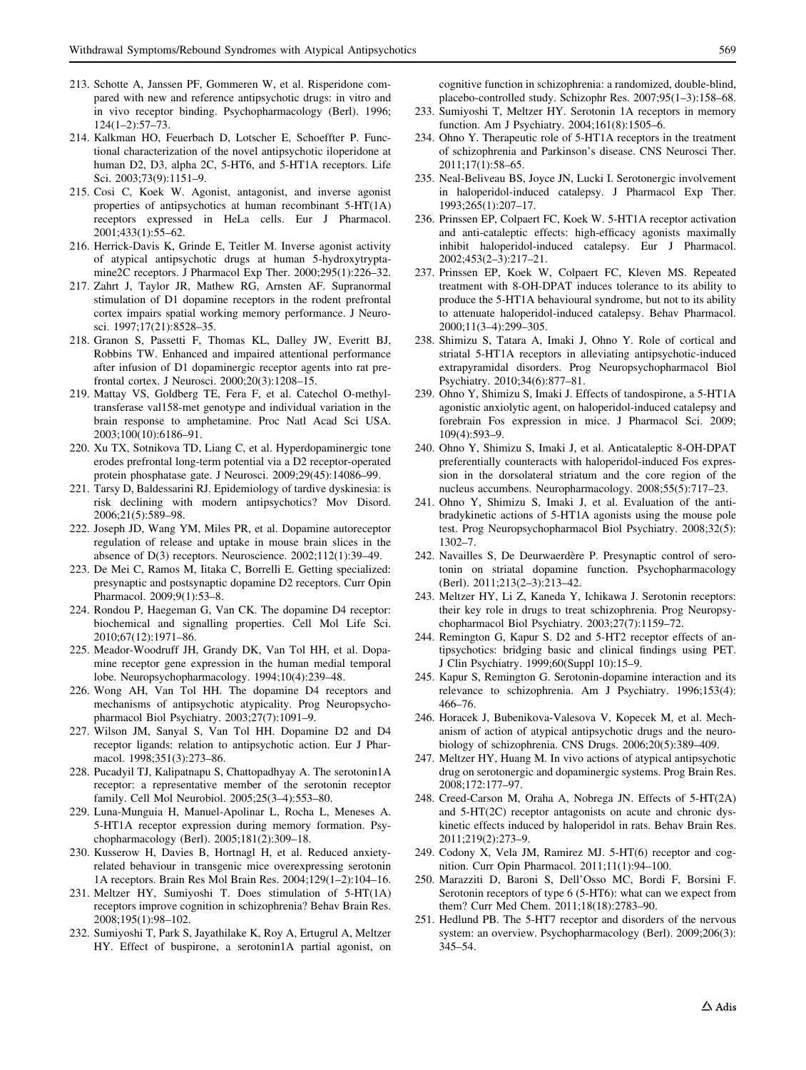- <span id="page-24-0"></span>213. Schotte A, Janssen PF, Gommeren W, et al. Risperidone compared with new and reference antipsychotic drugs: in vitro and in vivo receptor binding. Psychopharmacology (Berl). 1996; 124(1–2):57–73.
- 214. Kalkman HO, Feuerbach D, Lotscher E, Schoeffter P. Functional characterization of the novel antipsychotic iloperidone at human D2, D3, alpha 2C, 5-HT6, and 5-HT1A receptors. Life Sci. 2003;73(9):1151–9.
- 215. Cosi C, Koek W. Agonist, antagonist, and inverse agonist properties of antipsychotics at human recombinant 5-HT(1A) receptors expressed in HeLa cells. Eur J Pharmacol. 2001;433(1):55–62.
- 216. Herrick-Davis K, Grinde E, Teitler M. Inverse agonist activity of atypical antipsychotic drugs at human 5-hydroxytryptamine2C receptors. J Pharmacol Exp Ther. 2000;295(1):226–32.
- 217. Zahrt J, Taylor JR, Mathew RG, Arnsten AF. Supranormal stimulation of D1 dopamine receptors in the rodent prefrontal cortex impairs spatial working memory performance. J Neurosci. 1997;17(21):8528–35.
- 218. Granon S, Passetti F, Thomas KL, Dalley JW, Everitt BJ, Robbins TW. Enhanced and impaired attentional performance after infusion of D1 dopaminergic receptor agents into rat prefrontal cortex. J Neurosci. 2000;20(3):1208–15.
- 219. Mattay VS, Goldberg TE, Fera F, et al. Catechol O-methyltransferase val158-met genotype and individual variation in the brain response to amphetamine. Proc Natl Acad Sci USA. 2003;100(10):6186–91.
- 220. Xu TX, Sotnikova TD, Liang C, et al. Hyperdopaminergic tone erodes prefrontal long-term potential via a D2 receptor-operated protein phosphatase gate. J Neurosci. 2009;29(45):14086–99.
- 221. Tarsy D, Baldessarini RJ. Epidemiology of tardive dyskinesia: is risk declining with modern antipsychotics? Mov Disord. 2006;21(5):589–98.
- 222. Joseph JD, Wang YM, Miles PR, et al. Dopamine autoreceptor regulation of release and uptake in mouse brain slices in the absence of D(3) receptors. Neuroscience. 2002;112(1):39–49.
- 223. De Mei C, Ramos M, Iitaka C, Borrelli E. Getting specialized: presynaptic and postsynaptic dopamine D2 receptors. Curr Opin Pharmacol. 2009;9(1):53–8.
- 224. Rondou P, Haegeman G, Van CK. The dopamine D4 receptor: biochemical and signalling properties. Cell Mol Life Sci. 2010;67(12):1971–86.
- 225. Meador-Woodruff JH, Grandy DK, Van Tol HH, et al. Dopamine receptor gene expression in the human medial temporal lobe. Neuropsychopharmacology. 1994;10(4):239–48.
- 226. Wong AH, Van Tol HH. The dopamine D4 receptors and mechanisms of antipsychotic atypicality. Prog Neuropsychopharmacol Biol Psychiatry. 2003;27(7):1091–9.
- 227. Wilson JM, Sanyal S, Van Tol HH. Dopamine D2 and D4 receptor ligands: relation to antipsychotic action. Eur J Pharmacol. 1998;351(3):273–86.
- 228. Pucadyil TJ, Kalipatnapu S, Chattopadhyay A. The serotonin1A receptor: a representative member of the serotonin receptor family. Cell Mol Neurobiol. 2005;25(3–4):553–80.
- 229. Luna-Munguia H, Manuel-Apolinar L, Rocha L, Meneses A. 5-HT1A receptor expression during memory formation. Psychopharmacology (Berl). 2005;181(2):309–18.
- 230. Kusserow H, Davies B, Hortnagl H, et al. Reduced anxietyrelated behaviour in transgenic mice overexpressing serotonin 1A receptors. Brain Res Mol Brain Res. 2004;129(1–2):104–16.
- 231. Meltzer HY, Sumiyoshi T. Does stimulation of 5-HT(1A) receptors improve cognition in schizophrenia? Behav Brain Res. 2008;195(1):98–102.
- 232. Sumiyoshi T, Park S, Jayathilake K, Roy A, Ertugrul A, Meltzer HY. Effect of buspirone, a serotonin1A partial agonist, on

cognitive function in schizophrenia: a randomized, double-blind, placebo-controlled study. Schizophr Res. 2007;95(1–3):158–68.

- 233. Sumiyoshi T, Meltzer HY. Serotonin 1A receptors in memory function. Am J Psychiatry. 2004;161(8):1505–6.
- 234. Ohno Y. Therapeutic role of 5-HT1A receptors in the treatment of schizophrenia and Parkinson's disease. CNS Neurosci Ther. 2011;17(1):58–65.
- 235. Neal-Beliveau BS, Joyce JN, Lucki I. Serotonergic involvement in haloperidol-induced catalepsy. J Pharmacol Exp Ther. 1993;265(1):207–17.
- 236. Prinssen EP, Colpaert FC, Koek W. 5-HT1A receptor activation and anti-cataleptic effects: high-efficacy agonists maximally inhibit haloperidol-induced catalepsy. Eur J Pharmacol. 2002;453(2–3):217–21.
- 237. Prinssen EP, Koek W, Colpaert FC, Kleven MS. Repeated treatment with 8-OH-DPAT induces tolerance to its ability to produce the 5-HT1A behavioural syndrome, but not to its ability to attenuate haloperidol-induced catalepsy. Behav Pharmacol. 2000;11(3–4):299–305.
- 238. Shimizu S, Tatara A, Imaki J, Ohno Y. Role of cortical and striatal 5-HT1A receptors in alleviating antipsychotic-induced extrapyramidal disorders. Prog Neuropsychopharmacol Biol Psychiatry. 2010;34(6):877–81.
- 239. Ohno Y, Shimizu S, Imaki J. Effects of tandospirone, a 5-HT1A agonistic anxiolytic agent, on haloperidol-induced catalepsy and forebrain Fos expression in mice. J Pharmacol Sci. 2009; 109(4):593–9.
- 240. Ohno Y, Shimizu S, Imaki J, et al. Anticataleptic 8-OH-DPAT preferentially counteracts with haloperidol-induced Fos expression in the dorsolateral striatum and the core region of the nucleus accumbens. Neuropharmacology. 2008;55(5):717–23.
- 241. Ohno Y, Shimizu S, Imaki J, et al. Evaluation of the antibradykinetic actions of 5-HT1A agonists using the mouse pole test. Prog Neuropsychopharmacol Biol Psychiatry. 2008;32(5): 1302–7.
- 242. Navailles S, De Deurwaerdère P. Presynaptic control of serotonin on striatal dopamine function. Psychopharmacology (Berl). 2011;213(2–3):213–42.
- 243. Meltzer HY, Li Z, Kaneda Y, Ichikawa J. Serotonin receptors: their key role in drugs to treat schizophrenia. Prog Neuropsychopharmacol Biol Psychiatry. 2003;27(7):1159–72.
- 244. Remington G, Kapur S. D2 and 5-HT2 receptor effects of antipsychotics: bridging basic and clinical findings using PET. J Clin Psychiatry. 1999;60(Suppl 10):15–9.
- 245. Kapur S, Remington G. Serotonin-dopamine interaction and its relevance to schizophrenia. Am J Psychiatry. 1996;153(4): 466–76.
- 246. Horacek J, Bubenikova-Valesova V, Kopecek M, et al. Mechanism of action of atypical antipsychotic drugs and the neurobiology of schizophrenia. CNS Drugs. 2006;20(5):389–409.
- 247. Meltzer HY, Huang M. In vivo actions of atypical antipsychotic drug on serotonergic and dopaminergic systems. Prog Brain Res. 2008;172:177–97.
- 248. Creed-Carson M, Oraha A, Nobrega JN. Effects of 5-HT(2A) and 5-HT(2C) receptor antagonists on acute and chronic dyskinetic effects induced by haloperidol in rats. Behav Brain Res. 2011;219(2):273–9.
- 249. Codony X, Vela JM, Ramirez MJ. 5-HT(6) receptor and cognition. Curr Opin Pharmacol. 2011;11(1):94–100.
- 250. Marazziti D, Baroni S, Dell'Osso MC, Bordi F, Borsini F. Serotonin receptors of type 6 (5-HT6): what can we expect from them? Curr Med Chem. 2011;18(18):2783–90.
- 251. Hedlund PB. The 5-HT7 receptor and disorders of the nervous system: an overview. Psychopharmacology (Berl). 2009;206(3): 345–54.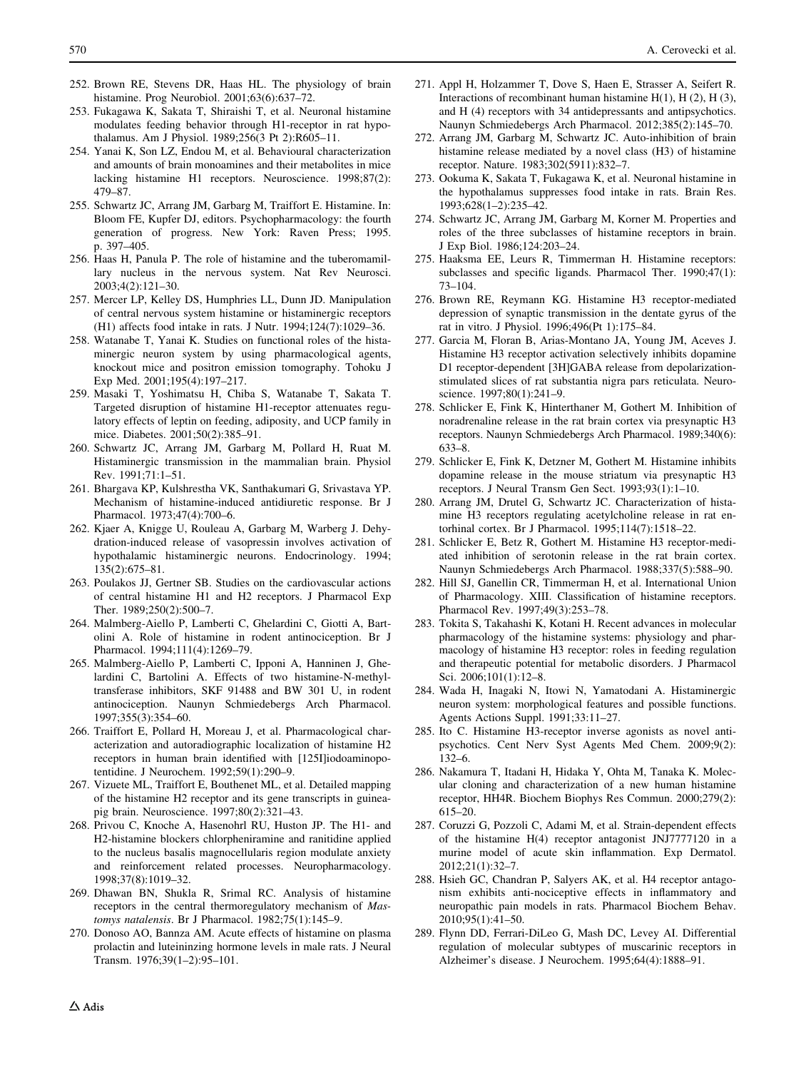- <span id="page-25-0"></span>252. Brown RE, Stevens DR, Haas HL. The physiology of brain histamine. Prog Neurobiol. 2001;63(6):637–72.
- 253. Fukagawa K, Sakata T, Shiraishi T, et al. Neuronal histamine modulates feeding behavior through H1-receptor in rat hypothalamus. Am J Physiol. 1989;256(3 Pt 2):R605–11.
- 254. Yanai K, Son LZ, Endou M, et al. Behavioural characterization and amounts of brain monoamines and their metabolites in mice lacking histamine H1 receptors. Neuroscience. 1998;87(2): 479–87.
- 255. Schwartz JC, Arrang JM, Garbarg M, Traiffort E. Histamine. In: Bloom FE, Kupfer DJ, editors. Psychopharmacology: the fourth generation of progress. New York: Raven Press; 1995. p. 397–405.
- 256. Haas H, Panula P. The role of histamine and the tuberomamillary nucleus in the nervous system. Nat Rev Neurosci. 2003;4(2):121–30.
- 257. Mercer LP, Kelley DS, Humphries LL, Dunn JD. Manipulation of central nervous system histamine or histaminergic receptors (H1) affects food intake in rats. J Nutr. 1994;124(7):1029–36.
- 258. Watanabe T, Yanai K. Studies on functional roles of the histaminergic neuron system by using pharmacological agents, knockout mice and positron emission tomography. Tohoku J Exp Med. 2001;195(4):197–217.
- 259. Masaki T, Yoshimatsu H, Chiba S, Watanabe T, Sakata T. Targeted disruption of histamine H1-receptor attenuates regulatory effects of leptin on feeding, adiposity, and UCP family in mice. Diabetes. 2001;50(2):385–91.
- 260. Schwartz JC, Arrang JM, Garbarg M, Pollard H, Ruat M. Histaminergic transmission in the mammalian brain. Physiol Rev. 1991;71:1–51.
- 261. Bhargava KP, Kulshrestha VK, Santhakumari G, Srivastava YP. Mechanism of histamine-induced antidiuretic response. Br J Pharmacol. 1973;47(4):700–6.
- 262. Kjaer A, Knigge U, Rouleau A, Garbarg M, Warberg J. Dehydration-induced release of vasopressin involves activation of hypothalamic histaminergic neurons. Endocrinology. 1994; 135(2):675–81.
- 263. Poulakos JJ, Gertner SB. Studies on the cardiovascular actions of central histamine H1 and H2 receptors. J Pharmacol Exp Ther. 1989;250(2):500–7.
- 264. Malmberg-Aiello P, Lamberti C, Ghelardini C, Giotti A, Bartolini A. Role of histamine in rodent antinociception. Br J Pharmacol. 1994;111(4):1269–79.
- 265. Malmberg-Aiello P, Lamberti C, Ipponi A, Hanninen J, Ghelardini C, Bartolini A. Effects of two histamine-N-methyltransferase inhibitors, SKF 91488 and BW 301 U, in rodent antinociception. Naunyn Schmiedebergs Arch Pharmacol. 1997;355(3):354–60.
- 266. Traiffort E, Pollard H, Moreau J, et al. Pharmacological characterization and autoradiographic localization of histamine H2 receptors in human brain identified with [125I]iodoaminopotentidine. J Neurochem. 1992;59(1):290–9.
- 267. Vizuete ML, Traiffort E, Bouthenet ML, et al. Detailed mapping of the histamine H2 receptor and its gene transcripts in guineapig brain. Neuroscience. 1997;80(2):321–43.
- 268. Privou C, Knoche A, Hasenohrl RU, Huston JP. The H1- and H2-histamine blockers chlorpheniramine and ranitidine applied to the nucleus basalis magnocellularis region modulate anxiety and reinforcement related processes. Neuropharmacology. 1998;37(8):1019–32.
- 269. Dhawan BN, Shukla R, Srimal RC. Analysis of histamine receptors in the central thermoregulatory mechanism of Mastomys natalensis. Br J Pharmacol. 1982;75(1):145–9.
- 270. Donoso AO, Bannza AM. Acute effects of histamine on plasma prolactin and luteininzing hormone levels in male rats. J Neural Transm. 1976;39(1–2):95–101.
- 271. Appl H, Holzammer T, Dove S, Haen E, Strasser A, Seifert R. Interactions of recombinant human histamine H(1), H (2), H (3), and H (4) receptors with 34 antidepressants and antipsychotics. Naunyn Schmiedebergs Arch Pharmacol. 2012;385(2):145–70.
- 272. Arrang JM, Garbarg M, Schwartz JC. Auto-inhibition of brain histamine release mediated by a novel class (H3) of histamine receptor. Nature. 1983;302(5911):832–7.
- 273. Ookuma K, Sakata T, Fukagawa K, et al. Neuronal histamine in the hypothalamus suppresses food intake in rats. Brain Res. 1993;628(1–2):235–42.
- 274. Schwartz JC, Arrang JM, Garbarg M, Korner M. Properties and roles of the three subclasses of histamine receptors in brain. J Exp Biol. 1986;124:203–24.
- 275. Haaksma EE, Leurs R, Timmerman H. Histamine receptors: subclasses and specific ligands. Pharmacol Ther. 1990;47(1): 73–104.
- 276. Brown RE, Reymann KG. Histamine H3 receptor-mediated depression of synaptic transmission in the dentate gyrus of the rat in vitro. J Physiol. 1996;496(Pt 1):175–84.
- 277. Garcia M, Floran B, Arias-Montano JA, Young JM, Aceves J. Histamine H3 receptor activation selectively inhibits dopamine D1 receptor-dependent [3H]GABA release from depolarizationstimulated slices of rat substantia nigra pars reticulata. Neuroscience. 1997;80(1):241-9.
- 278. Schlicker E, Fink K, Hinterthaner M, Gothert M. Inhibition of noradrenaline release in the rat brain cortex via presynaptic H3 receptors. Naunyn Schmiedebergs Arch Pharmacol. 1989;340(6): 633–8.
- 279. Schlicker E, Fink K, Detzner M, Gothert M. Histamine inhibits dopamine release in the mouse striatum via presynaptic H3 receptors. J Neural Transm Gen Sect. 1993;93(1):1–10.
- 280. Arrang JM, Drutel G, Schwartz JC. Characterization of histamine H3 receptors regulating acetylcholine release in rat entorhinal cortex. Br J Pharmacol. 1995;114(7):1518–22.
- 281. Schlicker E, Betz R, Gothert M. Histamine H3 receptor-mediated inhibition of serotonin release in the rat brain cortex. Naunyn Schmiedebergs Arch Pharmacol. 1988;337(5):588–90.
- 282. Hill SJ, Ganellin CR, Timmerman H, et al. International Union of Pharmacology. XIII. Classification of histamine receptors. Pharmacol Rev. 1997;49(3):253–78.
- 283. Tokita S, Takahashi K, Kotani H. Recent advances in molecular pharmacology of the histamine systems: physiology and pharmacology of histamine H3 receptor: roles in feeding regulation and therapeutic potential for metabolic disorders. J Pharmacol Sci. 2006;101(1):12–8.
- 284. Wada H, Inagaki N, Itowi N, Yamatodani A. Histaminergic neuron system: morphological features and possible functions. Agents Actions Suppl. 1991;33:11–27.
- 285. Ito C. Histamine H3-receptor inverse agonists as novel antipsychotics. Cent Nerv Syst Agents Med Chem. 2009;9(2): 132–6.
- 286. Nakamura T, Itadani H, Hidaka Y, Ohta M, Tanaka K. Molecular cloning and characterization of a new human histamine receptor, HH4R. Biochem Biophys Res Commun. 2000;279(2): 615–20.
- 287. Coruzzi G, Pozzoli C, Adami M, et al. Strain-dependent effects of the histamine H(4) receptor antagonist JNJ7777120 in a murine model of acute skin inflammation. Exp Dermatol. 2012;21(1):32–7.
- 288. Hsieh GC, Chandran P, Salyers AK, et al. H4 receptor antagonism exhibits anti-nociceptive effects in inflammatory and neuropathic pain models in rats. Pharmacol Biochem Behav. 2010;95(1):41–50.
- 289. Flynn DD, Ferrari-DiLeo G, Mash DC, Levey AI. Differential regulation of molecular subtypes of muscarinic receptors in Alzheimer's disease. J Neurochem. 1995;64(4):1888–91.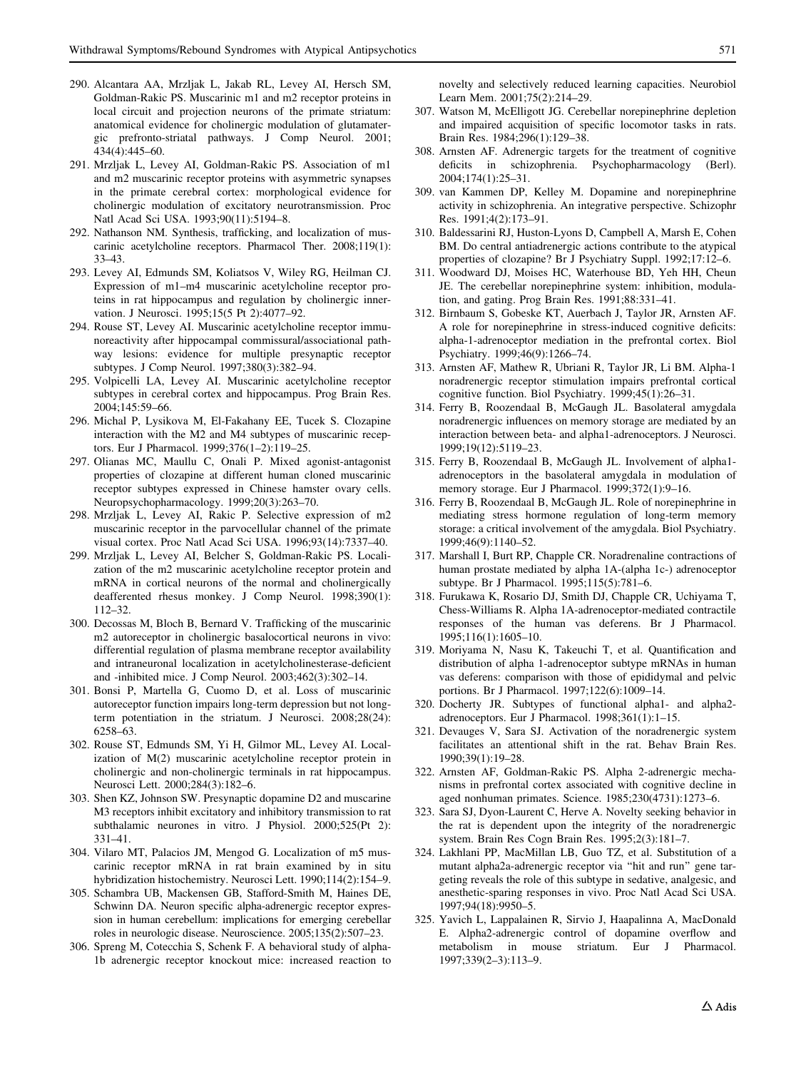- <span id="page-26-0"></span>290. Alcantara AA, Mrzljak L, Jakab RL, Levey AI, Hersch SM, Goldman-Rakic PS. Muscarinic m1 and m2 receptor proteins in local circuit and projection neurons of the primate striatum: anatomical evidence for cholinergic modulation of glutamatergic prefronto-striatal pathways. J Comp Neurol. 2001; 434(4):445–60.
- 291. Mrzljak L, Levey AI, Goldman-Rakic PS. Association of m1 and m2 muscarinic receptor proteins with asymmetric synapses in the primate cerebral cortex: morphological evidence for cholinergic modulation of excitatory neurotransmission. Proc Natl Acad Sci USA. 1993;90(11):5194–8.
- 292. Nathanson NM. Synthesis, trafficking, and localization of muscarinic acetylcholine receptors. Pharmacol Ther. 2008;119(1): 33–43.
- 293. Levey AI, Edmunds SM, Koliatsos V, Wiley RG, Heilman CJ. Expression of m1–m4 muscarinic acetylcholine receptor proteins in rat hippocampus and regulation by cholinergic innervation. J Neurosci. 1995;15(5 Pt 2):4077–92.
- 294. Rouse ST, Levey AI. Muscarinic acetylcholine receptor immunoreactivity after hippocampal commissural/associational pathway lesions: evidence for multiple presynaptic receptor subtypes. J Comp Neurol. 1997;380(3):382–94.
- 295. Volpicelli LA, Levey AI. Muscarinic acetylcholine receptor subtypes in cerebral cortex and hippocampus. Prog Brain Res. 2004;145:59–66.
- 296. Michal P, Lysikova M, El-Fakahany EE, Tucek S. Clozapine interaction with the M2 and M4 subtypes of muscarinic receptors. Eur J Pharmacol. 1999;376(1–2):119–25.
- 297. Olianas MC, Maullu C, Onali P. Mixed agonist-antagonist properties of clozapine at different human cloned muscarinic receptor subtypes expressed in Chinese hamster ovary cells. Neuropsychopharmacology. 1999;20(3):263–70.
- 298. Mrzljak L, Levey AI, Rakic P. Selective expression of m2 muscarinic receptor in the parvocellular channel of the primate visual cortex. Proc Natl Acad Sci USA. 1996;93(14):7337–40.
- 299. Mrzljak L, Levey AI, Belcher S, Goldman-Rakic PS. Localization of the m2 muscarinic acetylcholine receptor protein and mRNA in cortical neurons of the normal and cholinergically deafferented rhesus monkey. J Comp Neurol. 1998;390(1): 112–32.
- 300. Decossas M, Bloch B, Bernard V. Trafficking of the muscarinic m2 autoreceptor in cholinergic basalocortical neurons in vivo: differential regulation of plasma membrane receptor availability and intraneuronal localization in acetylcholinesterase-deficient and -inhibited mice. J Comp Neurol. 2003;462(3):302–14.
- 301. Bonsi P, Martella G, Cuomo D, et al. Loss of muscarinic autoreceptor function impairs long-term depression but not longterm potentiation in the striatum. J Neurosci. 2008;28(24): 6258–63.
- 302. Rouse ST, Edmunds SM, Yi H, Gilmor ML, Levey AI. Localization of M(2) muscarinic acetylcholine receptor protein in cholinergic and non-cholinergic terminals in rat hippocampus. Neurosci Lett. 2000;284(3):182–6.
- 303. Shen KZ, Johnson SW. Presynaptic dopamine D2 and muscarine M3 receptors inhibit excitatory and inhibitory transmission to rat subthalamic neurones in vitro. J Physiol. 2000;525(Pt 2): 331–41.
- 304. Vilaro MT, Palacios JM, Mengod G. Localization of m5 muscarinic receptor mRNA in rat brain examined by in situ hybridization histochemistry. Neurosci Lett. 1990;114(2):154–9.
- 305. Schambra UB, Mackensen GB, Stafford-Smith M, Haines DE, Schwinn DA. Neuron specific alpha-adrenergic receptor expression in human cerebellum: implications for emerging cerebellar roles in neurologic disease. Neuroscience. 2005;135(2):507–23.
- 306. Spreng M, Cotecchia S, Schenk F. A behavioral study of alpha-1b adrenergic receptor knockout mice: increased reaction to

novelty and selectively reduced learning capacities. Neurobiol Learn Mem. 2001;75(2):214–29.

- 307. Watson M, McElligott JG. Cerebellar norepinephrine depletion and impaired acquisition of specific locomotor tasks in rats. Brain Res. 1984;296(1):129–38.
- 308. Arnsten AF. Adrenergic targets for the treatment of cognitive deficits in schizophrenia. Psychopharmacology (Berl). 2004;174(1):25–31.
- 309. van Kammen DP, Kelley M. Dopamine and norepinephrine activity in schizophrenia. An integrative perspective. Schizophr Res. 1991;4(2):173–91.
- 310. Baldessarini RJ, Huston-Lyons D, Campbell A, Marsh E, Cohen BM. Do central antiadrenergic actions contribute to the atypical properties of clozapine? Br J Psychiatry Suppl. 1992;17:12–6.
- 311. Woodward DJ, Moises HC, Waterhouse BD, Yeh HH, Cheun JE. The cerebellar norepinephrine system: inhibition, modulation, and gating. Prog Brain Res. 1991;88:331–41.
- 312. Birnbaum S, Gobeske KT, Auerbach J, Taylor JR, Arnsten AF. A role for norepinephrine in stress-induced cognitive deficits: alpha-1-adrenoceptor mediation in the prefrontal cortex. Biol Psychiatry. 1999;46(9):1266–74.
- 313. Arnsten AF, Mathew R, Ubriani R, Taylor JR, Li BM. Alpha-1 noradrenergic receptor stimulation impairs prefrontal cortical cognitive function. Biol Psychiatry. 1999;45(1):26–31.
- 314. Ferry B, Roozendaal B, McGaugh JL. Basolateral amygdala noradrenergic influences on memory storage are mediated by an interaction between beta- and alpha1-adrenoceptors. J Neurosci. 1999;19(12):5119–23.
- 315. Ferry B, Roozendaal B, McGaugh JL. Involvement of alpha1 adrenoceptors in the basolateral amygdala in modulation of memory storage. Eur J Pharmacol. 1999;372(1):9–16.
- 316. Ferry B, Roozendaal B, McGaugh JL. Role of norepinephrine in mediating stress hormone regulation of long-term memory storage: a critical involvement of the amygdala. Biol Psychiatry. 1999;46(9):1140–52.
- 317. Marshall I, Burt RP, Chapple CR. Noradrenaline contractions of human prostate mediated by alpha 1A-(alpha 1c-) adrenoceptor subtype. Br J Pharmacol. 1995;115(5):781–6.
- 318. Furukawa K, Rosario DJ, Smith DJ, Chapple CR, Uchiyama T, Chess-Williams R. Alpha 1A-adrenoceptor-mediated contractile responses of the human vas deferens. Br J Pharmacol. 1995;116(1):1605–10.
- 319. Moriyama N, Nasu K, Takeuchi T, et al. Quantification and distribution of alpha 1-adrenoceptor subtype mRNAs in human vas deferens: comparison with those of epididymal and pelvic portions. Br J Pharmacol. 1997;122(6):1009–14.
- 320. Docherty JR. Subtypes of functional alpha1- and alpha2 adrenoceptors. Eur J Pharmacol. 1998;361(1):1–15.
- 321. Devauges V, Sara SJ. Activation of the noradrenergic system facilitates an attentional shift in the rat. Behav Brain Res. 1990;39(1):19–28.
- 322. Arnsten AF, Goldman-Rakic PS. Alpha 2-adrenergic mechanisms in prefrontal cortex associated with cognitive decline in aged nonhuman primates. Science. 1985;230(4731):1273–6.
- 323. Sara SJ, Dyon-Laurent C, Herve A. Novelty seeking behavior in the rat is dependent upon the integrity of the noradrenergic system. Brain Res Cogn Brain Res. 1995;2(3):181–7.
- 324. Lakhlani PP, MacMillan LB, Guo TZ, et al. Substitution of a mutant alpha2a-adrenergic receptor via "hit and run" gene targeting reveals the role of this subtype in sedative, analgesic, and anesthetic-sparing responses in vivo. Proc Natl Acad Sci USA. 1997;94(18):9950–5.
- 325. Yavich L, Lappalainen R, Sirvio J, Haapalinna A, MacDonald E. Alpha2-adrenergic control of dopamine overflow and metabolism in mouse striatum. Eur J Pharmacol. 1997;339(2–3):113–9.